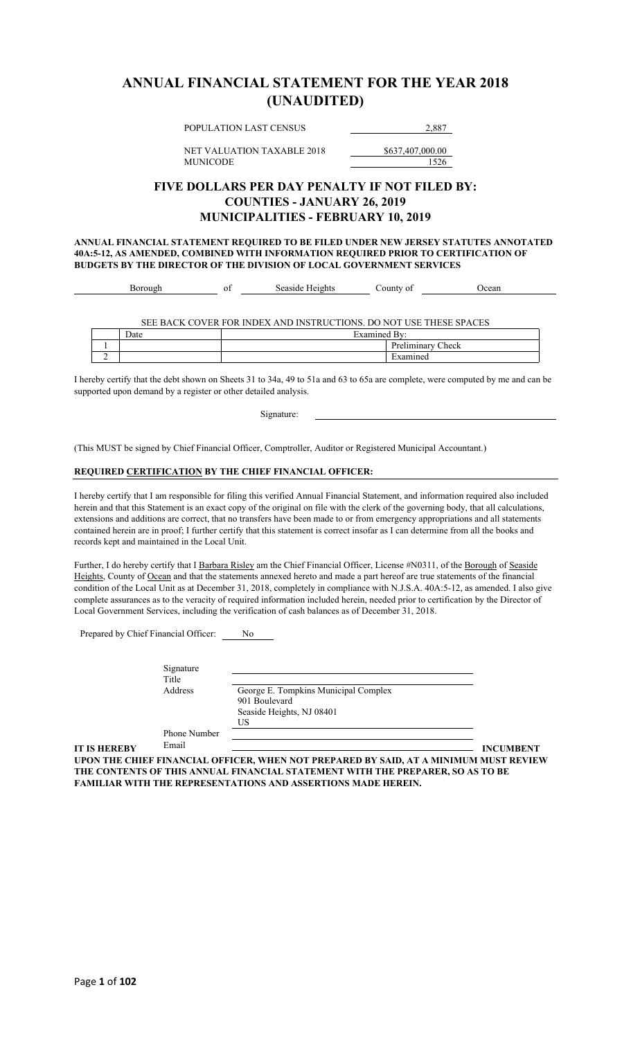### **ANNUAL FINANCIAL STATEMENT FOR THE YEAR 2018 (UNAUDITED)**

POPULATION LAST CENSUS 2,887

NET VALUATION TAXABLE 2018 \$637,407,000.00 MUNICODE 1526

### **FIVE DOLLARS PER DAY PENALTY IF NOT FILED BY: COUNTIES - JANUARY 26, 2019 MUNICIPALITIES - FEBRUARY 10, 2019**

**ANNUAL FINANCIAL STATEMENT REQUIRED TO BE FILED UNDER NEW JERSEY STATUTES ANNOTATED 40A:5-12, AS AMENDED, COMBINED WITH INFORMATION REQUIRED PRIOR TO CERTIFICATION OF BUDGETS BY THE DIRECTOR OF THE DIVISION OF LOCAL GOVERNMENT SERVICES**

| -01<br>'UCAL<br><b>TU </b><br>. .<br>.<br>աս<br>. . |  |  | . | $\sim$<br>$\Omega$ | $\sim$ |  |
|-----------------------------------------------------|--|--|---|--------------------|--------|--|
|-----------------------------------------------------|--|--|---|--------------------|--------|--|

SEE BACK COVER FOR INDEX AND INSTRUCTIONS. DO NOT USE THESE SPACES

|   | Date | $\overline{\phantom{a}}$<br>Ē<br>$H$ V $0$ $m$ <sup>-</sup><br>$v_{\tau}$ |                                         |
|---|------|---------------------------------------------------------------------------|-----------------------------------------|
|   |      |                                                                           | $\mathbf{r}$<br>Check<br><br>1110.<br>. |
| - |      |                                                                           | $\cdots$                                |

I hereby certify that the debt shown on Sheets 31 to 34a, 49 to 51a and 63 to 65a are complete, were computed by me and can be supported upon demand by a register or other detailed analysis.

Signature:

(This MUST be signed by Chief Financial Officer, Comptroller, Auditor or Registered Municipal Accountant.)

#### **REQUIRED CERTIFICATION BY THE CHIEF FINANCIAL OFFICER:**

I hereby certify that I am responsible for filing this verified Annual Financial Statement, and information required also included herein and that this Statement is an exact copy of the original on file with the clerk of the governing body, that all calculations, extensions and additions are correct, that no transfers have been made to or from emergency appropriations and all statements contained herein are in proof; I further certify that this statement is correct insofar as I can determine from all the books and records kept and maintained in the Local Unit.

Further, I do hereby certify that I Barbara Risley am the Chief Financial Officer, License #N0311, of the Borough of Seaside Heights, County of Ocean and that the statements annexed hereto and made a part hereof are true statements of the financial condition of the Local Unit as at December 31, 2018, completely in compliance with N.J.S.A. 40A:5-12, as amended. I also give complete assurances as to the veracity of required information included herein, needed prior to certification by the Director of Local Government Services, including the verification of cash balances as of December 31, 2018.

Prepared by Chief Financial Officer: No

| Signature    |                                      |
|--------------|--------------------------------------|
| Title        |                                      |
| Address      | George E. Tompkins Municipal Complex |
|              | 901 Boulevard                        |
|              | Seaside Heights, NJ 08401            |
|              | US                                   |
| Phone Number |                                      |

Email

**IT IS HEREBY** Email <u>Income in the set of the set of the set of the set of the set of the set of the set of the set of the set of the set of the set of the set of the set of the set of the set of the set of the set of the</u>

**UPON THE CHIEF FINANCIAL OFFICER, WHEN NOT PREPARED BY SAID, AT A MINIMUM MUST REVIEW THE CONTENTS OF THIS ANNUAL FINANCIAL STATEMENT WITH THE PREPARER, SO AS TO BE FAMILIAR WITH THE REPRESENTATIONS AND ASSERTIONS MADE HEREIN.**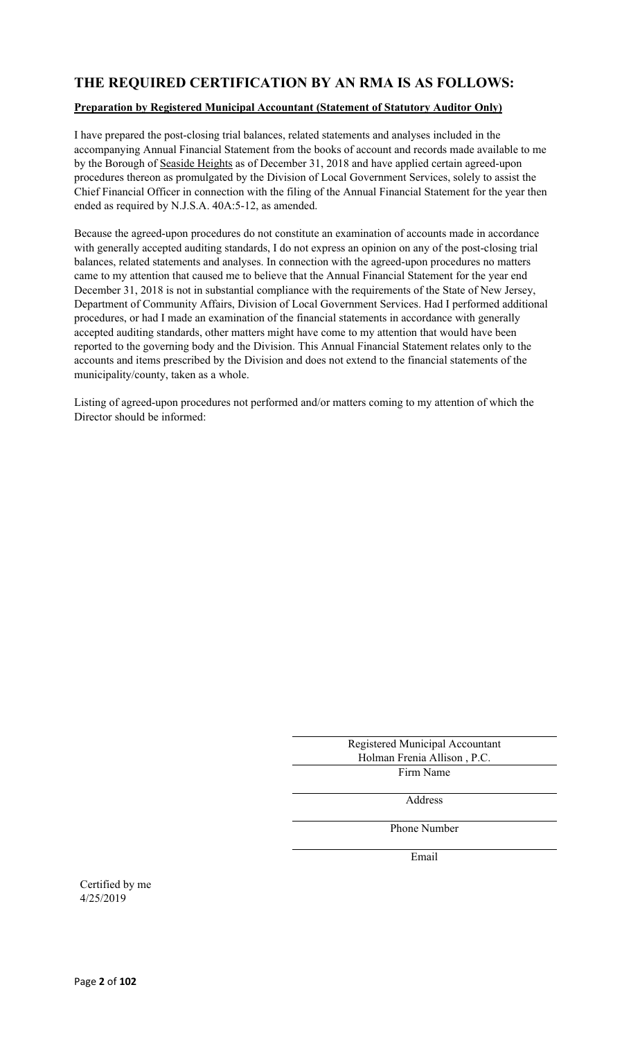### **THE REQUIRED CERTIFICATION BY AN RMA IS AS FOLLOWS:**

#### **Preparation by Registered Municipal Accountant (Statement of Statutory Auditor Only)**

I have prepared the post-closing trial balances, related statements and analyses included in the accompanying Annual Financial Statement from the books of account and records made available to me by the Borough of Seaside Heights as of December 31, 2018 and have applied certain agreed-upon procedures thereon as promulgated by the Division of Local Government Services, solely to assist the Chief Financial Officer in connection with the filing of the Annual Financial Statement for the year then ended as required by N.J.S.A. 40A:5-12, as amended.

Because the agreed-upon procedures do not constitute an examination of accounts made in accordance with generally accepted auditing standards, I do not express an opinion on any of the post-closing trial balances, related statements and analyses. In connection with the agreed-upon procedures no matters came to my attention that caused me to believe that the Annual Financial Statement for the year end December 31, 2018 is not in substantial compliance with the requirements of the State of New Jersey, Department of Community Affairs, Division of Local Government Services. Had I performed additional procedures, or had I made an examination of the financial statements in accordance with generally accepted auditing standards, other matters might have come to my attention that would have been reported to the governing body and the Division. This Annual Financial Statement relates only to the accounts and items prescribed by the Division and does not extend to the financial statements of the municipality/county, taken as a whole.

Listing of agreed-upon procedures not performed and/or matters coming to my attention of which the Director should be informed:

| Registered Municipal Accountant |  |
|---------------------------------|--|
| Holman Frenia Allison, P.C.     |  |
| Firm Name                       |  |

Address

Phone Number

Email

Certified by me 4/25/2019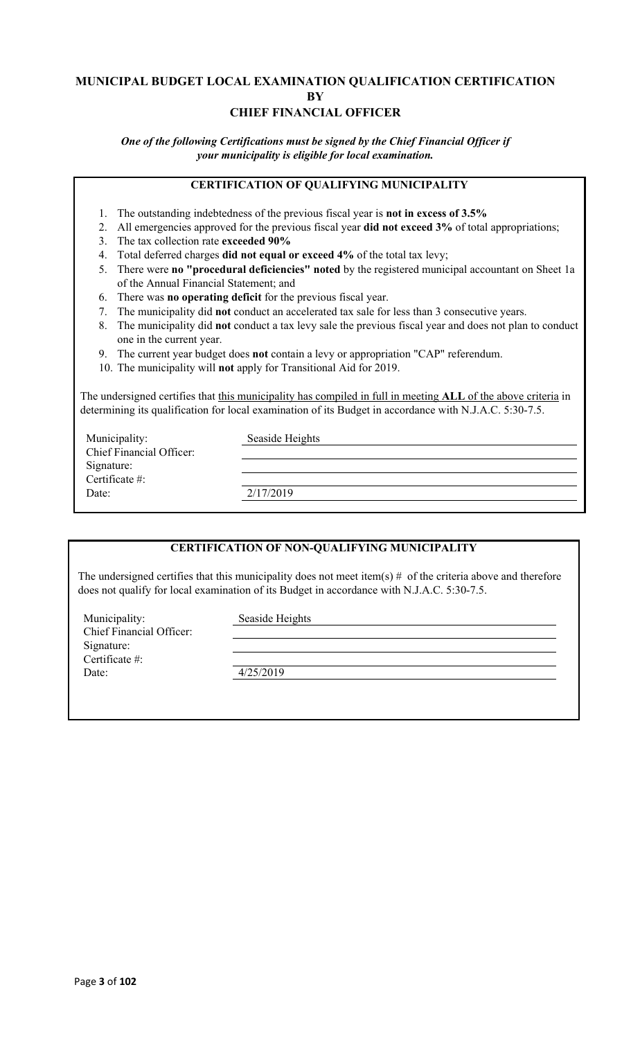### **MUNICIPAL BUDGET LOCAL EXAMINATION QUALIFICATION CERTIFICATION BY CHIEF FINANCIAL OFFICER**

*One of the following Certifications must be signed by the Chief Financial Officer if your municipality is eligible for local examination.*

### **CERTIFICATION OF QUALIFYING MUNICIPALITY**

- 1. The outstanding indebtedness of the previous fiscal year is **not in excess of 3.5%**
- 2. All emergencies approved for the previous fiscal year **did not exceed 3%** of total appropriations;
- 3. The tax collection rate **exceeded 90%**
- 4. Total deferred charges **did not equal or exceed 4%** of the total tax levy;
- 5. There were **no "procedural deficiencies" noted** by the registered municipal accountant on Sheet 1a of the Annual Financial Statement; and
- 6. There was **no operating deficit** for the previous fiscal year.
- 7. The municipality did **not** conduct an accelerated tax sale for less than 3 consecutive years.
- 8. The municipality did **not** conduct a tax levy sale the previous fiscal year and does not plan to conduct one in the current year.
- 9. The current year budget does **not** contain a levy or appropriation "CAP" referendum.
- 10. The municipality will **not** apply for Transitional Aid for 2019.

The undersigned certifies that this municipality has compiled in full in meeting **ALL** of the above criteria in determining its qualification for local examination of its Budget in accordance with N.J.A.C. 5:30-7.5.

| Municipality:                   | Seaside Heights |
|---------------------------------|-----------------|
| <b>Chief Financial Officer:</b> |                 |
| Signature:                      |                 |
| Certificate #:                  |                 |
| Date:                           | 2/17/2019       |
|                                 |                 |

### **CERTIFICATION OF NON-QUALIFYING MUNICIPALITY**

The undersigned certifies that this municipality does not meet item(s)  $#$  of the criteria above and therefore does not qualify for local examination of its Budget in accordance with N.J.A.C. 5:30-7.5.

Municipality: Seaside Heights Chief Financial Officer: Signature: Certificate #: Date: 4/25/2019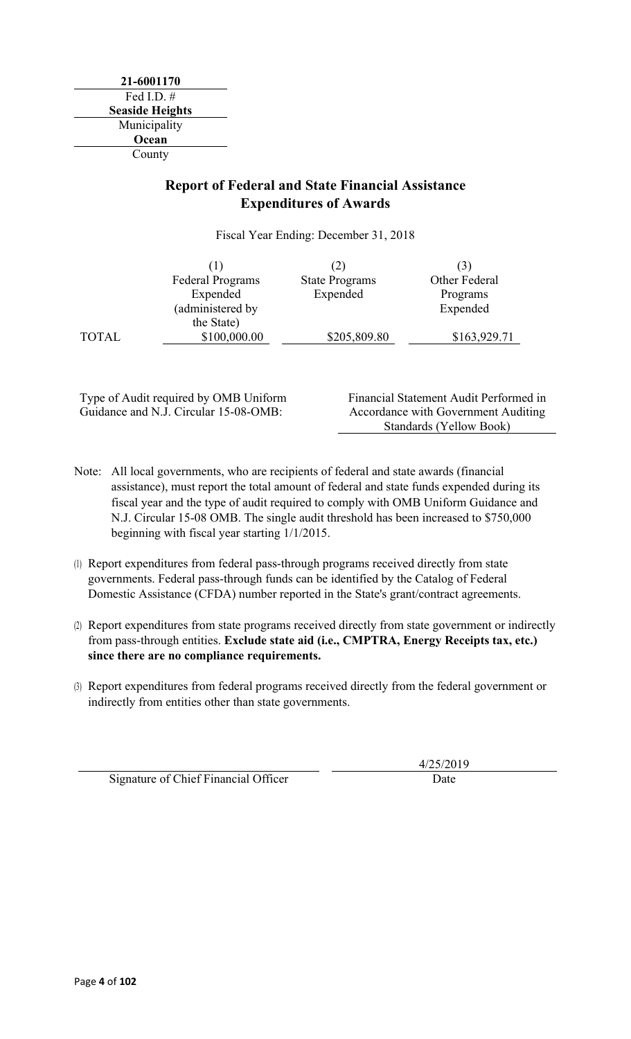**21-6001170** Fed I.D. # **Seaside Heights** Municipality **Ocean** County

### **Report of Federal and State Financial Assistance Expenditures of Awards**

Fiscal Year Ending: December 31, 2018

|              |                         | (2)                   |               |
|--------------|-------------------------|-----------------------|---------------|
|              | <b>Federal Programs</b> | <b>State Programs</b> | Other Federal |
|              | Expended                | Expended              | Programs      |
|              | (administered by        |                       | Expended      |
|              | the State)              |                       |               |
| <b>TOTAL</b> | \$100,000.00            | \$205,809.80          | \$163,929.71  |

Type of Audit required by OMB Uniform Guidance and N.J. Circular 15-08-OMB:

Financial Statement Audit Performed in Accordance with Government Auditing Standards (Yellow Book)

- Note: All local governments, who are recipients of federal and state awards (financial assistance), must report the total amount of federal and state funds expended during its fiscal year and the type of audit required to comply with OMB Uniform Guidance and N.J. Circular 15-08 OMB. The single audit threshold has been increased to \$750,000 beginning with fiscal year starting 1/1/2015.
- (1) Report expenditures from federal pass-through programs received directly from state governments. Federal pass-through funds can be identified by the Catalog of Federal Domestic Assistance (CFDA) number reported in the State's grant/contract agreements.
- (2) Report expenditures from state programs received directly from state government or indirectly from pass-through entities. **Exclude state aid (i.e., CMPTRA, Energy Receipts tax, etc.) since there are no compliance requirements.**
- (3) Report expenditures from federal programs received directly from the federal government or indirectly from entities other than state governments.

Signature of Chief Financial Officer **Date** Date

4/25/2019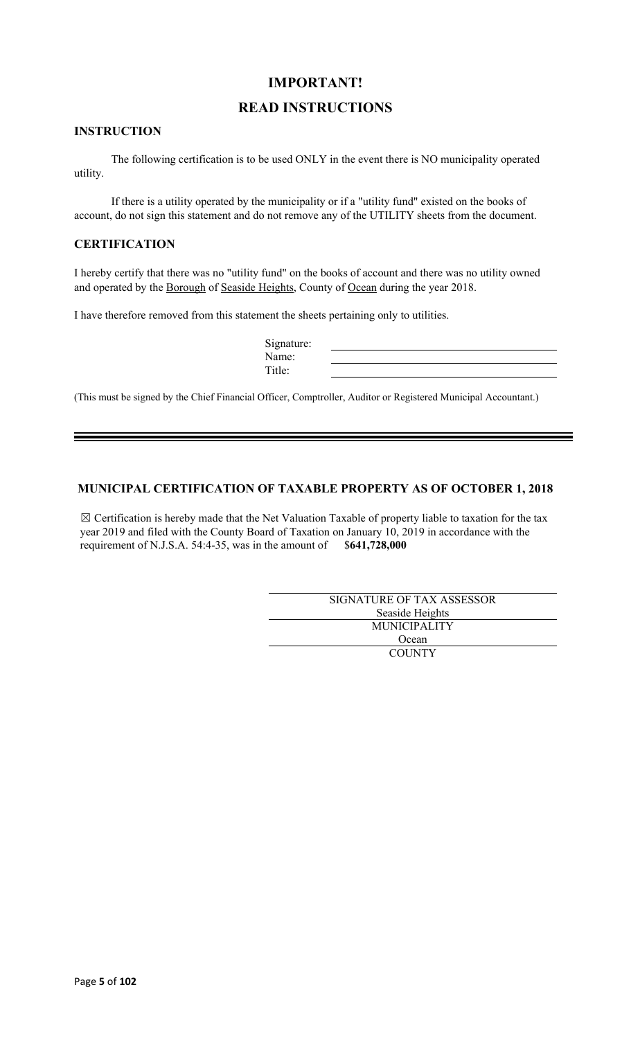### **IMPORTANT!**

### **READ INSTRUCTIONS**

#### **INSTRUCTION**

The following certification is to be used ONLY in the event there is NO municipality operated utility.

If there is a utility operated by the municipality or if a "utility fund" existed on the books of account, do not sign this statement and do not remove any of the UTILITY sheets from the document.

#### **CERTIFICATION**

I hereby certify that there was no "utility fund" on the books of account and there was no utility owned and operated by the Borough of Seaside Heights, County of Ocean during the year 2018.

I have therefore removed from this statement the sheets pertaining only to utilities.

| Signature: |  |
|------------|--|
| Name:      |  |
| `itle:     |  |

(This must be signed by the Chief Financial Officer, Comptroller, Auditor or Registered Municipal Accountant.)

### **MUNICIPAL CERTIFICATION OF TAXABLE PROPERTY AS OF OCTOBER 1, 2018**

 $\boxtimes$  Certification is hereby made that the Net Valuation Taxable of property liable to taxation for the tax year 2019 and filed with the County Board of Taxation on January 10, 2019 in accordance with the requirement of N.J.S.A. 54:4-35, was in the amount of \$**641,728,000**

| SIGNATURE OF TAX ASSESSOR |  |
|---------------------------|--|
| Seaside Heights           |  |
| <b>MUNICIPALITY</b>       |  |
| Ocean                     |  |
| <b>COUNTY</b>             |  |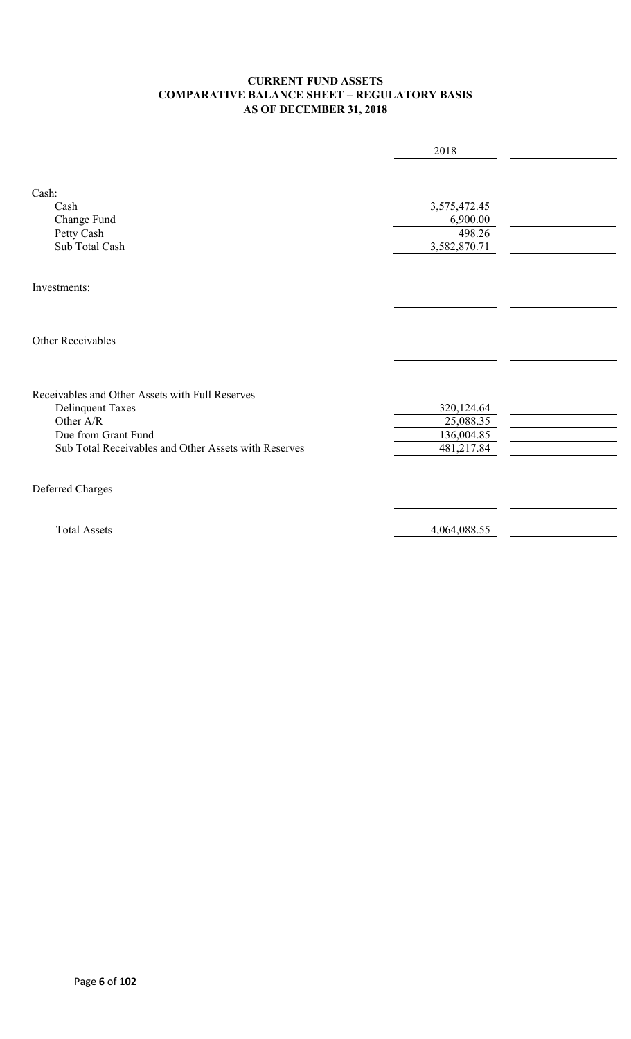### **CURRENT FUND ASSETS COMPARATIVE BALANCE SHEET – REGULATORY BASIS AS OF DECEMBER 31, 2018**

|                                                                                                                                                                        | 2018                                                |  |
|------------------------------------------------------------------------------------------------------------------------------------------------------------------------|-----------------------------------------------------|--|
| Cash:<br>Cash<br>Change Fund<br>Petty Cash<br>Sub Total Cash                                                                                                           | 3,575,472.45<br>6,900.00<br>498.26<br>3,582,870.71  |  |
| Investments:                                                                                                                                                           |                                                     |  |
| Other Receivables                                                                                                                                                      |                                                     |  |
| Receivables and Other Assets with Full Reserves<br><b>Delinquent Taxes</b><br>Other A/R<br>Due from Grant Fund<br>Sub Total Receivables and Other Assets with Reserves | 320,124.64<br>25,088.35<br>136,004.85<br>481,217.84 |  |
| Deferred Charges                                                                                                                                                       |                                                     |  |
| <b>Total Assets</b>                                                                                                                                                    | 4,064,088.55                                        |  |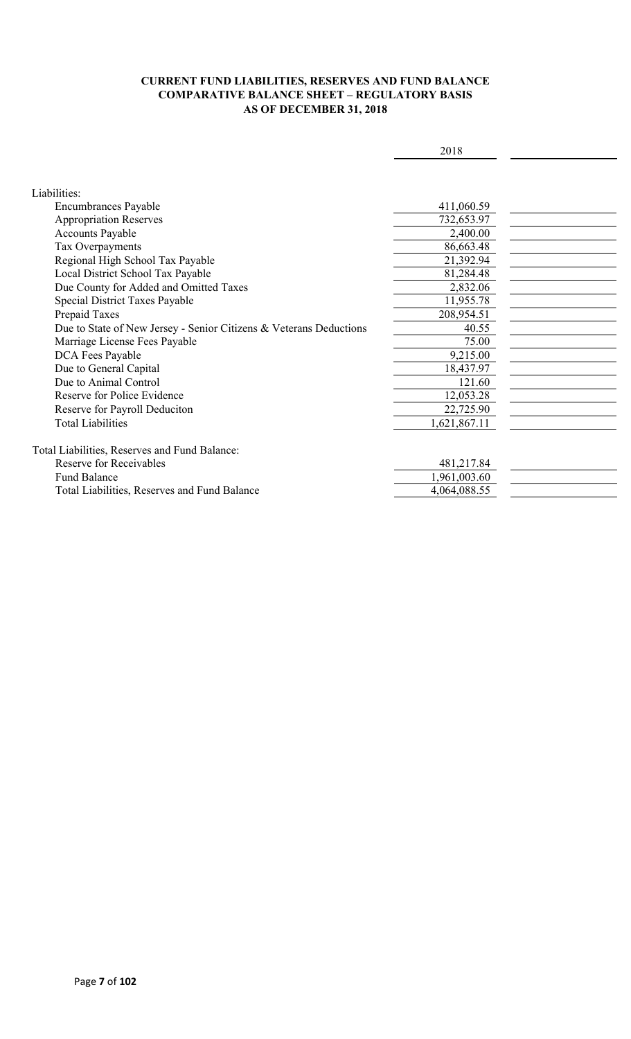### **CURRENT FUND LIABILITIES, RESERVES AND FUND BALANCE COMPARATIVE BALANCE SHEET – REGULATORY BASIS AS OF DECEMBER 31, 2018**

|                                                                    | 2018         |  |
|--------------------------------------------------------------------|--------------|--|
|                                                                    |              |  |
|                                                                    |              |  |
| Liabilities:                                                       |              |  |
| <b>Encumbrances Payable</b>                                        | 411,060.59   |  |
| <b>Appropriation Reserves</b>                                      | 732,653.97   |  |
| <b>Accounts Payable</b>                                            | 2,400.00     |  |
| Tax Overpayments                                                   | 86,663.48    |  |
| Regional High School Tax Payable                                   | 21,392.94    |  |
| Local District School Tax Payable                                  | 81,284.48    |  |
| Due County for Added and Omitted Taxes                             | 2,832.06     |  |
| Special District Taxes Payable                                     | 11,955.78    |  |
| Prepaid Taxes                                                      | 208,954.51   |  |
| Due to State of New Jersey - Senior Citizens & Veterans Deductions | 40.55        |  |
| Marriage License Fees Payable                                      | 75.00        |  |
| DCA Fees Payable                                                   | 9,215.00     |  |
| Due to General Capital                                             | 18,437.97    |  |
| Due to Animal Control                                              | 121.60       |  |
| Reserve for Police Evidence                                        | 12,053.28    |  |
| Reserve for Payroll Deduciton                                      | 22,725.90    |  |
| <b>Total Liabilities</b>                                           | 1,621,867.11 |  |
|                                                                    |              |  |
| Total Liabilities, Reserves and Fund Balance:                      |              |  |
| <b>Reserve for Receivables</b>                                     | 481,217.84   |  |
| <b>Fund Balance</b>                                                | 1,961,003.60 |  |
| Total Liabilities, Reserves and Fund Balance                       | 4,064,088.55 |  |
|                                                                    |              |  |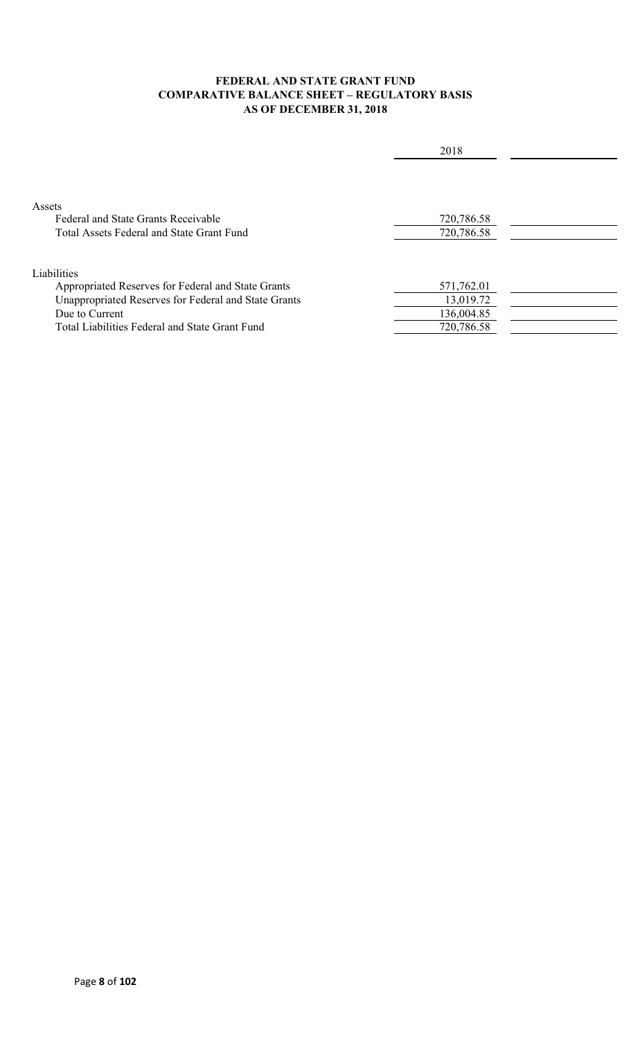### **FEDERAL AND STATE GRANT FUND COMPARATIVE BALANCE SHEET – REGULATORY BASIS AS OF DECEMBER 31, 2018**

|                                                      | 2018       |  |
|------------------------------------------------------|------------|--|
|                                                      |            |  |
| Assets                                               |            |  |
| Federal and State Grants Receivable                  | 720,786.58 |  |
| Total Assets Federal and State Grant Fund            | 720,786.58 |  |
|                                                      |            |  |
| Liabilities                                          |            |  |
| Appropriated Reserves for Federal and State Grants   | 571,762.01 |  |
| Unappropriated Reserves for Federal and State Grants | 13,019.72  |  |
| Due to Current                                       | 136,004.85 |  |
| Total Liabilities Federal and State Grant Fund       | 720,786.58 |  |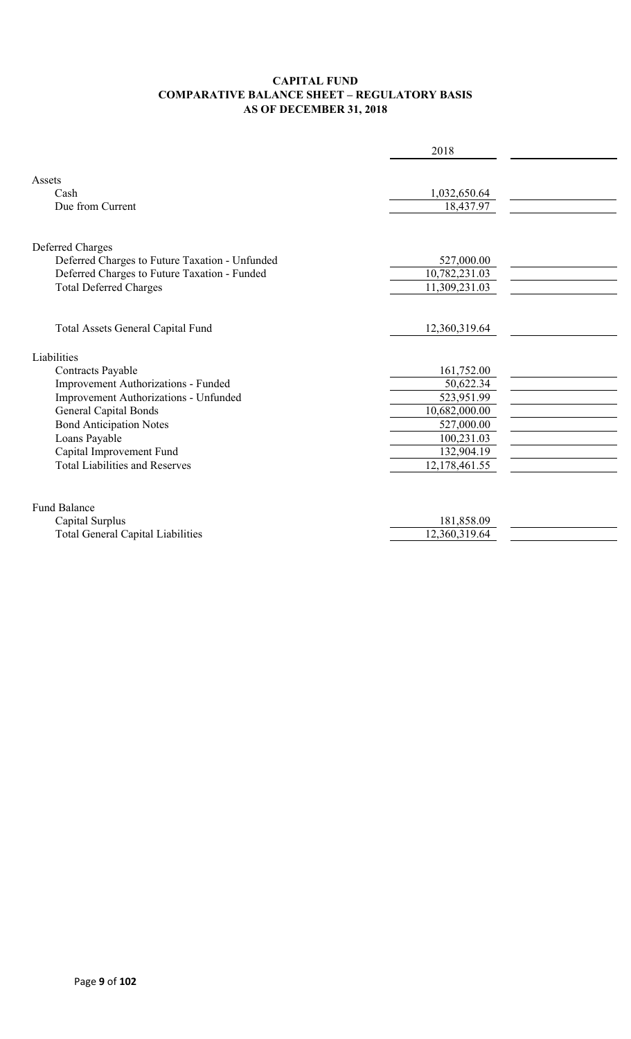### **CAPITAL FUND COMPARATIVE BALANCE SHEET – REGULATORY BASIS AS OF DECEMBER 31, 2018**

|                                                | 2018          |  |
|------------------------------------------------|---------------|--|
|                                                |               |  |
| Assets                                         |               |  |
| Cash<br>Due from Current                       | 1,032,650.64  |  |
|                                                | 18,437.97     |  |
|                                                |               |  |
| Deferred Charges                               |               |  |
| Deferred Charges to Future Taxation - Unfunded | 527,000.00    |  |
| Deferred Charges to Future Taxation - Funded   | 10,782,231.03 |  |
| <b>Total Deferred Charges</b>                  | 11,309,231.03 |  |
|                                                |               |  |
| Total Assets General Capital Fund              | 12,360,319.64 |  |
|                                                |               |  |
| Liabilities                                    |               |  |
| Contracts Payable                              | 161,752.00    |  |
| Improvement Authorizations - Funded            | 50,622.34     |  |
| Improvement Authorizations - Unfunded          | 523,951.99    |  |
| <b>General Capital Bonds</b>                   | 10,682,000.00 |  |
| <b>Bond Anticipation Notes</b>                 | 527,000.00    |  |
| Loans Payable                                  | 100,231.03    |  |
| Capital Improvement Fund                       | 132,904.19    |  |
| <b>Total Liabilities and Reserves</b>          | 12,178,461.55 |  |
|                                                |               |  |
| <b>Fund Balance</b>                            |               |  |
| Capital Surplus                                | 181,858.09    |  |
| <b>Total General Capital Liabilities</b>       | 12,360,319.64 |  |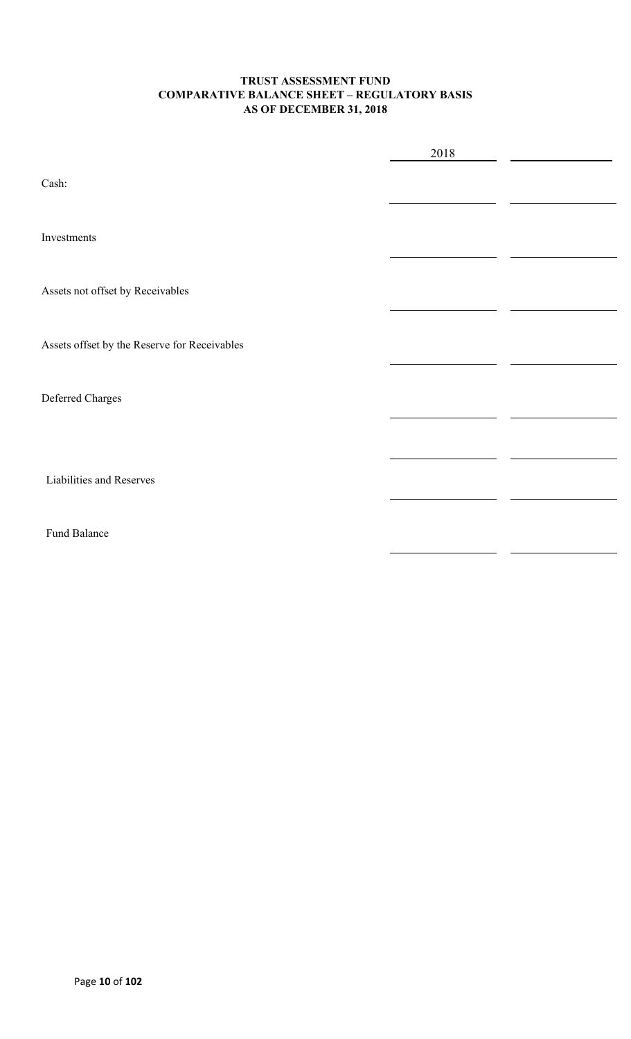### **TRUST ASSESSMENT FUND COMPARATIVE BALANCE SHEET – REGULATORY BASIS AS OF DECEMBER 31, 2018**

|                                              | 2018 |  |
|----------------------------------------------|------|--|
| Cash:                                        |      |  |
| Investments                                  |      |  |
| Assets not offset by Receivables             |      |  |
| Assets offset by the Reserve for Receivables |      |  |
| Deferred Charges                             |      |  |
|                                              |      |  |
| Liabilities and Reserves                     |      |  |
| Fund Balance                                 |      |  |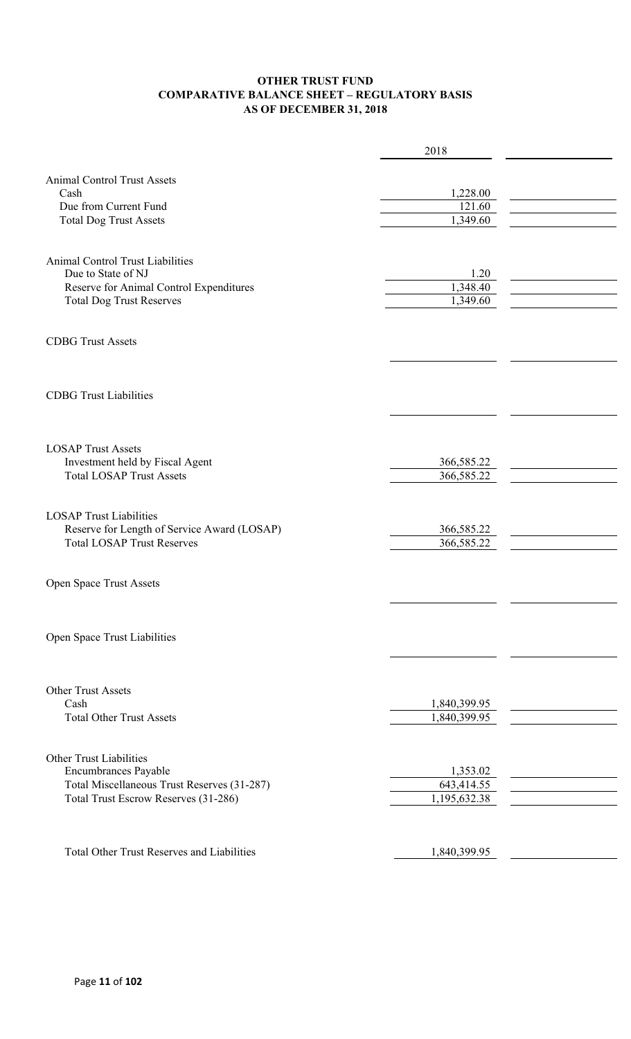### **OTHER TRUST FUND COMPARATIVE BALANCE SHEET – REGULATORY BASIS AS OF DECEMBER 31, 2018**

|                                                   | 2018                         |  |
|---------------------------------------------------|------------------------------|--|
|                                                   |                              |  |
| <b>Animal Control Trust Assets</b>                |                              |  |
| Cash                                              | 1,228.00                     |  |
| Due from Current Fund                             | 121.60                       |  |
| <b>Total Dog Trust Assets</b>                     | 1,349.60                     |  |
|                                                   |                              |  |
| Animal Control Trust Liabilities                  |                              |  |
| Due to State of NJ                                | 1.20                         |  |
| Reserve for Animal Control Expenditures           | 1,348.40                     |  |
| <b>Total Dog Trust Reserves</b>                   | 1,349.60                     |  |
|                                                   |                              |  |
| <b>CDBG Trust Assets</b>                          |                              |  |
|                                                   |                              |  |
|                                                   |                              |  |
|                                                   |                              |  |
| <b>CDBG</b> Trust Liabilities                     |                              |  |
|                                                   |                              |  |
|                                                   |                              |  |
| <b>LOSAP Trust Assets</b>                         |                              |  |
| Investment held by Fiscal Agent                   | 366,585.22                   |  |
| <b>Total LOSAP Trust Assets</b>                   | 366,585.22                   |  |
|                                                   |                              |  |
| <b>LOSAP Trust Liabilities</b>                    |                              |  |
| Reserve for Length of Service Award (LOSAP)       | 366,585.22                   |  |
| <b>Total LOSAP Trust Reserves</b>                 | 366,585.22                   |  |
|                                                   |                              |  |
|                                                   |                              |  |
| Open Space Trust Assets                           |                              |  |
|                                                   |                              |  |
|                                                   |                              |  |
| Open Space Trust Liabilities                      |                              |  |
|                                                   |                              |  |
|                                                   |                              |  |
|                                                   |                              |  |
| Other Trust Assets<br>Cash                        |                              |  |
| <b>Total Other Trust Assets</b>                   | 1,840,399.95<br>1,840,399.95 |  |
|                                                   |                              |  |
|                                                   |                              |  |
| <b>Other Trust Liabilities</b>                    |                              |  |
| Encumbrances Payable                              | 1,353.02                     |  |
| Total Miscellaneous Trust Reserves (31-287)       | 643,414.55                   |  |
| Total Trust Escrow Reserves (31-286)              | 1,195,632.38                 |  |
|                                                   |                              |  |
|                                                   |                              |  |
| <b>Total Other Trust Reserves and Liabilities</b> | 1,840,399.95                 |  |
|                                                   |                              |  |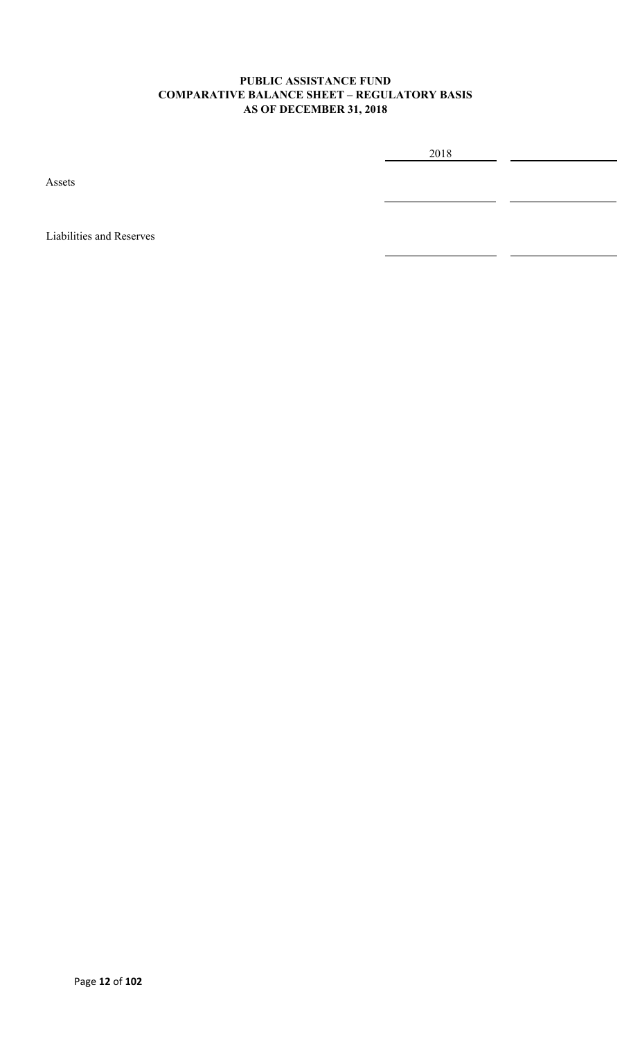### **PUBLIC ASSISTANCE FUND COMPARATIVE BALANCE SHEET – REGULATORY BASIS AS OF DECEMBER 31, 2018**

2018

Assets

Liabilities and Reserves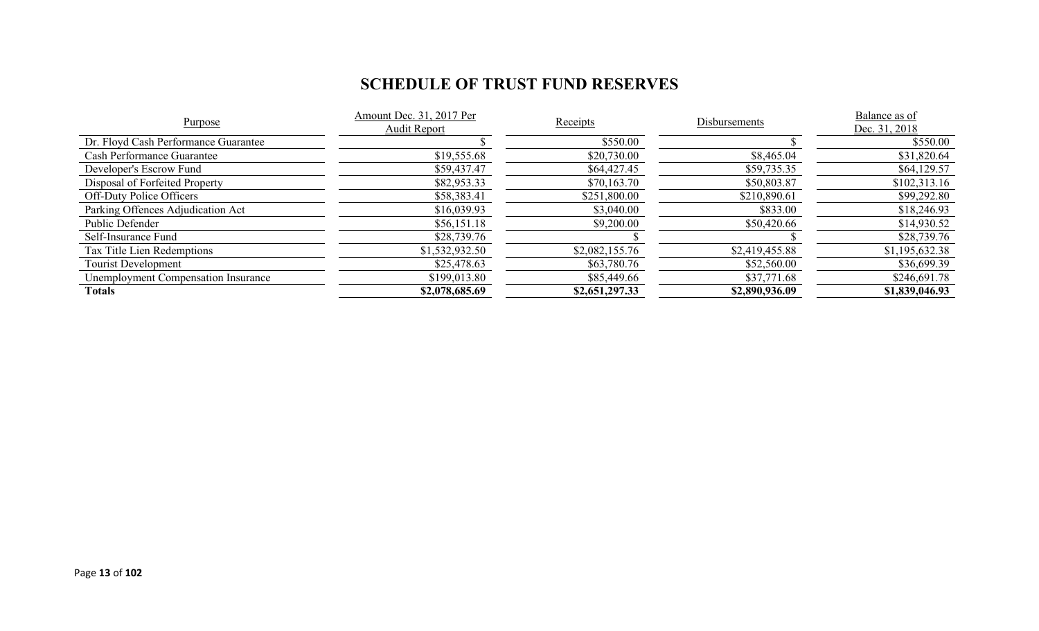# **SCHEDULE OF TRUST FUND RESERVES**

| Purpose                              | Amount Dec. 31, 2017 Per<br>Audit Report | Receipts       | Disbursements  | Balance as of<br>Dec. 31, 2018 |
|--------------------------------------|------------------------------------------|----------------|----------------|--------------------------------|
| Dr. Floyd Cash Performance Guarantee |                                          | \$550.00       |                | \$550.00                       |
| <b>Cash Performance Guarantee</b>    | \$19,555.68                              | \$20,730.00    | \$8,465.04     | \$31,820.64                    |
| Developer's Escrow Fund              | \$59,437.47                              | \$64,427.45    | \$59,735.35    | \$64,129.57                    |
| Disposal of Forfeited Property       | \$82,953.33                              | \$70,163.70    | \$50,803.87    | \$102,313.16                   |
| <b>Off-Duty Police Officers</b>      | \$58,383.41                              | \$251,800.00   | \$210,890.61   | \$99,292.80                    |
| Parking Offences Adjudication Act    | \$16,039.93                              | \$3,040.00     | \$833.00       | \$18,246.93                    |
| Public Defender                      | \$56,151.18                              | \$9,200.00     | \$50,420.66    | \$14,930.52                    |
| Self-Insurance Fund                  | \$28,739.76                              |                |                | \$28,739.76                    |
| Tax Title Lien Redemptions           | \$1,532,932.50                           | \$2,082,155.76 | \$2,419,455.88 | \$1,195,632.38                 |
| <b>Tourist Development</b>           | \$25,478.63                              | \$63,780.76    | \$52,560.00    | \$36,699.39                    |
| Unemployment Compensation Insurance  | \$199,013.80                             | \$85,449.66    | \$37,771.68    | \$246,691.78                   |
| Totals                               | \$2,078,685.69                           | \$2,651,297.33 | \$2,890,936.09 | \$1,839,046.93                 |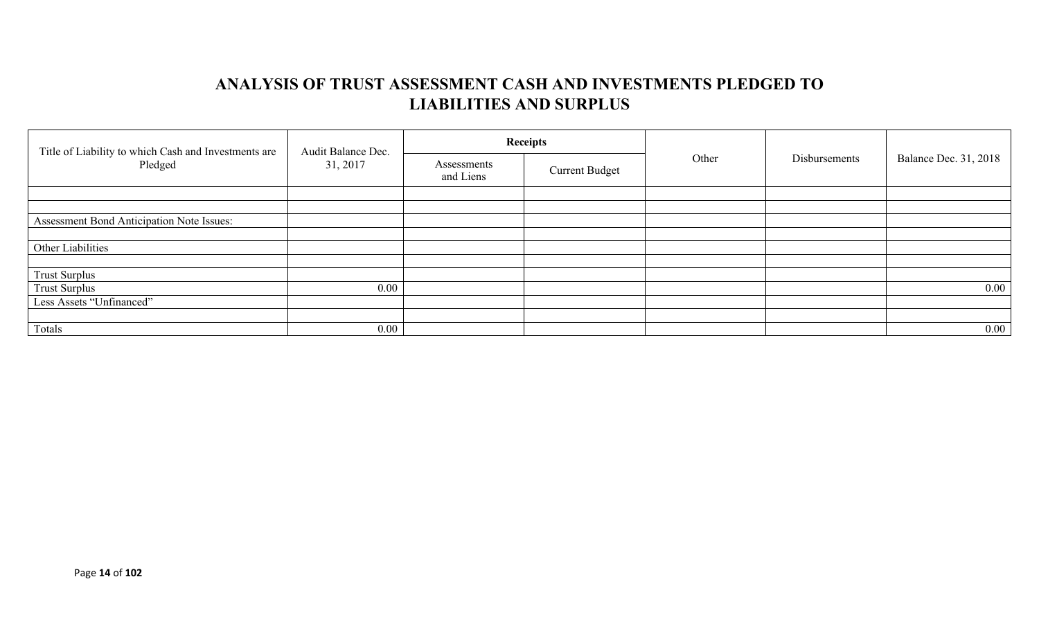# **ANALYSIS OF TRUST ASSESSMENT CASH AND INVESTMENTS PLEDGED TO LIABILITIES AND SURPLUS**

| Title of Liability to which Cash and Investments are<br>Pledged | Audit Balance Dec.<br>31, 2017 |                          | <b>Receipts</b>       | Other | Disbursements | Balance Dec. 31, 2018 |
|-----------------------------------------------------------------|--------------------------------|--------------------------|-----------------------|-------|---------------|-----------------------|
|                                                                 |                                | Assessments<br>and Liens | <b>Current Budget</b> |       |               |                       |
|                                                                 |                                |                          |                       |       |               |                       |
|                                                                 |                                |                          |                       |       |               |                       |
| Assessment Bond Anticipation Note Issues:                       |                                |                          |                       |       |               |                       |
|                                                                 |                                |                          |                       |       |               |                       |
| Other Liabilities                                               |                                |                          |                       |       |               |                       |
|                                                                 |                                |                          |                       |       |               |                       |
| <b>Trust Surplus</b>                                            |                                |                          |                       |       |               |                       |
| <b>Trust Surplus</b>                                            | $0.00\,$                       |                          |                       |       |               | $0.00\,$              |
| Less Assets "Unfinanced"                                        |                                |                          |                       |       |               |                       |
|                                                                 |                                |                          |                       |       |               |                       |
| Totals                                                          | $0.00\,$                       |                          |                       |       |               | $0.00\,$              |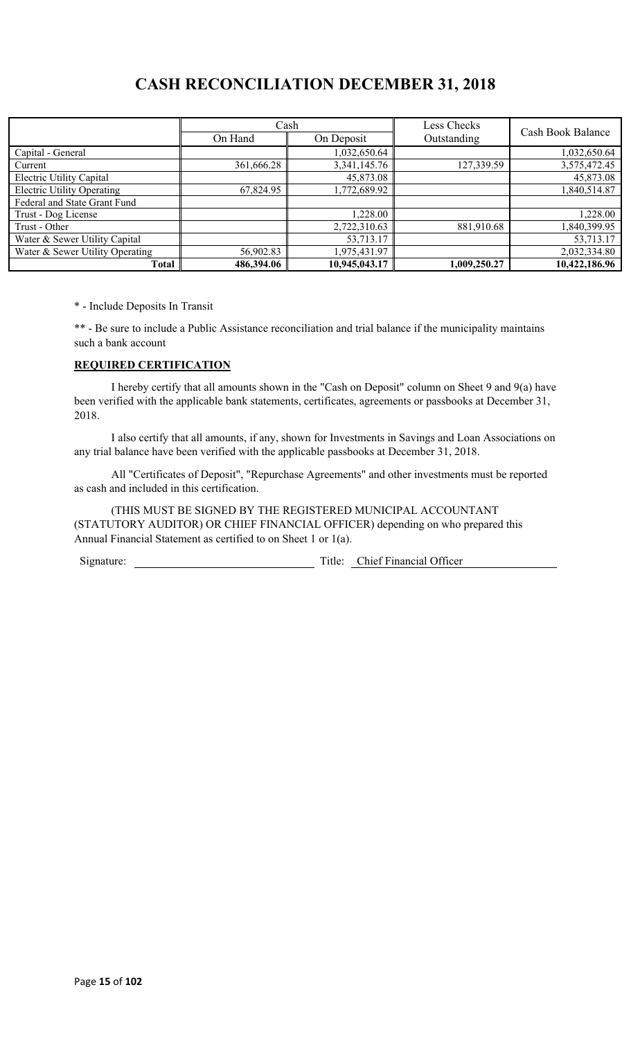# **CASH RECONCILIATION DECEMBER 31, 2018**

|                                   | Cash       |               | Less Checks  | Cash Book Balance |
|-----------------------------------|------------|---------------|--------------|-------------------|
|                                   | On Hand    | On Deposit    | Outstanding  |                   |
| Capital - General                 |            | 1,032,650.64  |              | 1,032,650.64      |
| Current                           | 361,666.28 | 3,341,145.76  | 127,339.59   | 3,575,472.45      |
| Electric Utility Capital          |            | 45,873.08     |              | 45,873.08         |
| <b>Electric Utility Operating</b> | 67,824.95  | 1,772,689.92  |              | 1,840,514.87      |
| Federal and State Grant Fund      |            |               |              |                   |
| Trust - Dog License               |            | 1,228.00      |              | 1,228.00          |
| Trust - Other                     |            | 2,722,310.63  | 881,910.68   | 1,840,399.95      |
| Water & Sewer Utility Capital     |            | 53,713.17     |              | 53,713.17         |
| Water & Sewer Utility Operating   | 56,902.83  | 1,975,431.97  |              | 2,032,334.80      |
| <b>Total</b>                      | 486,394.06 | 10,945,043.17 | 1,009,250.27 | 10,422,186.96     |

\* - Include Deposits In Transit

\*\* - Be sure to include a Public Assistance reconciliation and trial balance if the municipality maintains such a bank account

### **REQUIRED CERTIFICATION**

I hereby certify that all amounts shown in the "Cash on Deposit" column on Sheet 9 and 9(a) have been verified with the applicable bank statements, certificates, agreements or passbooks at December 31, 2018.

I also certify that all amounts, if any, shown for Investments in Savings and Loan Associations on any trial balance have been verified with the applicable passbooks at December 31, 2018.

All "Certificates of Deposit", "Repurchase Agreements" and other investments must be reported as cash and included in this certification.

(THIS MUST BE SIGNED BY THE REGISTERED MUNICIPAL ACCOUNTANT (STATUTORY AUDITOR) OR CHIEF FINANCIAL OFFICER) depending on who prepared this Annual Financial Statement as certified to on Sheet 1 or 1(a).

Signature: Title: Chief Financial Officer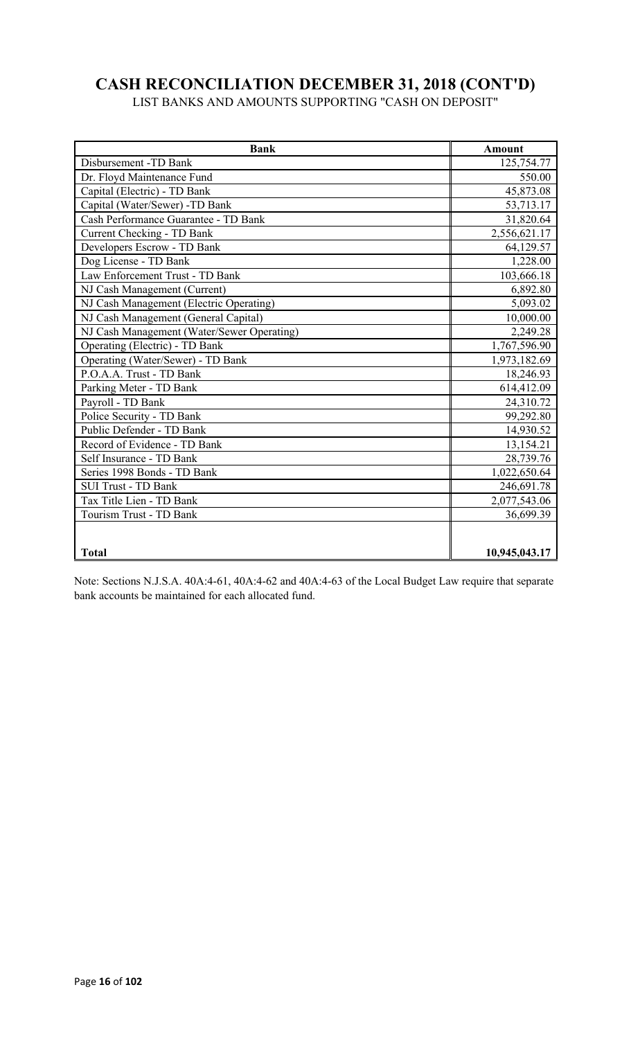# **CASH RECONCILIATION DECEMBER 31, 2018 (CONT'D)**

LIST BANKS AND AMOUNTS SUPPORTING "CASH ON DEPOSIT"

| <b>Bank</b>                                | <b>Amount</b> |
|--------------------------------------------|---------------|
| Disbursement -TD Bank                      | 125,754.77    |
| Dr. Floyd Maintenance Fund                 | 550.00        |
| Capital (Electric) - TD Bank               | 45,873.08     |
| Capital (Water/Sewer) -TD Bank             | 53,713.17     |
| Cash Performance Guarantee - TD Bank       | 31,820.64     |
| <b>Current Checking - TD Bank</b>          | 2,556,621.17  |
| Developers Escrow - TD Bank                | 64,129.57     |
| Dog License - TD Bank                      | 1,228.00      |
| Law Enforcement Trust - TD Bank            | 103,666.18    |
| NJ Cash Management (Current)               | 6,892.80      |
| NJ Cash Management (Electric Operating)    | 5,093.02      |
| NJ Cash Management (General Capital)       | 10,000.00     |
| NJ Cash Management (Water/Sewer Operating) | 2,249.28      |
| Operating (Electric) - TD Bank             | 1,767,596.90  |
| Operating (Water/Sewer) - TD Bank          | 1,973,182.69  |
| P.O.A.A. Trust - TD Bank                   | 18,246.93     |
| Parking Meter - TD Bank                    | 614,412.09    |
| Payroll - TD Bank                          | 24,310.72     |
| Police Security - TD Bank                  | 99,292.80     |
| Public Defender - TD Bank                  | 14,930.52     |
| Record of Evidence - TD Bank               | 13,154.21     |
| Self Insurance - TD Bank                   | 28,739.76     |
| Series 1998 Bonds - TD Bank                | 1,022,650.64  |
| <b>SUI Trust - TD Bank</b>                 | 246,691.78    |
| Tax Title Lien - TD Bank                   | 2,077,543.06  |
| Tourism Trust - TD Bank                    | 36,699.39     |
|                                            |               |
| <b>Total</b>                               | 10,945,043.17 |

Note: Sections N.J.S.A. 40A:4-61, 40A:4-62 and 40A:4-63 of the Local Budget Law require that separate bank accounts be maintained for each allocated fund.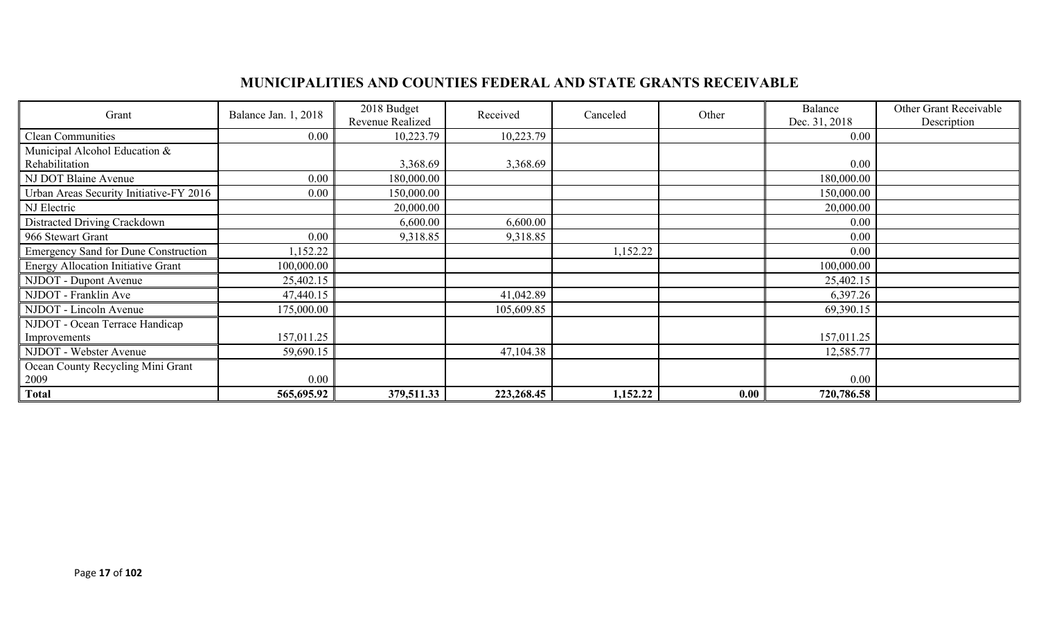# **MUNICIPALITIES AND COUNTIES FEDERAL AND STATE GRANTS RECEIVABLE**

| Grant                                       | Balance Jan. 1, 2018 | 2018 Budget<br>Revenue Realized | Received   | Canceled | Other | Balance<br>Dec. 31, 2018 | Other Grant Receivable<br>Description |
|---------------------------------------------|----------------------|---------------------------------|------------|----------|-------|--------------------------|---------------------------------------|
| <b>Clean Communities</b>                    | 0.00                 | 10,223.79                       | 10,223.79  |          |       | $0.00\,$                 |                                       |
| Municipal Alcohol Education &               |                      |                                 |            |          |       |                          |                                       |
| Rehabilitation                              |                      | 3,368.69                        | 3,368.69   |          |       | $0.00\,$                 |                                       |
| NJ DOT Blaine Avenue                        | 0.00                 | 180,000.00                      |            |          |       | 180,000.00               |                                       |
| Urban Areas Security Initiative-FY 2016     | 0.00                 | 150,000.00                      |            |          |       | 150,000.00               |                                       |
| NJ Electric                                 |                      | 20,000.00                       |            |          |       | 20,000.00                |                                       |
| Distracted Driving Crackdown                |                      | 6,600.00                        | 6,600.00   |          |       | $0.00\,$                 |                                       |
| 966 Stewart Grant                           | 0.00                 | 9,318.85                        | 9,318.85   |          |       | 0.00                     |                                       |
| <b>Emergency Sand for Dune Construction</b> | ,152.22              |                                 |            | 1,152.22 |       | $0.00\,$                 |                                       |
| <b>Energy Allocation Initiative Grant</b>   | 100,000.00           |                                 |            |          |       | 100,000.00               |                                       |
| NJDOT - Dupont Avenue                       | 25,402.15            |                                 |            |          |       | 25,402.15                |                                       |
| NJDOT - Franklin Ave                        | 47,440.15            |                                 | 41,042.89  |          |       | 6,397.26                 |                                       |
| NJDOT - Lincoln Avenue                      | 175,000.00           |                                 | 105,609.85 |          |       | 69,390.15                |                                       |
| NJDOT - Ocean Terrace Handicap              |                      |                                 |            |          |       |                          |                                       |
| Improvements                                | 157,011.25           |                                 |            |          |       | 157,011.25               |                                       |
| NJDOT - Webster Avenue                      | 59,690.15            |                                 | 47,104.38  |          |       | 12,585.77                |                                       |
| Ocean County Recycling Mini Grant           |                      |                                 |            |          |       |                          |                                       |
| 2009                                        | 0.00                 |                                 |            |          |       | 0.00                     |                                       |
| <b>Total</b>                                | 565,695.92           | 379,511.33                      | 223,268.45 | 1,152.22 | 0.00  | 720,786.58               |                                       |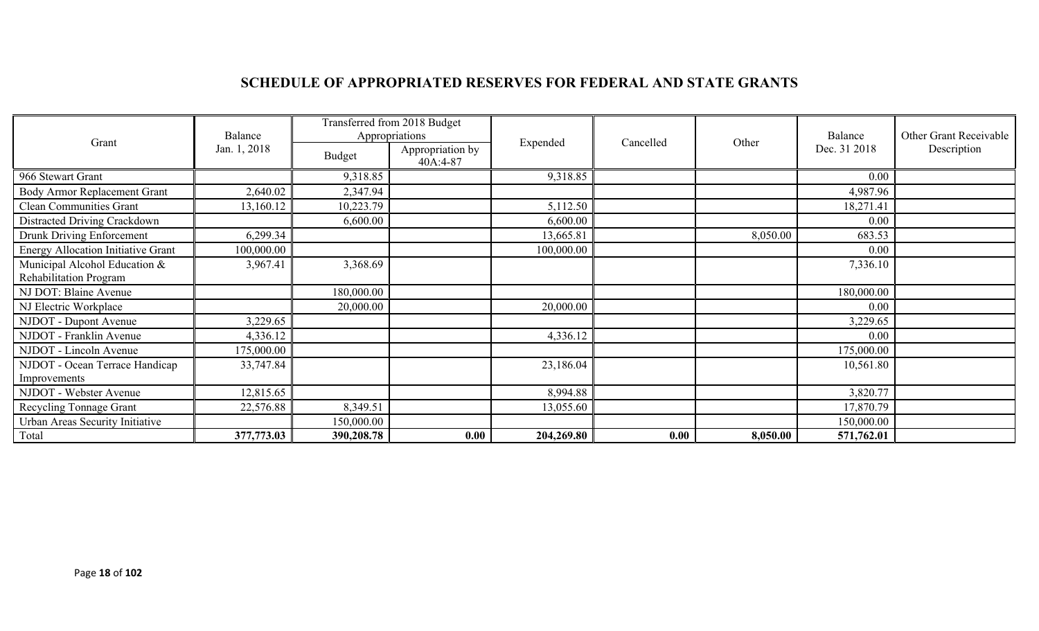# **SCHEDULE OF APPROPRIATED RESERVES FOR FEDERAL AND STATE GRANTS**

|                                           | Balance      | Transferred from 2018 Budget<br>Appropriations |                              |            |           |          | Balance      | Other Grant Receivable |
|-------------------------------------------|--------------|------------------------------------------------|------------------------------|------------|-----------|----------|--------------|------------------------|
| Grant                                     | Jan. 1, 2018 | <b>Budget</b>                                  | Appropriation by<br>40A:4-87 | Expended   | Cancelled | Other    | Dec. 31 2018 | Description            |
| 966 Stewart Grant                         |              | 9,318.85                                       |                              | 9,318.85   |           |          | 0.00         |                        |
| Body Armor Replacement Grant              | 2,640.02     | 2,347.94                                       |                              |            |           |          | 4,987.96     |                        |
| <b>Clean Communities Grant</b>            | 13,160.12    | 10,223.79                                      |                              | 5,112.50   |           |          | 18,271.41    |                        |
| Distracted Driving Crackdown              |              | 6,600.00                                       |                              | 6,600.00   |           |          | 0.00         |                        |
| Drunk Driving Enforcement                 | 6,299.34     |                                                |                              | 13,665.81  |           | 8,050.00 | 683.53       |                        |
| <b>Energy Allocation Initiative Grant</b> | 100,000.00   |                                                |                              | 100,000.00 |           |          | 0.00         |                        |
| Municipal Alcohol Education &             | 3,967.41     | 3,368.69                                       |                              |            |           |          | 7,336.10     |                        |
| Rehabilitation Program                    |              |                                                |                              |            |           |          |              |                        |
| NJ DOT: Blaine Avenue                     |              | 180,000.00                                     |                              |            |           |          | 180,000.00   |                        |
| NJ Electric Workplace                     |              | 20,000.00                                      |                              | 20,000.00  |           |          | 0.00         |                        |
| NJDOT - Dupont Avenue                     | 3,229.65     |                                                |                              |            |           |          | 3,229.65     |                        |
| NJDOT - Franklin Avenue                   | 4,336.12     |                                                |                              | 4,336.12   |           |          | 0.00         |                        |
| NJDOT - Lincoln Avenue                    | 175,000.00   |                                                |                              |            |           |          | 175,000.00   |                        |
| NJDOT - Ocean Terrace Handicap            | 33,747.84    |                                                |                              | 23,186.04  |           |          | 10,561.80    |                        |
| Improvements                              |              |                                                |                              |            |           |          |              |                        |
| NJDOT - Webster Avenue                    | 12,815.65    |                                                |                              | 8,994.88   |           |          | 3,820.77     |                        |
| Recycling Tonnage Grant                   | 22,576.88    | 8,349.51                                       |                              | 13,055.60  |           |          | 17,870.79    |                        |
| Urban Areas Security Initiative           |              | 150,000.00                                     |                              |            |           |          | 150,000.00   |                        |
| Total                                     | 377,773.03   | 390,208.78                                     | 0.00                         | 204,269.80 | 0.00      | 8,050.00 | 571,762.01   |                        |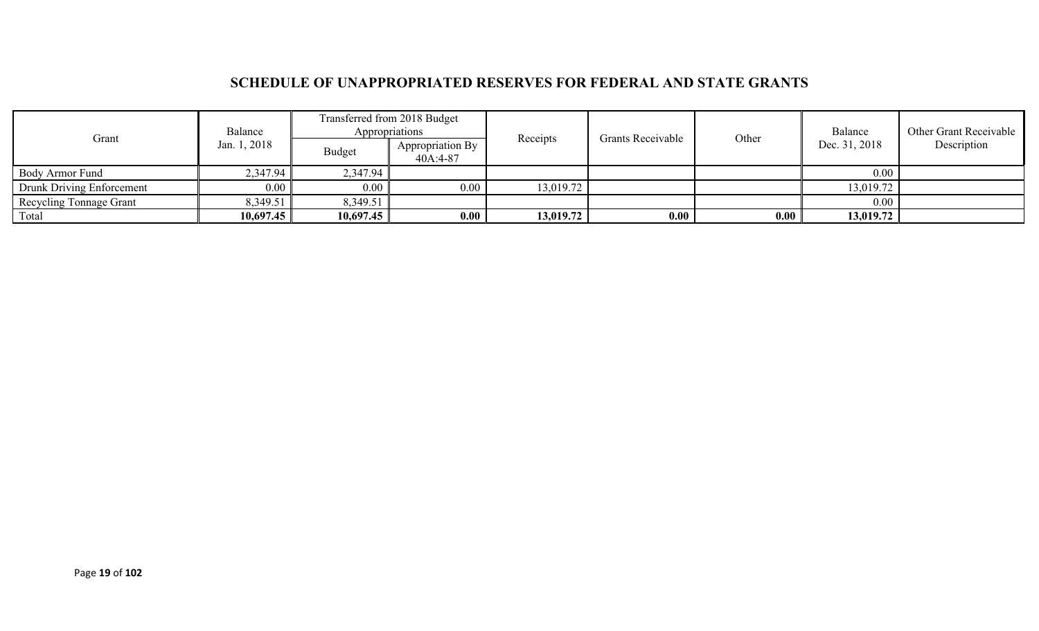## **SCHEDULE OF UNAPPROPRIATED RESERVES FOR FEDERAL AND STATE GRANTS**

|                                | Transferred from 2018 Budget<br>Appropriations<br>Balance |           |                              |           | Grants Receivable |       | Balance       | Other Grant Receivable |
|--------------------------------|-----------------------------------------------------------|-----------|------------------------------|-----------|-------------------|-------|---------------|------------------------|
| Grant                          | Jan. 1, 2018                                              | Budget    | Appropriation By<br>40A:4-87 | Receipts  |                   | Other | Dec. 31, 2018 | Description            |
| Body Armor Fund                | 2,347.94                                                  | 2,347.94  |                              |           |                   |       | 0.00          |                        |
| Drunk Driving Enforcement      | 0.00                                                      | $0.00\,$  | 0.00                         | 13,019.72 |                   |       | 13,019.72     |                        |
| <b>Recycling Tonnage Grant</b> | 8,349.51                                                  | 8,349.51  |                              |           |                   |       | 0.00          |                        |
| Total                          | 10,697.45                                                 | 10,697.45 | 0.00                         | 13,019.72 | 0.00              | 0.00  | 13,019.72     |                        |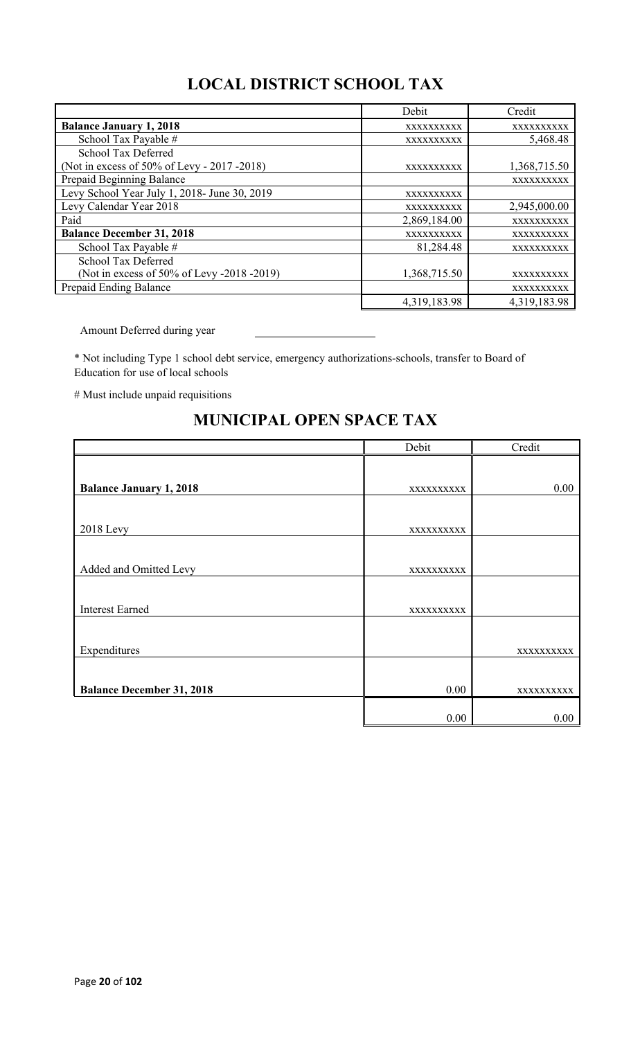# **LOCAL DISTRICT SCHOOL TAX**

|                                              | Debit        | Credit       |
|----------------------------------------------|--------------|--------------|
| <b>Balance January 1, 2018</b>               | XXXXXXXXXX   | XXXXXXXXXX   |
| School Tax Payable #                         | XXXXXXXXXX   | 5,468.48     |
| School Tax Deferred                          |              |              |
| (Not in excess of 50% of Levy - 2017 - 2018) | XXXXXXXXXX   | 1,368,715.50 |
| Prepaid Beginning Balance                    |              | XXXXXXXXXX   |
| Levy School Year July 1, 2018- June 30, 2019 | XXXXXXXXXX   |              |
| Levy Calendar Year 2018                      | XXXXXXXXXX   | 2,945,000.00 |
| Paid                                         | 2,869,184.00 | XXXXXXXXXX   |
| <b>Balance December 31, 2018</b>             | XXXXXXXXXX   | XXXXXXXXXX   |
| School Tax Payable #                         | 81,284.48    | XXXXXXXXXX   |
| School Tax Deferred                          |              |              |
| (Not in excess of 50% of Levy -2018 -2019)   | 1,368,715.50 | XXXXXXXXXX   |
| Prepaid Ending Balance                       |              | XXXXXXXXXX   |
|                                              | 4,319,183.98 | 4,319,183.98 |

Amount Deferred during year

\* Not including Type 1 school debt service, emergency authorizations-schools, transfer to Board of Education for use of local schools

# Must include unpaid requisitions

|                                  | Debit      | Credit     |
|----------------------------------|------------|------------|
|                                  |            |            |
| <b>Balance January 1, 2018</b>   | XXXXXXXXXX | 0.00       |
|                                  |            |            |
| <b>2018</b> Levy                 | XXXXXXXXXX |            |
|                                  |            |            |
| Added and Omitted Levy           | XXXXXXXXXX |            |
|                                  |            |            |
| <b>Interest Earned</b>           | XXXXXXXXXX |            |
|                                  |            |            |
| Expenditures                     |            | XXXXXXXXXX |
|                                  |            |            |
| <b>Balance December 31, 2018</b> | 0.00       | XXXXXXXXXX |
|                                  |            |            |
|                                  | 0.00       | 0.00       |

## **MUNICIPAL OPEN SPACE TAX**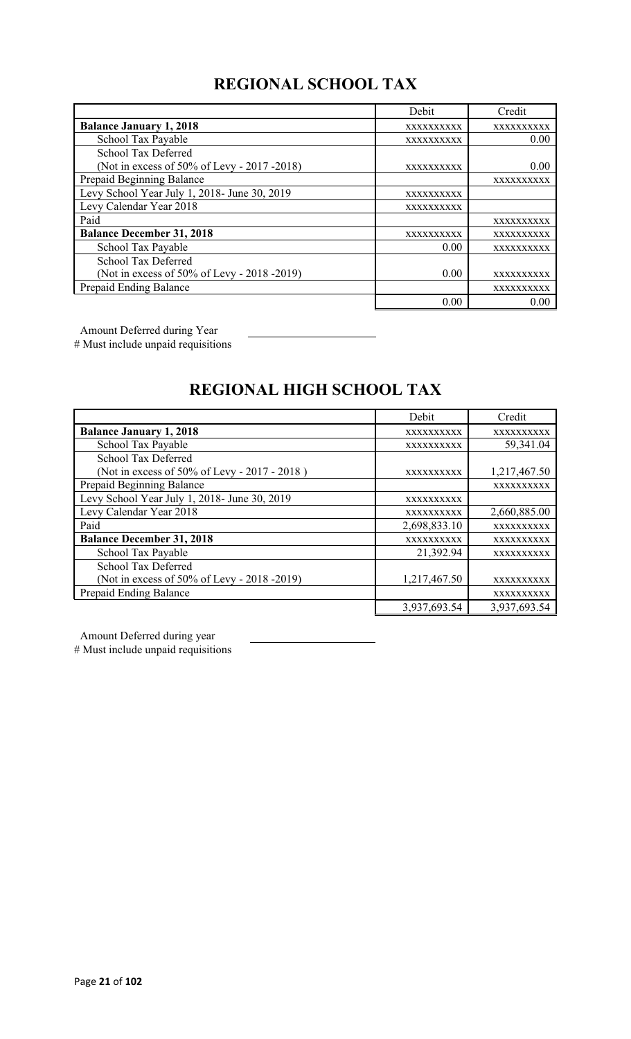# **REGIONAL SCHOOL TAX**

|                                              | Debit      | Credit     |
|----------------------------------------------|------------|------------|
| <b>Balance January 1, 2018</b>               | XXXXXXXXXX | XXXXXXXXXX |
| School Tax Payable                           | XXXXXXXXXX | 0.00       |
| School Tax Deferred                          |            |            |
| (Not in excess of 50% of Levy - 2017 -2018)  | XXXXXXXXXX | 0.00       |
| Prepaid Beginning Balance                    |            | XXXXXXXXXX |
| Levy School Year July 1, 2018- June 30, 2019 | XXXXXXXXXX |            |
| Levy Calendar Year 2018                      | XXXXXXXXXX |            |
| Paid                                         |            | XXXXXXXXXX |
| <b>Balance December 31, 2018</b>             | XXXXXXXXXX | XXXXXXXXXX |
| School Tax Payable                           | 0.00       | XXXXXXXXXX |
| <b>School Tax Deferred</b>                   |            |            |
| (Not in excess of 50% of Levy - 2018 -2019)  | 0.00       | XXXXXXXXXX |
| Prepaid Ending Balance                       |            | XXXXXXXXXX |
|                                              | 0.00       | 0.00       |

Amount Deferred during Year

# Must include unpaid requisitions

# **REGIONAL HIGH SCHOOL TAX**

|                                              | Debit        | Credit       |
|----------------------------------------------|--------------|--------------|
| <b>Balance January 1, 2018</b>               | XXXXXXXXXX   | XXXXXXXXXX   |
| School Tax Payable                           | XXXXXXXXXX   | 59,341.04    |
| School Tax Deferred                          |              |              |
| (Not in excess of 50% of Levy - 2017 - 2018) | XXXXXXXXXX   | 1,217,467.50 |
| Prepaid Beginning Balance                    |              | XXXXXXXXXX   |
| Levy School Year July 1, 2018- June 30, 2019 | XXXXXXXXXX   |              |
| Levy Calendar Year 2018                      | XXXXXXXXXX   | 2,660,885.00 |
| Paid                                         | 2,698,833.10 | XXXXXXXXXX   |
| <b>Balance December 31, 2018</b>             | XXXXXXXXXX   | XXXXXXXXXX   |
| School Tax Payable                           | 21,392.94    | XXXXXXXXXX   |
| School Tax Deferred                          |              |              |
| (Not in excess of 50% of Levy - 2018 -2019)  | 1,217,467.50 | XXXXXXXXXX   |
| Prepaid Ending Balance                       |              | XXXXXXXXXX   |
|                                              | 3,937,693.54 | 3,937,693.54 |

Amount Deferred during year

# Must include unpaid requisitions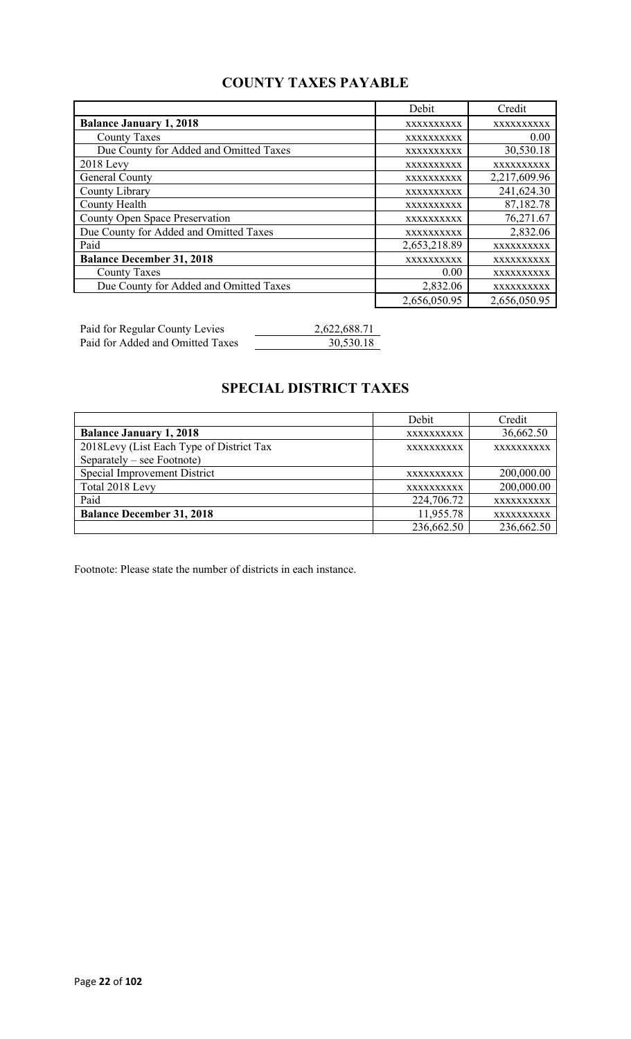## **COUNTY TAXES PAYABLE**

|                                        | Debit        | Credit       |
|----------------------------------------|--------------|--------------|
| <b>Balance January 1, 2018</b>         | XXXXXXXXXX   | XXXXXXXXXX   |
| <b>County Taxes</b>                    | XXXXXXXXXX   | 0.00         |
| Due County for Added and Omitted Taxes | XXXXXXXXXX   | 30,530.18    |
| $2018$ Levy                            | XXXXXXXXXX   | XXXXXXXXXX   |
| General County                         | XXXXXXXXXX   | 2,217,609.96 |
| County Library                         | XXXXXXXXXX   | 241,624.30   |
| <b>County Health</b>                   | XXXXXXXXXX   | 87,182.78    |
| <b>County Open Space Preservation</b>  | XXXXXXXXXX   | 76,271.67    |
| Due County for Added and Omitted Taxes | XXXXXXXXXX   | 2,832.06     |
| Paid                                   | 2,653,218.89 | XXXXXXXXXX   |
| <b>Balance December 31, 2018</b>       | XXXXXXXXXX   | XXXXXXXXXX   |
| <b>County Taxes</b>                    | 0.00         | XXXXXXXXXX   |
| Due County for Added and Omitted Taxes | 2,832.06     | XXXXXXXXXX   |
|                                        | 2,656,050.95 | 2,656,050.95 |

Paid for Regular County Levies 2,622,688.71 Paid for Added and Omitted Taxes 30,530.18

# **SPECIAL DISTRICT TAXES**

|                                          | Debit             | Credit     |
|------------------------------------------|-------------------|------------|
| <b>Balance January 1, 2018</b>           | XXXXXXXXXX        | 36,662.50  |
| 2018Levy (List Each Type of District Tax | <b>XXXXXXXXXX</b> | XXXXXXXXXX |
| Separately – see Footnote)               |                   |            |
| Special Improvement District             | <b>XXXXXXXXXX</b> | 200,000.00 |
| Total 2018 Levy                          | XXXXXXXXXX        | 200,000.00 |
| Paid                                     | 224,706.72        | XXXXXXXXXX |
| <b>Balance December 31, 2018</b>         | 11,955.78         | XXXXXXXXXX |
|                                          | 236,662.50        | 236,662.50 |

Footnote: Please state the number of districts in each instance.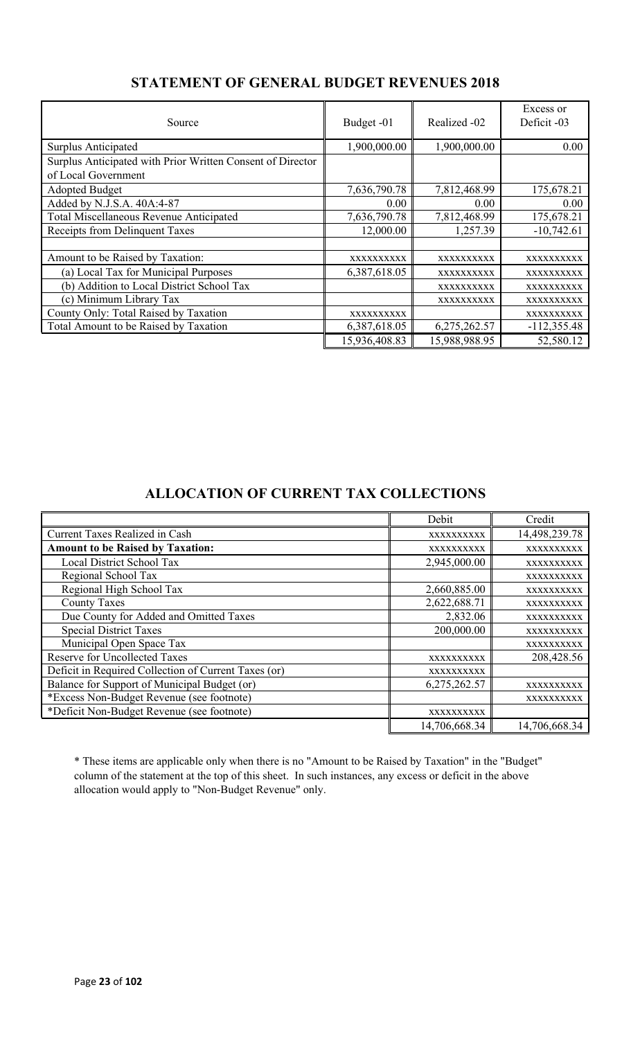| Source                                                     | Budget -01    | Realized -02  | Excess or<br>Deficit -03 |
|------------------------------------------------------------|---------------|---------------|--------------------------|
| Surplus Anticipated                                        | 1,900,000.00  | 1,900,000.00  | 0.00                     |
| Surplus Anticipated with Prior Written Consent of Director |               |               |                          |
| of Local Government                                        |               |               |                          |
| <b>Adopted Budget</b>                                      | 7,636,790.78  | 7,812,468.99  | 175,678.21               |
| Added by N.J.S.A. 40A:4-87                                 | 0.00          | 0.00          | 0.00                     |
| Total Miscellaneous Revenue Anticipated                    | 7,636,790.78  | 7,812,468.99  | 175,678.21               |
| Receipts from Delinquent Taxes                             | 12,000.00     | 1,257.39      | $-10,742.61$             |
|                                                            |               |               |                          |
| Amount to be Raised by Taxation:                           | XXXXXXXXXX    | XXXXXXXXXX    | XXXXXXXXXX               |
| (a) Local Tax for Municipal Purposes                       | 6,387,618.05  | XXXXXXXXXX    | XXXXXXXXXX               |
| (b) Addition to Local District School Tax                  |               | XXXXXXXXXX    | XXXXXXXXXX               |
| (c) Minimum Library Tax                                    |               | XXXXXXXXXX    | XXXXXXXXXX               |
| County Only: Total Raised by Taxation                      | XXXXXXXXXX    |               | XXXXXXXXXX               |
| Total Amount to be Raised by Taxation                      | 6,387,618.05  | 6,275,262.57  | $-112,355.48$            |
|                                                            | 15,936,408.83 | 15,988,988.95 | 52,580.12                |

## **STATEMENT OF GENERAL BUDGET REVENUES 2018**

## **ALLOCATION OF CURRENT TAX COLLECTIONS**

|                                                      | Debit         | Credit        |
|------------------------------------------------------|---------------|---------------|
| <b>Current Taxes Realized in Cash</b>                | XXXXXXXXXX    | 14,498,239.78 |
| <b>Amount to be Raised by Taxation:</b>              | XXXXXXXXXX    | XXXXXXXXXX    |
| Local District School Tax                            | 2,945,000.00  | XXXXXXXXXX    |
| Regional School Tax                                  |               | XXXXXXXXXX    |
| Regional High School Tax                             | 2,660,885.00  | XXXXXXXXXX    |
| <b>County Taxes</b>                                  | 2,622,688.71  | XXXXXXXXXX    |
| Due County for Added and Omitted Taxes               | 2,832.06      | XXXXXXXXXX    |
| <b>Special District Taxes</b>                        | 200,000.00    | XXXXXXXXXX    |
| Municipal Open Space Tax                             |               | XXXXXXXXXX    |
| <b>Reserve for Uncollected Taxes</b>                 | XXXXXXXXXX    | 208,428.56    |
| Deficit in Required Collection of Current Taxes (or) | XXXXXXXXXX    |               |
| Balance for Support of Municipal Budget (or)         | 6,275,262.57  | XXXXXXXXXX    |
| *Excess Non-Budget Revenue (see footnote)            |               | XXXXXXXXXX    |
| *Deficit Non-Budget Revenue (see footnote)           | XXXXXXXXXX    |               |
|                                                      | 14,706,668.34 | 14,706,668.34 |

\* These items are applicable only when there is no "Amount to be Raised by Taxation" in the "Budget" column of the statement at the top of this sheet. In such instances, any excess or deficit in the above allocation would apply to "Non-Budget Revenue" only.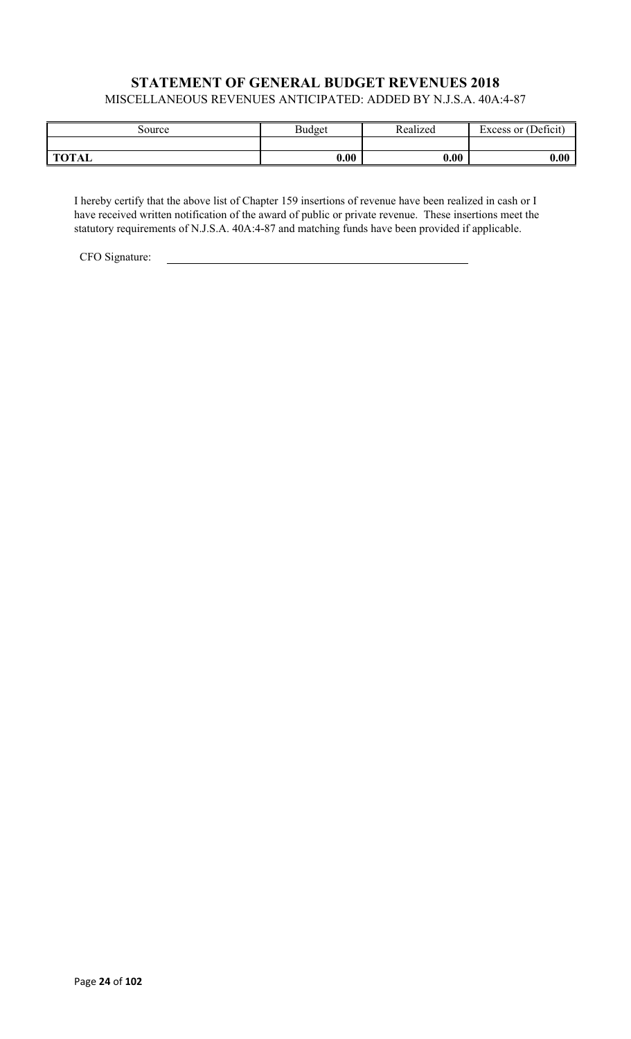### **STATEMENT OF GENERAL BUDGET REVENUES 2018** MISCELLANEOUS REVENUES ANTICIPATED: ADDED BY N.J.S.A. 40A:4-87

| Source       | <b>Budget</b> | Realized | Excess or (Deficit) |
|--------------|---------------|----------|---------------------|
|              |               |          |                     |
| <b>TOTAL</b> | 0.00          | 0.00     | 0.00                |

I hereby certify that the above list of Chapter 159 insertions of revenue have been realized in cash or I have received written notification of the award of public or private revenue. These insertions meet the statutory requirements of N.J.S.A. 40A:4-87 and matching funds have been provided if applicable.

CFO Signature: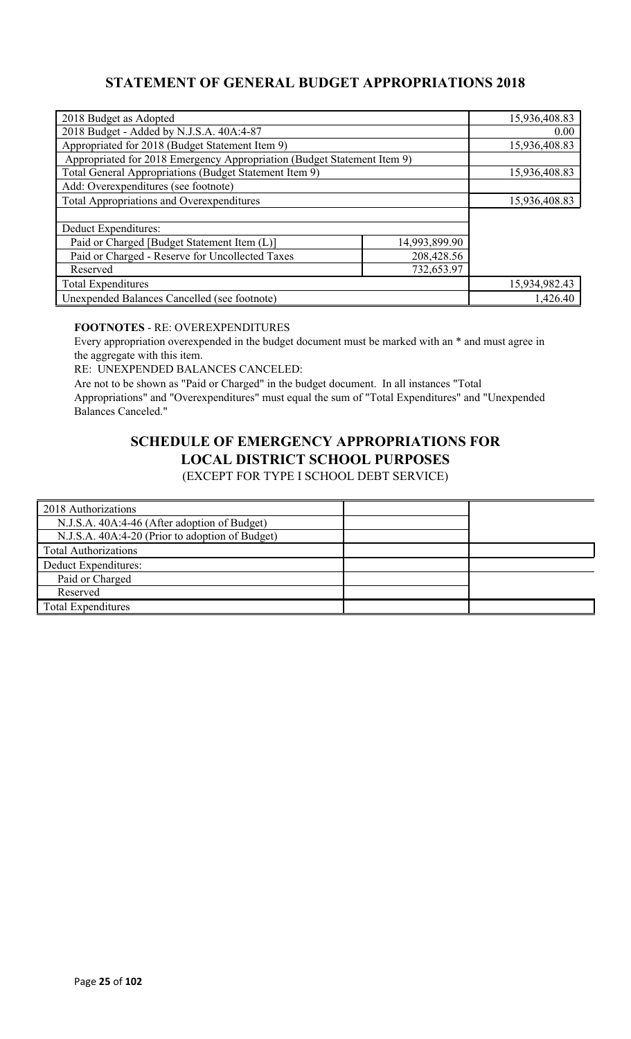## **STATEMENT OF GENERAL BUDGET APPROPRIATIONS 2018**

| 2018 Budget as Adopted                                                  |               | 15,936,408.83 |
|-------------------------------------------------------------------------|---------------|---------------|
| 2018 Budget - Added by N.J.S.A. 40A:4-87                                |               | 0.00          |
| Appropriated for 2018 (Budget Statement Item 9)                         |               | 15,936,408.83 |
| Appropriated for 2018 Emergency Appropriation (Budget Statement Item 9) |               |               |
| Total General Appropriations (Budget Statement Item 9)                  |               | 15,936,408.83 |
| Add: Overexpenditures (see footnote)                                    |               |               |
| Total Appropriations and Overexpenditures                               |               | 15,936,408.83 |
|                                                                         |               |               |
| Deduct Expenditures:                                                    |               |               |
| Paid or Charged [Budget Statement Item (L)]                             | 14,993,899.90 |               |
| Paid or Charged - Reserve for Uncollected Taxes<br>208,428.56           |               |               |
| 732,653.97<br>Reserved                                                  |               |               |
| <b>Total Expenditures</b>                                               |               | 15,934,982.43 |
| Unexpended Balances Cancelled (see footnote)                            |               | 1,426.40      |

### **FOOTNOTES** - RE: OVEREXPENDITURES

Every appropriation overexpended in the budget document must be marked with an \* and must agree in the aggregate with this item.

RE: UNEXPENDED BALANCES CANCELED:

Are not to be shown as "Paid or Charged" in the budget document. In all instances "Total Appropriations" and "Overexpenditures" must equal the sum of "Total Expenditures" and "Unexpended Balances Canceled."

# **SCHEDULE OF EMERGENCY APPROPRIATIONS FOR LOCAL DISTRICT SCHOOL PURPOSES**

(EXCEPT FOR TYPE I SCHOOL DEBT SERVICE)

| 2018 Authorizations                             |  |
|-------------------------------------------------|--|
| N.J.S.A. 40A:4-46 (After adoption of Budget)    |  |
| N.J.S.A. 40A:4-20 (Prior to adoption of Budget) |  |
| <b>Total Authorizations</b>                     |  |
| Deduct Expenditures:                            |  |
| Paid or Charged                                 |  |
| Reserved                                        |  |
| Total Expenditures                              |  |
|                                                 |  |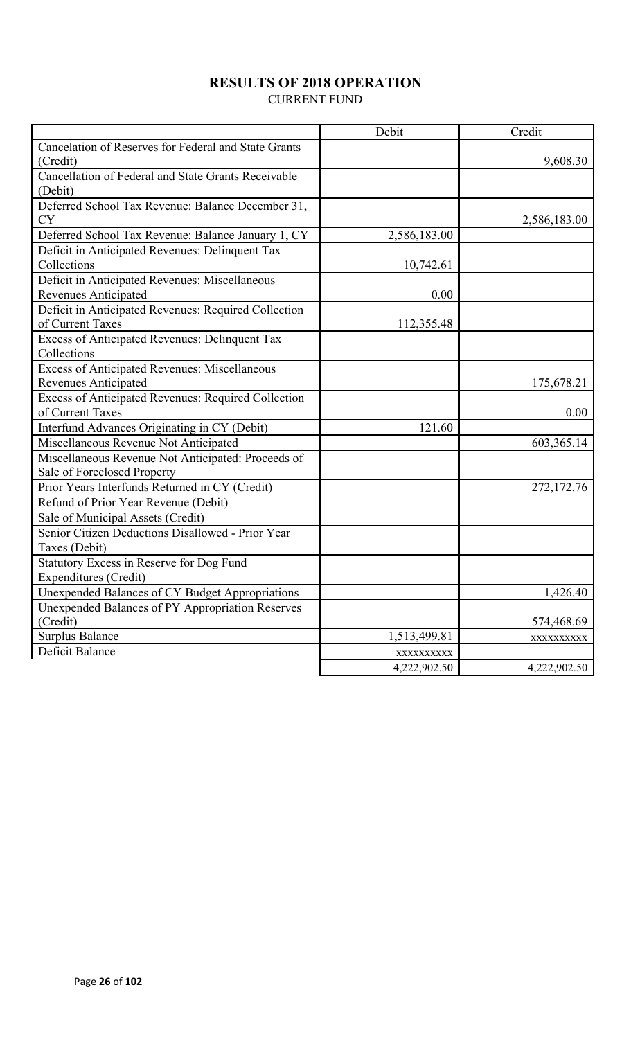## **RESULTS OF 2018 OPERATION**

CURRENT FUND

|                                                      | Debit        | Credit       |
|------------------------------------------------------|--------------|--------------|
| Cancelation of Reserves for Federal and State Grants |              |              |
| (Credit)                                             |              | 9,608.30     |
| Cancellation of Federal and State Grants Receivable  |              |              |
| (Debit)                                              |              |              |
| Deferred School Tax Revenue: Balance December 31,    |              |              |
| <b>CY</b>                                            |              | 2,586,183.00 |
| Deferred School Tax Revenue: Balance January 1, CY   | 2,586,183.00 |              |
| Deficit in Anticipated Revenues: Delinquent Tax      |              |              |
| Collections                                          | 10,742.61    |              |
| Deficit in Anticipated Revenues: Miscellaneous       |              |              |
| Revenues Anticipated                                 | 0.00         |              |
| Deficit in Anticipated Revenues: Required Collection |              |              |
| of Current Taxes                                     | 112,355.48   |              |
| Excess of Anticipated Revenues: Delinquent Tax       |              |              |
| Collections                                          |              |              |
| Excess of Anticipated Revenues: Miscellaneous        |              |              |
| <b>Revenues Anticipated</b>                          |              | 175,678.21   |
| Excess of Anticipated Revenues: Required Collection  |              |              |
| of Current Taxes                                     |              | 0.00         |
| Interfund Advances Originating in CY (Debit)         | 121.60       |              |
| Miscellaneous Revenue Not Anticipated                |              | 603,365.14   |
| Miscellaneous Revenue Not Anticipated: Proceeds of   |              |              |
| Sale of Foreclosed Property                          |              |              |
| Prior Years Interfunds Returned in CY (Credit)       |              | 272,172.76   |
| Refund of Prior Year Revenue (Debit)                 |              |              |
| Sale of Municipal Assets (Credit)                    |              |              |
| Senior Citizen Deductions Disallowed - Prior Year    |              |              |
| Taxes (Debit)                                        |              |              |
| Statutory Excess in Reserve for Dog Fund             |              |              |
| Expenditures (Credit)                                |              |              |
| Unexpended Balances of CY Budget Appropriations      |              | 1,426.40     |
| Unexpended Balances of PY Appropriation Reserves     |              |              |
| (Credit)                                             |              | 574,468.69   |
| <b>Surplus Balance</b>                               | 1,513,499.81 | XXXXXXXXX    |
| Deficit Balance                                      | XXXXXXXXX    |              |
|                                                      | 4,222,902.50 | 4,222,902.50 |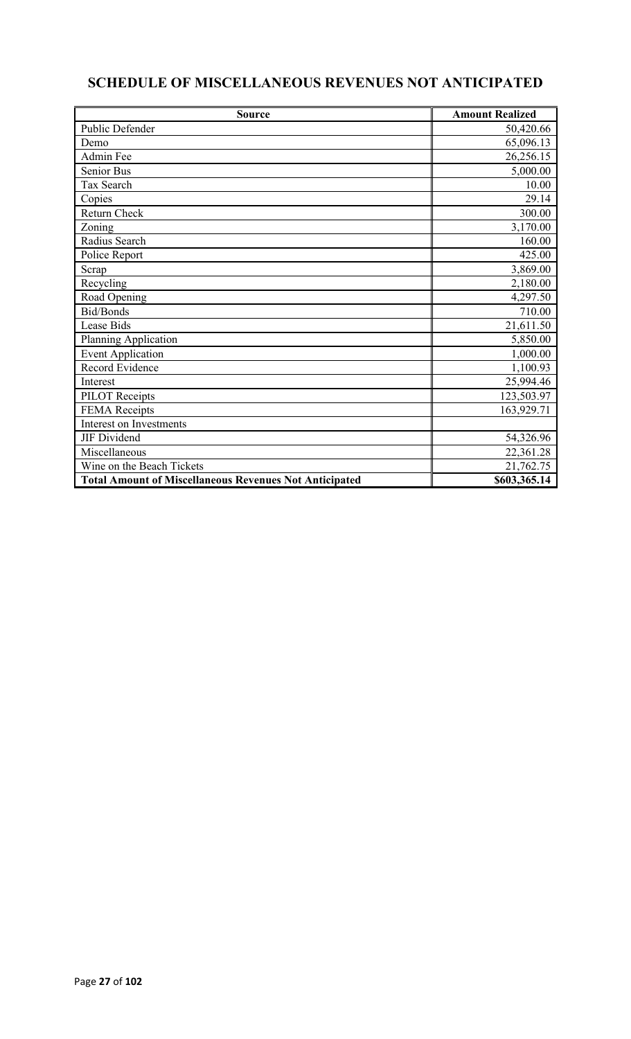# **SCHEDULE OF MISCELLANEOUS REVENUES NOT ANTICIPATED**

| <b>Source</b>                                                 | <b>Amount Realized</b> |
|---------------------------------------------------------------|------------------------|
| Public Defender                                               | 50,420.66              |
| Demo                                                          | 65,096.13              |
| Admin Fee                                                     | 26,256.15              |
| Senior Bus                                                    | 5,000.00               |
| Tax Search                                                    | 10.00                  |
| Copies                                                        | 29.14                  |
| Return Check                                                  | 300.00                 |
| Zoning                                                        | 3,170.00               |
| Radius Search                                                 | 160.00                 |
| Police Report                                                 | 425.00                 |
| Scrap                                                         | 3,869.00               |
| Recycling                                                     | 2,180.00               |
| Road Opening                                                  | 4,297.50               |
| Bid/Bonds                                                     | 710.00                 |
| Lease Bids                                                    | 21,611.50              |
| Planning Application                                          | 5,850.00               |
| <b>Event Application</b>                                      | 1,000.00               |
| Record Evidence                                               | 1,100.93               |
| Interest                                                      | 25,994.46              |
| <b>PILOT</b> Receipts                                         | 123,503.97             |
| <b>FEMA</b> Receipts                                          | 163,929.71             |
| Interest on Investments                                       |                        |
| JIF Dividend                                                  | 54,326.96              |
| Miscellaneous                                                 | 22,361.28              |
| Wine on the Beach Tickets                                     | 21,762.75              |
| <b>Total Amount of Miscellaneous Revenues Not Anticipated</b> | \$603,365.14           |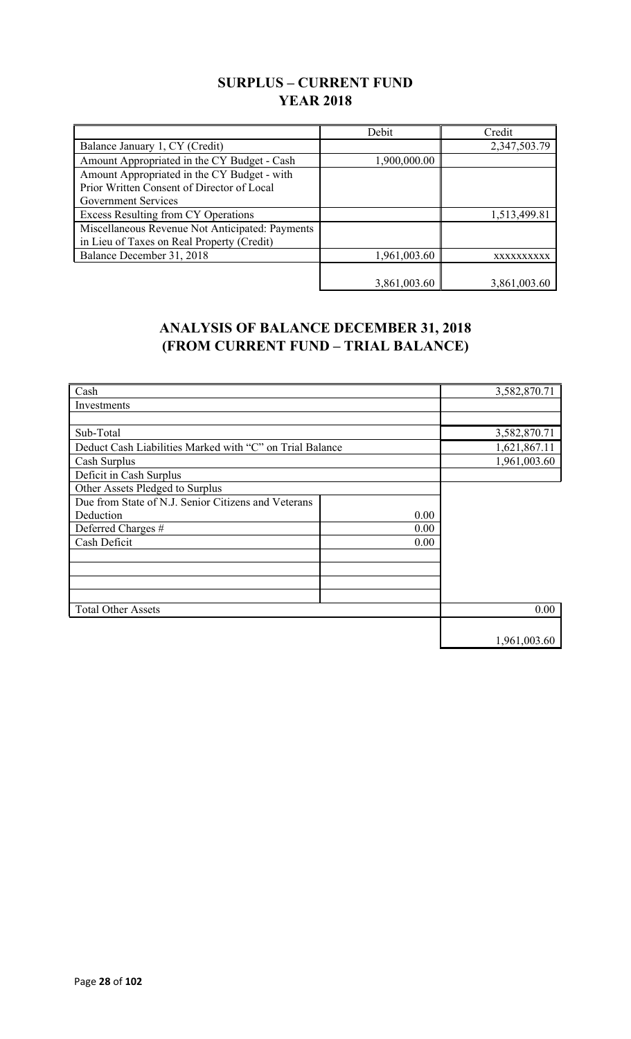## **SURPLUS – CURRENT FUND YEAR 2018**

|                                                 | Debit        | Credit       |
|-------------------------------------------------|--------------|--------------|
| Balance January 1, CY (Credit)                  |              | 2,347,503.79 |
| Amount Appropriated in the CY Budget - Cash     | 1,900,000.00 |              |
| Amount Appropriated in the CY Budget - with     |              |              |
| Prior Written Consent of Director of Local      |              |              |
| Government Services                             |              |              |
| Excess Resulting from CY Operations             |              | 1,513,499.81 |
| Miscellaneous Revenue Not Anticipated: Payments |              |              |
| in Lieu of Taxes on Real Property (Credit)      |              |              |
| Balance December 31, 2018                       | 1,961,003.60 | XXXXXXXXXX   |
|                                                 |              |              |
|                                                 | 3,861,003.60 | 3,861,003.60 |

## **ANALYSIS OF BALANCE DECEMBER 31, 2018 (FROM CURRENT FUND – TRIAL BALANCE)**

| Cash                                                     |      | 3,582,870.71 |
|----------------------------------------------------------|------|--------------|
| Investments                                              |      |              |
|                                                          |      |              |
| Sub-Total                                                |      | 3,582,870.71 |
| Deduct Cash Liabilities Marked with "C" on Trial Balance |      | 1,621,867.11 |
| Cash Surplus                                             |      | 1,961,003.60 |
| Deficit in Cash Surplus                                  |      |              |
| Other Assets Pledged to Surplus                          |      |              |
| Due from State of N.J. Senior Citizens and Veterans      |      |              |
| Deduction                                                | 0.00 |              |
| Deferred Charges #                                       | 0.00 |              |
| Cash Deficit                                             | 0.00 |              |
|                                                          |      |              |
|                                                          |      |              |
|                                                          |      |              |
|                                                          |      |              |
| <b>Total Other Assets</b>                                |      | 0.00         |
|                                                          |      |              |
|                                                          |      | 1,961,003.60 |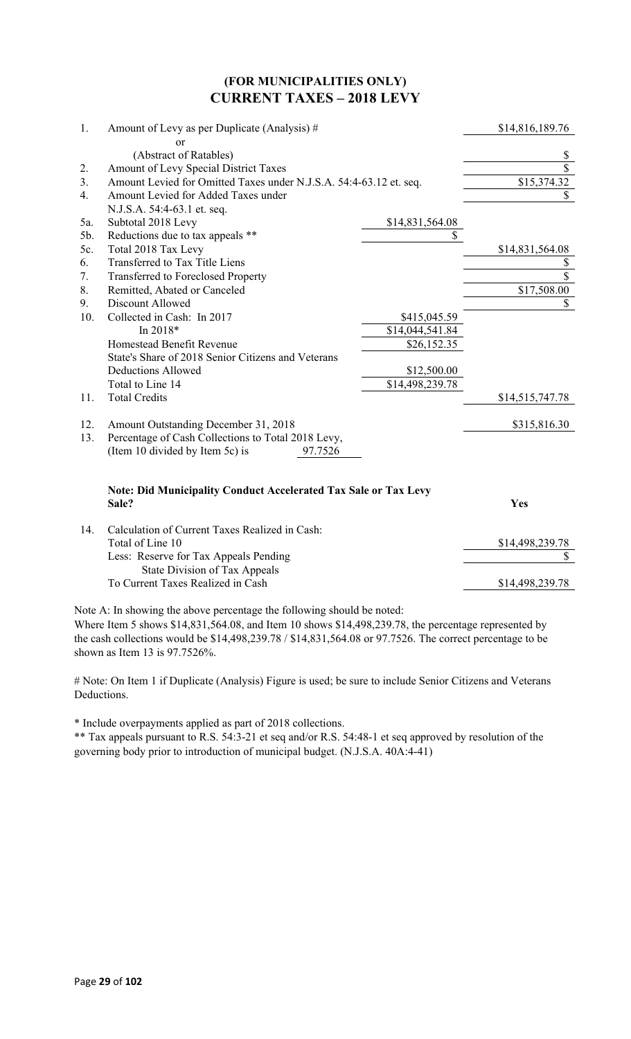### **(FOR MUNICIPALITIES ONLY) CURRENT TAXES – 2018 LEVY**

| 1.  | Amount of Levy as per Duplicate (Analysis) #                                    |                 | \$14,816,189.76 |
|-----|---------------------------------------------------------------------------------|-----------------|-----------------|
|     | or                                                                              |                 |                 |
|     | (Abstract of Ratables)                                                          |                 | \$              |
| 2.  | Amount of Levy Special District Taxes                                           |                 | \$              |
| 3.  | Amount Levied for Omitted Taxes under N.J.S.A. 54:4-63.12 et. seq.              |                 | \$15,374.32     |
| 4.  | Amount Levied for Added Taxes under                                             |                 | \$              |
|     | N.J.S.A. 54:4-63.1 et. seq.                                                     |                 |                 |
| 5a. | Subtotal 2018 Levy                                                              | \$14,831,564.08 |                 |
| 5b. | Reductions due to tax appeals **                                                | \$              |                 |
| 5c. | Total 2018 Tax Levy                                                             |                 | \$14,831,564.08 |
| 6.  | Transferred to Tax Title Liens                                                  |                 | \$              |
| 7.  | <b>Transferred to Foreclosed Property</b>                                       |                 | $\overline{\$}$ |
| 8.  | Remitted, Abated or Canceled                                                    |                 | \$17,508.00     |
| 9.  | Discount Allowed                                                                |                 | $\mathbb{S}$    |
| 10. | Collected in Cash: In 2017                                                      | \$415,045.59    |                 |
|     | In 2018*                                                                        | \$14,044,541.84 |                 |
|     | Homestead Benefit Revenue                                                       | \$26,152.35     |                 |
|     | State's Share of 2018 Senior Citizens and Veterans                              |                 |                 |
|     | <b>Deductions Allowed</b>                                                       | \$12,500.00     |                 |
|     | Total to Line 14                                                                | \$14,498,239.78 |                 |
| 11. | <b>Total Credits</b>                                                            |                 | \$14,515,747.78 |
| 12. | Amount Outstanding December 31, 2018                                            |                 | \$315,816.30    |
| 13. | Percentage of Cash Collections to Total 2018 Levy,                              |                 |                 |
|     | (Item 10 divided by Item 5c) is<br>97.7526                                      |                 |                 |
|     |                                                                                 |                 |                 |
|     | <b>Note: Did Municipality Conduct Accelerated Tax Sale or Tax Levy</b><br>Sale? |                 | Yes             |
| 14. | Calculation of Current Taxes Realized in Cash:                                  |                 |                 |
|     | Total of Line 10                                                                |                 | \$14,498,239.78 |
|     | Less: Reserve for Tax Appeals Pending                                           |                 | \$              |
|     |                                                                                 |                 |                 |

Note A: In showing the above percentage the following should be noted:

Where Item 5 shows \$14,831,564.08, and Item 10 shows \$14,498,239.78, the percentage represented by the cash collections would be \$14,498,239.78 / \$14,831,564.08 or 97.7526. The correct percentage to be shown as Item 13 is 97.7526%.

To Current Taxes Realized in Cash \$14,498,239.78

# Note: On Item 1 if Duplicate (Analysis) Figure is used; be sure to include Senior Citizens and Veterans Deductions.

\* Include overpayments applied as part of 2018 collections.

State Division of Tax Appeals

\*\* Tax appeals pursuant to R.S. 54:3-21 et seq and/or R.S. 54:48-1 et seq approved by resolution of the governing body prior to introduction of municipal budget. (N.J.S.A. 40A:4-41)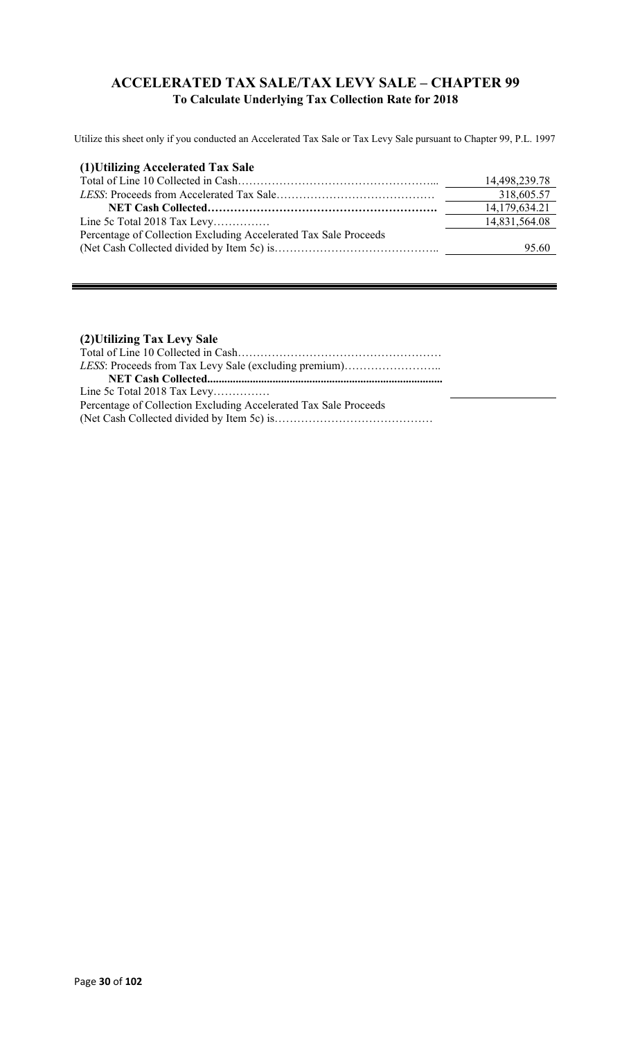### **ACCELERATED TAX SALE/TAX LEVY SALE – CHAPTER 99 To Calculate Underlying Tax Collection Rate for 2018**

Utilize this sheet only if you conducted an Accelerated Tax Sale or Tax Levy Sale pursuant to Chapter 99, P.L. 1997

| (1) Utilizing Accelerated Tax Sale                               |               |
|------------------------------------------------------------------|---------------|
|                                                                  | 14,498,239.78 |
|                                                                  | 318,605.57    |
|                                                                  | 14,179,634.21 |
| Line 5c Total 2018 Tax Levy                                      | 14,831,564.08 |
| Percentage of Collection Excluding Accelerated Tax Sale Proceeds |               |
|                                                                  | 95.60         |

### **(2)Utilizing Tax Levy Sale**

| LESS: Proceeds from Tax Levy Sale (excluding premium)            |
|------------------------------------------------------------------|
|                                                                  |
| Line 5c Total 2018 Tax Levy                                      |
| Percentage of Collection Excluding Accelerated Tax Sale Proceeds |
|                                                                  |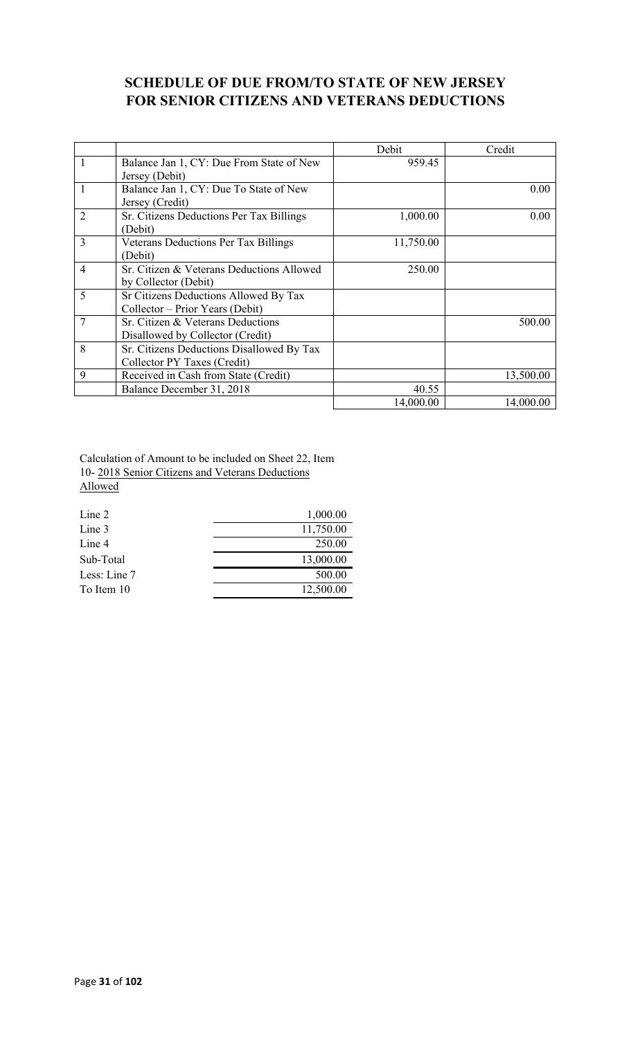## **SCHEDULE OF DUE FROM/TO STATE OF NEW JERSEY FOR SENIOR CITIZENS AND VETERANS DEDUCTIONS**

|                |                                             | Debit     | Credit    |
|----------------|---------------------------------------------|-----------|-----------|
| 1              | Balance Jan 1, CY: Due From State of New    | 959.45    |           |
|                | Jersey (Debit)                              |           |           |
| 1              | Balance Jan 1, CY: Due To State of New      |           | 0.00      |
|                | Jersey (Credit)                             |           |           |
| $\overline{2}$ | Sr. Citizens Deductions Per Tax Billings    | 1,000.00  | 0.00      |
|                | (Debit)                                     |           |           |
| $\overline{3}$ | <b>Veterans Deductions Per Tax Billings</b> | 11,750.00 |           |
|                | (Debit)                                     |           |           |
| $\overline{4}$ | Sr. Citizen & Veterans Deductions Allowed   | 250.00    |           |
|                | by Collector (Debit)                        |           |           |
| 5              | Sr Citizens Deductions Allowed By Tax       |           |           |
|                | Collector – Prior Years (Debit)             |           |           |
| $\tau$         | Sr. Citizen & Veterans Deductions           |           | 500.00    |
|                | Disallowed by Collector (Credit)            |           |           |
| 8              | Sr. Citizens Deductions Disallowed By Tax   |           |           |
|                | Collector PY Taxes (Credit)                 |           |           |
| 9              | Received in Cash from State (Credit)        |           | 13,500.00 |
|                | Balance December 31, 2018                   | 40.55     |           |
|                |                                             | 14,000.00 | 14,000.00 |

Calculation of Amount to be included on Sheet 22, Item 10- 2018 Senior Citizens and Veterans Deductions Allowed

| Line 2       | 1,000.00  |
|--------------|-----------|
| Line 3       | 11,750.00 |
| Line 4       | 250.00    |
| Sub-Total    | 13,000.00 |
| Less: Line 7 | 500.00    |
| To Item 10   | 12,500.00 |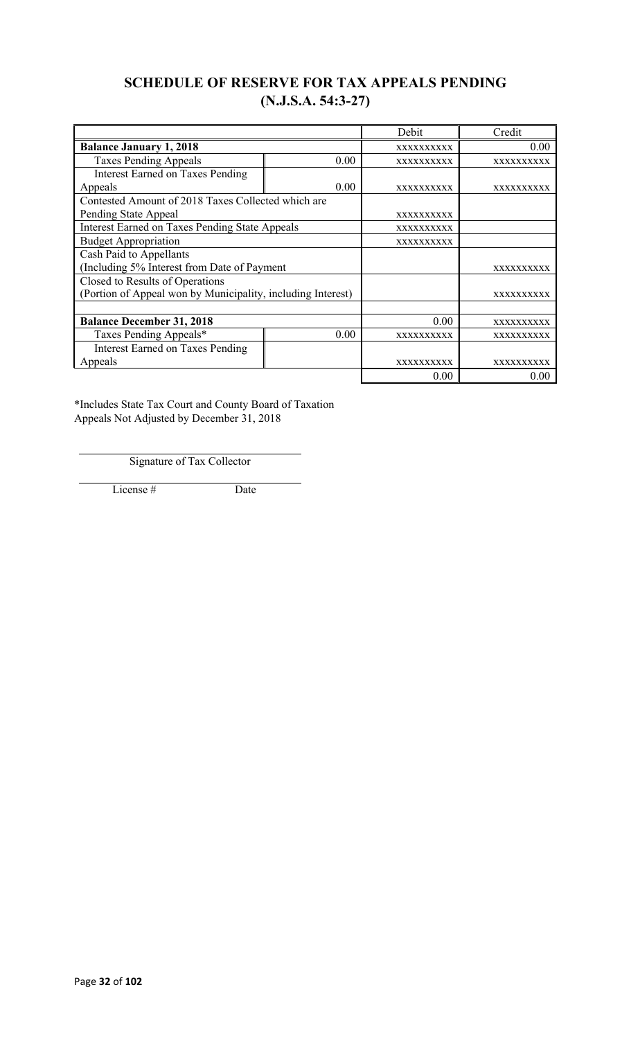## **SCHEDULE OF RESERVE FOR TAX APPEALS PENDING (N.J.S.A. 54:3-27)**

|                                                             |                   | Debit             | Credit            |  |  |  |
|-------------------------------------------------------------|-------------------|-------------------|-------------------|--|--|--|
| <b>Balance January 1, 2018</b>                              |                   | XXXXXXXXXX        | 0.00              |  |  |  |
| <b>Taxes Pending Appeals</b>                                | 0.00              | <b>XXXXXXXXXX</b> | XXXXXXXXXX        |  |  |  |
| <b>Interest Earned on Taxes Pending</b>                     |                   |                   |                   |  |  |  |
| Appeals                                                     | 0.00              | <b>XXXXXXXXXX</b> | <b>XXXXXXXXXX</b> |  |  |  |
| Contested Amount of 2018 Taxes Collected which are          |                   |                   |                   |  |  |  |
| Pending State Appeal                                        |                   | XXXXXXXXXX        |                   |  |  |  |
| <b>Interest Earned on Taxes Pending State Appeals</b>       |                   | <b>XXXXXXXXXX</b> |                   |  |  |  |
| <b>Budget Appropriation</b>                                 |                   | XXXXXXXXXX        |                   |  |  |  |
| Cash Paid to Appellants                                     |                   |                   |                   |  |  |  |
| (Including 5% Interest from Date of Payment                 |                   |                   | XXXXXXXXXX        |  |  |  |
| Closed to Results of Operations                             |                   |                   |                   |  |  |  |
| (Portion of Appeal won by Municipality, including Interest) |                   |                   | <b>XXXXXXXXXX</b> |  |  |  |
|                                                             |                   |                   |                   |  |  |  |
| <b>Balance December 31, 2018</b>                            |                   | 0.00              | <b>XXXXXXXXXX</b> |  |  |  |
| Taxes Pending Appeals*                                      | XXXXXXXXXX        | XXXXXXXXXX        |                   |  |  |  |
| <b>Interest Earned on Taxes Pending</b>                     |                   |                   |                   |  |  |  |
| Appeals                                                     | <b>XXXXXXXXXX</b> | xxxxxxxxxx        |                   |  |  |  |
|                                                             |                   | 0.00              | 0.00              |  |  |  |

\*Includes State Tax Court and County Board of Taxation Appeals Not Adjusted by December 31, 2018

Signature of Tax Collector

License # Date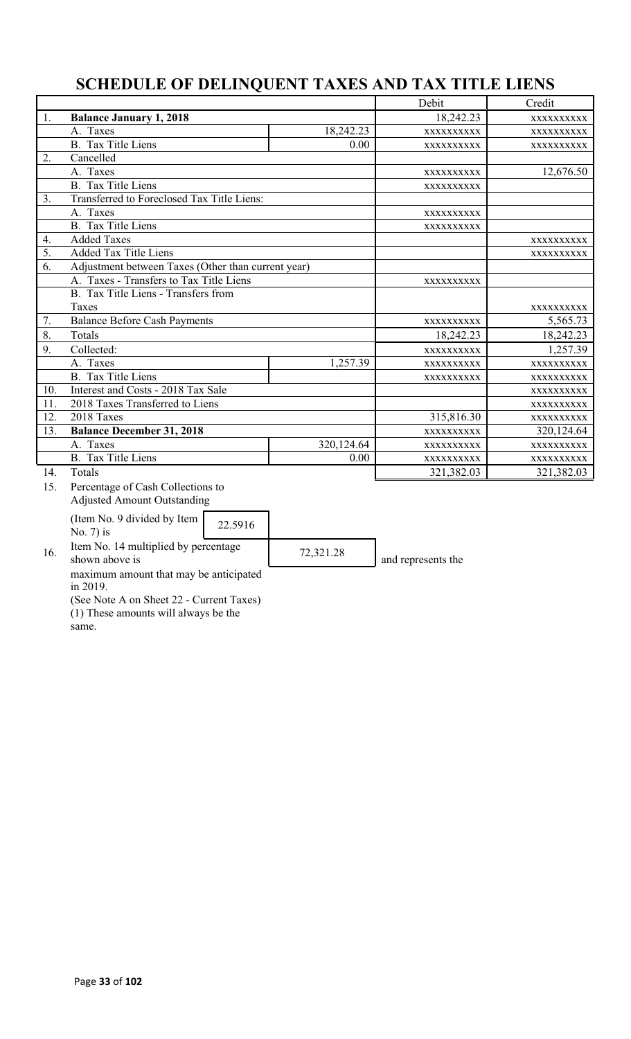# **SCHEDULE OF DELINQUENT TAXES AND TAX TITLE LIENS**

|                  |                                                        |            | Debit      | Credit     |
|------------------|--------------------------------------------------------|------------|------------|------------|
| 1.               | <b>Balance January 1, 2018</b>                         |            | 18,242.23  | XXXXXXXXXX |
|                  | A. Taxes                                               | 18,242.23  | XXXXXXXXXX | XXXXXXXXXX |
|                  | <b>B.</b> Tax Title Liens                              | 0.00       | XXXXXXXXXX | XXXXXXXXXX |
| 2.               | Cancelled                                              |            |            |            |
|                  | A. Taxes                                               |            | XXXXXXXXXX | 12,676.50  |
|                  | <b>B.</b> Tax Title Liens                              |            | XXXXXXXXXX |            |
| 3.               | Transferred to Foreclosed Tax Title Liens:             |            |            |            |
|                  | A. Taxes                                               |            | XXXXXXXXXX |            |
|                  | <b>B.</b> Tax Title Liens                              |            | XXXXXXXXXX |            |
| 4.               | <b>Added Taxes</b>                                     |            |            | XXXXXXXXXX |
| $\overline{5}$ . | <b>Added Tax Title Liens</b>                           |            |            | XXXXXXXXXX |
| 6.               | Adjustment between Taxes (Other than current year)     |            |            |            |
|                  | A. Taxes - Transfers to Tax Title Liens                |            | XXXXXXXXXX |            |
|                  | B. Tax Title Liens - Transfers from                    |            |            |            |
|                  | Taxes                                                  |            |            | XXXXXXXXXX |
| 7.               | <b>Balance Before Cash Payments</b>                    | XXXXXXXXXX | 5,565.73   |            |
| 8.               | Totals                                                 |            | 18,242.23  | 18,242.23  |
| 9.               | Collected:                                             |            | XXXXXXXXXX | 1,257.39   |
|                  | A. Taxes                                               | 1,257.39   | XXXXXXXXXX | XXXXXXXXXX |
|                  | <b>B.</b> Tax Title Liens                              |            | XXXXXXXXXX | XXXXXXXXXX |
| 10.              | Interest and Costs - 2018 Tax Sale                     |            |            | XXXXXXXXX  |
| 11.              | 2018 Taxes Transferred to Liens                        |            |            | XXXXXXXXXX |
| 12.              | 2018 Taxes                                             |            | 315,816.30 | XXXXXXXXXX |
| 13.              | <b>Balance December 31, 2018</b>                       |            | XXXXXXXXXX | 320,124.64 |
|                  | A. Taxes                                               | 320,124.64 | XXXXXXXXXX | XXXXXXXXXX |
|                  | B. Tax Title Liens                                     | 0.00       | XXXXXXXXXX | XXXXXXXXXX |
| 14.              | Totals                                                 |            | 321,382.03 | 321,382.03 |
| 15.              | Percentage of Cash Collections to                      |            |            |            |
|                  | <b>Adjusted Amount Outstanding</b>                     |            |            |            |
|                  | (Item No. 9 divided by Item<br>22.5916<br>No. $7$ ) is |            |            |            |
|                  | Itam $\mathbf{M}_{\alpha}$ , 14 multiplied by november |            |            |            |

16. Item No. 14 multiplied by percentage <br>  $\begin{array}{|l|l|}\n 72,321.28 \\
\hline\n 0,321.28\n \end{array}$  and represents the

maximum amount that may be anticipated in 2019.

(See Note A on Sheet 22 - Current Taxes) (1) These amounts will always be the

same.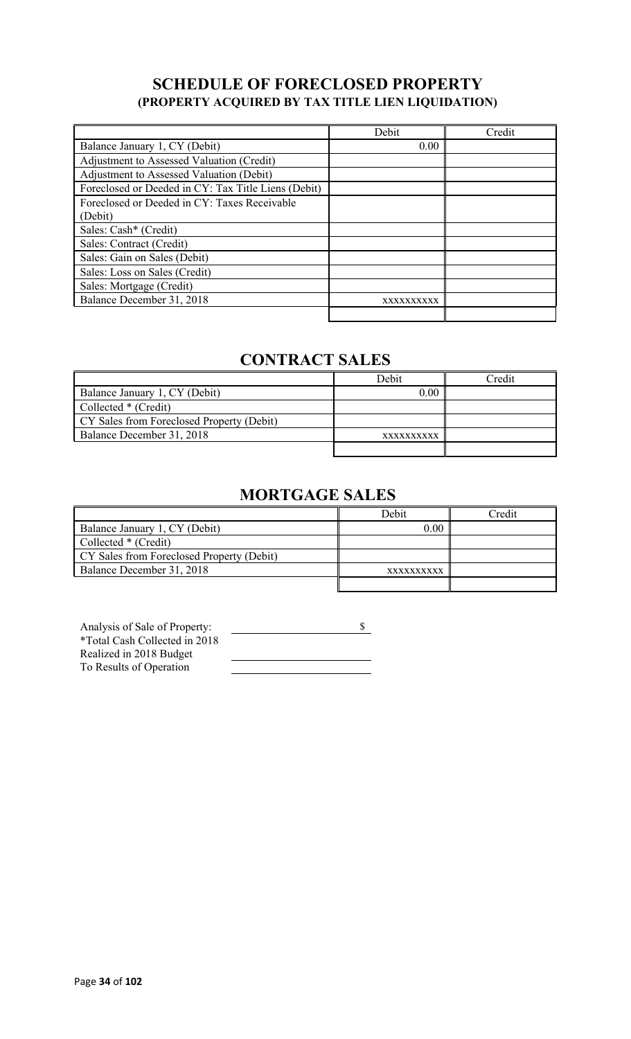## **SCHEDULE OF FORECLOSED PROPERTY (PROPERTY ACQUIRED BY TAX TITLE LIEN LIQUIDATION)**

|                                                     | Debit      | Credit |
|-----------------------------------------------------|------------|--------|
| Balance January 1, CY (Debit)                       | 0.00       |        |
| Adjustment to Assessed Valuation (Credit)           |            |        |
| Adjustment to Assessed Valuation (Debit)            |            |        |
| Foreclosed or Deeded in CY: Tax Title Liens (Debit) |            |        |
| Foreclosed or Deeded in CY: Taxes Receivable        |            |        |
| (Debit)                                             |            |        |
| Sales: Cash* (Credit)                               |            |        |
| Sales: Contract (Credit)                            |            |        |
| Sales: Gain on Sales (Debit)                        |            |        |
| Sales: Loss on Sales (Credit)                       |            |        |
| Sales: Mortgage (Credit)                            |            |        |
| Balance December 31, 2018                           | XXXXXXXXXX |        |
|                                                     |            |        |

# **CONTRACT SALES**

|                                           | Debit      | <b>Tredit</b> |
|-------------------------------------------|------------|---------------|
| Balance January 1, CY (Debit)             | 0.00       |               |
| Collected * (Credit)                      |            |               |
| CY Sales from Foreclosed Property (Debit) |            |               |
| Balance December 31, 2018                 | XXXXXXXXXX |               |
|                                           |            |               |

# **MORTGAGE SALES**

|                                           | Debit      | Credit |
|-------------------------------------------|------------|--------|
| Balance January 1, CY (Debit)             | 0.00       |        |
| Collected * (Credit)                      |            |        |
| CY Sales from Foreclosed Property (Debit) |            |        |
| Balance December 31, 2018                 | XXXXXXXXXX |        |
|                                           |            |        |

| Analysis of Sale of Property: |  |
|-------------------------------|--|
| *Total Cash Collected in 2018 |  |
| Realized in 2018 Budget       |  |
| To Results of Operation       |  |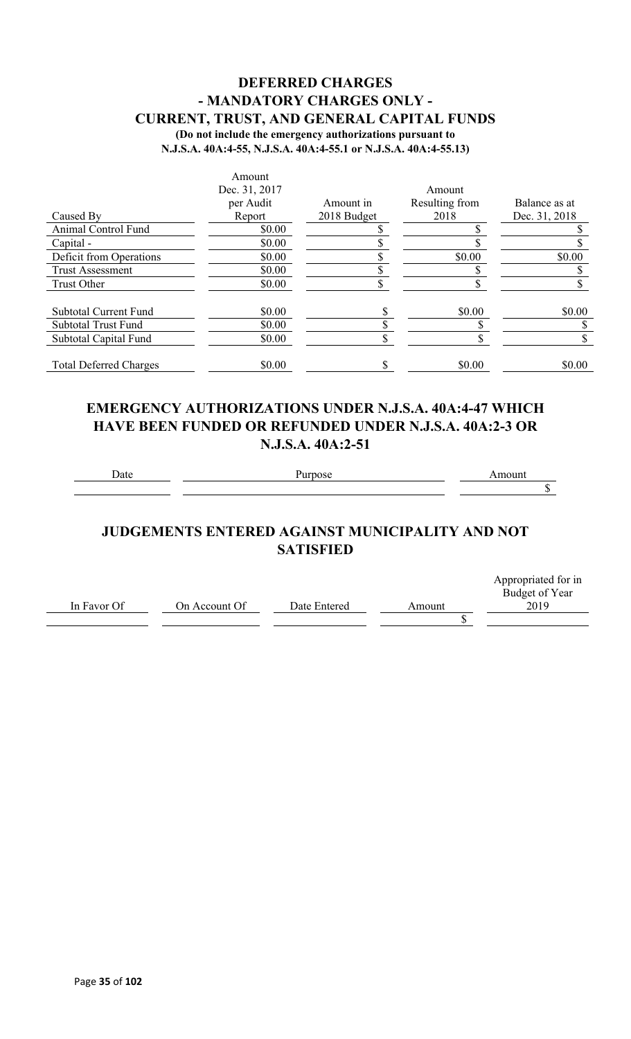### **DEFERRED CHARGES - MANDATORY CHARGES ONLY - CURRENT, TRUST, AND GENERAL CAPITAL FUNDS (Do not include the emergency authorizations pursuant to**

**N.J.S.A. 40A:4-55, N.J.S.A. 40A:4-55.1 or N.J.S.A. 40A:4-55.13)**

|                               | Amount        |             |                |               |
|-------------------------------|---------------|-------------|----------------|---------------|
|                               | Dec. 31, 2017 |             | Amount         |               |
|                               | per Audit     | Amount in   | Resulting from | Balance as at |
| Caused By                     | Report        | 2018 Budget | 2018           | Dec. 31, 2018 |
| Animal Control Fund           | \$0.00        |             |                |               |
| Capital -                     | \$0.00        |             |                |               |
| Deficit from Operations       | \$0.00        |             | \$0.00         | \$0.00        |
| <b>Trust Assessment</b>       | \$0.00        |             |                |               |
| Trust Other                   | \$0.00        |             |                |               |
| <b>Subtotal Current Fund</b>  | \$0.00        |             | \$0.00         | \$0.00        |
| <b>Subtotal Trust Fund</b>    | \$0.00        |             |                |               |
| Subtotal Capital Fund         | \$0.00        |             |                |               |
| <b>Total Deferred Charges</b> | \$0.00        |             | \$0.00         | \$0.00        |

### **EMERGENCY AUTHORIZATIONS UNDER N.J.S.A. 40A:4-47 WHICH HAVE BEEN FUNDED OR REFUNDED UNDER N.J.S.A. 40A:2-3 OR N.J.S.A. 40A:2-51**

Date Purpose **Purpose** Amount

 $\overline{\$}$ 

## **JUDGEMENTS ENTERED AGAINST MUNICIPALITY AND NOT SATISFIED**

|             |               |              |        | Appropriated for in |
|-------------|---------------|--------------|--------|---------------------|
|             |               |              |        | Budget of Year      |
| In Favor Of | On Account Of | Date Entered | Amount | 2019                |
|             |               |              |        |                     |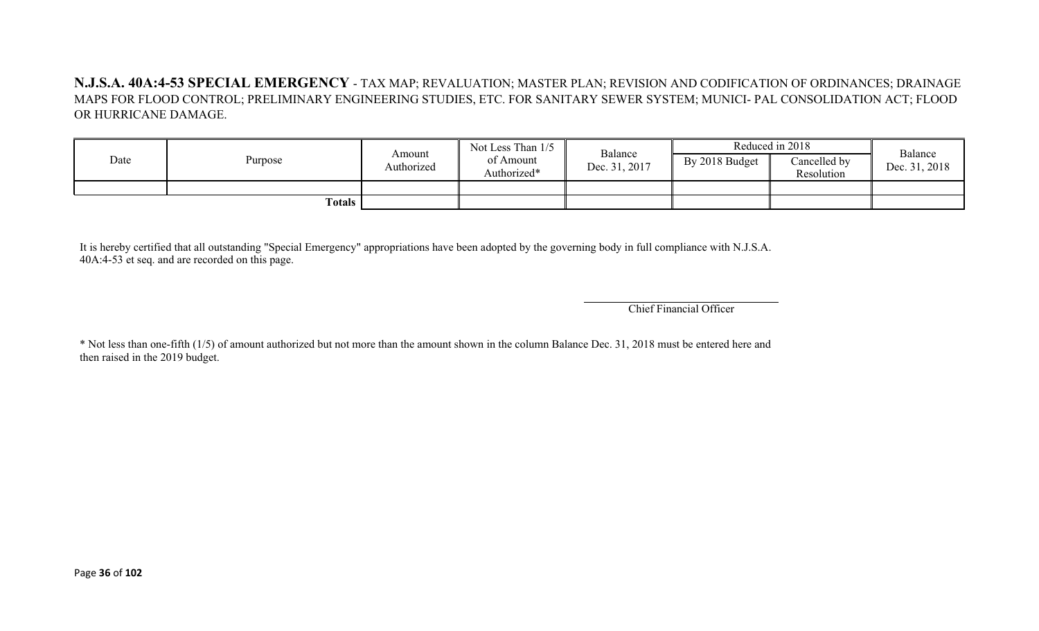**N.J.S.A. 40A:4-53 SPECIAL EMERGENCY** - TAX MAP; REVALUATION; MASTER PLAN; REVISION AND CODIFICATION OF ORDINANCES; DRAINAGE MAPS FOR FLOOD CONTROL; PRELIMINARY ENGINEERING STUDIES, ETC. FOR SANITARY SEWER SYSTEM; MUNICI- PAL CONSOLIDATION ACT; FLOOD OR HURRICANE DAMAGE.

| Date   | Purpose | Amount<br>Authorized | Not Less Than 1/5<br>of Amount<br>Authorized* | Balance<br>Dec. 31, 2017 | By 2018 Budget | Reduced in 2018<br>Cancelled by<br>Resolution | Balance<br>Dec. 31, 2018 |
|--------|---------|----------------------|-----------------------------------------------|--------------------------|----------------|-----------------------------------------------|--------------------------|
|        |         |                      |                                               |                          |                |                                               |                          |
| Totals |         |                      |                                               |                          |                |                                               |                          |

It is hereby certified that all outstanding "Special Emergency" appropriations have been adopted by the governing body in full compliance with N.J.S.A. 40A:4-53 et seq. and are recorded on this page.

Chief Financial Officer

\* Not less than one-fifth (1/5) of amount authorized but not more than the amount shown in the column Balance Dec. 31, 2018 must be entered here and then raised in the 2019 budget.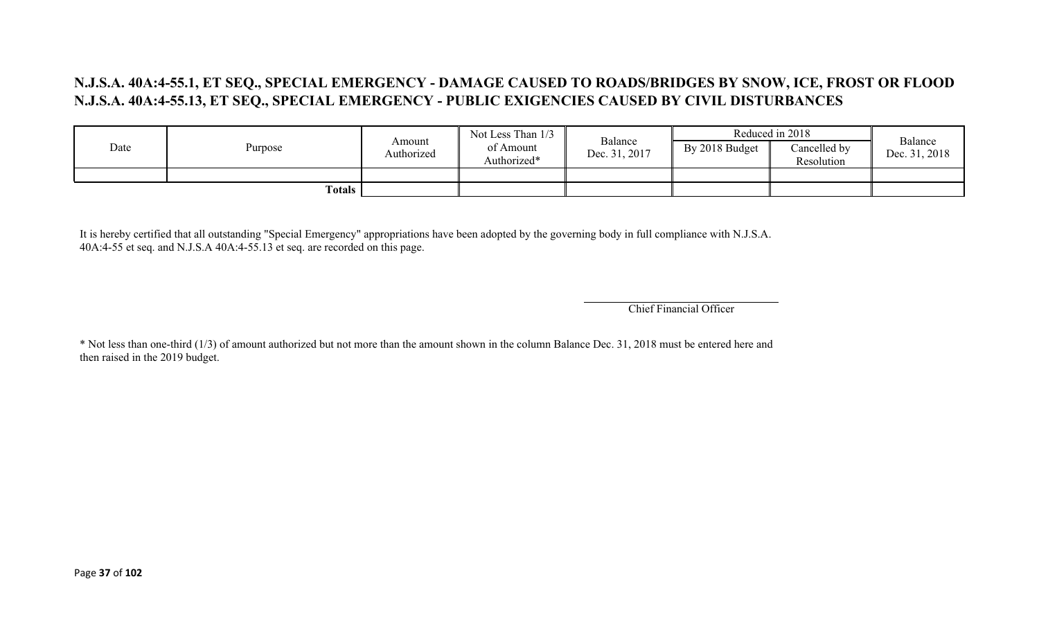## **N.J.S.A. 40A:4-55.1, ET SEQ., SPECIAL EMERGENCY - DAMAGE CAUSED TO ROADS/BRIDGES BY SNOW, ICE, FROST OR FLOOD N.J.S.A. 40A:4-55.13, ET SEQ., SPECIAL EMERGENCY - PUBLIC EXIGENCIES CAUSED BY CIVIL DISTURBANCES**

|      |         |                      | Not Less Than 1/3        |                          |                | Reduced in 2018            | Balance       |
|------|---------|----------------------|--------------------------|--------------------------|----------------|----------------------------|---------------|
| Date | Purpose | Amount<br>Authorized | of Amount<br>Authorized* | Balance<br>Dec. 31, 2017 | By 2018 Budget | Cancelled by<br>Resolution | Dec. 31, 2018 |
|      |         |                      |                          |                          |                |                            |               |
|      | Totals  |                      |                          |                          |                |                            |               |

It is hereby certified that all outstanding "Special Emergency" appropriations have been adopted by the governing body in full compliance with N.J.S.A. 40A:4-55 et seq. and N.J.S.A 40A:4-55.13 et seq. are recorded on this page.

Chief Financial Officer

\* Not less than one-third (1/3) of amount authorized but not more than the amount shown in the column Balance Dec. 31, 2018 must be entered here and then raised in the 2019 budget.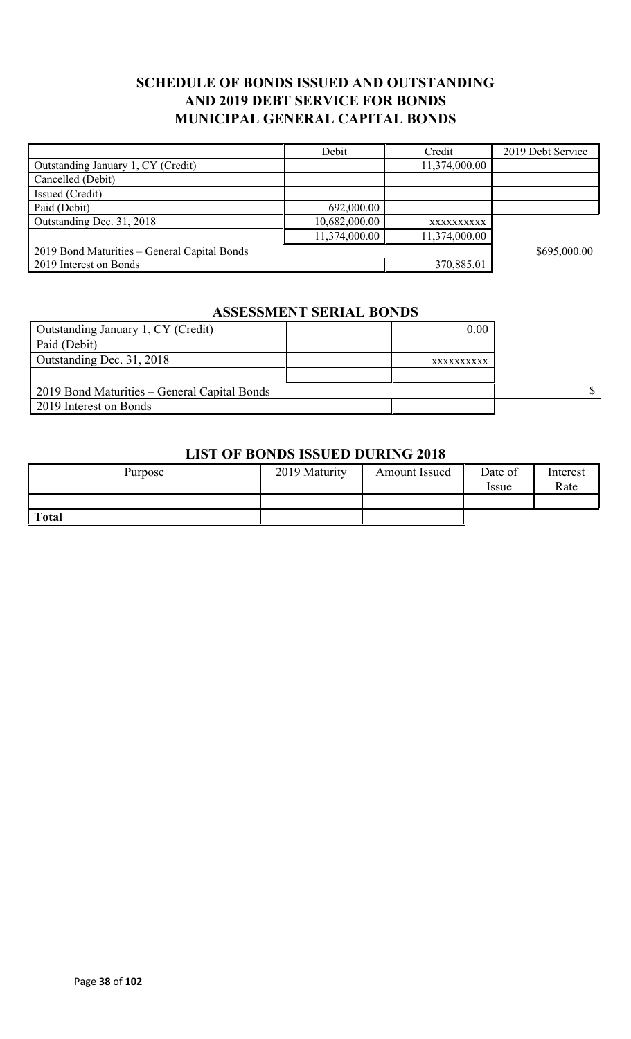## **SCHEDULE OF BONDS ISSUED AND OUTSTANDING AND 2019 DEBT SERVICE FOR BONDS MUNICIPAL GENERAL CAPITAL BONDS**

|                                              | Debit         | Credit        | 2019 Debt Service |
|----------------------------------------------|---------------|---------------|-------------------|
| Outstanding January 1, CY (Credit)           |               | 11,374,000.00 |                   |
| Cancelled (Debit)                            |               |               |                   |
| Issued (Credit)                              |               |               |                   |
| Paid (Debit)                                 | 692,000.00    |               |                   |
| Outstanding Dec. 31, 2018                    | 10,682,000.00 | XXXXXXXXXX    |                   |
|                                              | 11,374,000.00 | 11,374,000.00 |                   |
| 2019 Bond Maturities – General Capital Bonds |               |               | \$695,000.00      |
| 2019 Interest on Bonds                       |               | 370,885.01    |                   |

#### **ASSESSMENT SERIAL BONDS**

| Outstanding January 1, CY (Credit)           | 0.00       |  |
|----------------------------------------------|------------|--|
| Paid (Debit)                                 |            |  |
| Outstanding Dec. 31, 2018                    | XXXXXXXXXX |  |
|                                              |            |  |
| 2019 Bond Maturities – General Capital Bonds |            |  |
| 2019 Interest on Bonds                       |            |  |

### **LIST OF BONDS ISSUED DURING 2018**

| Purpose      | 2019 Maturity | Amount Issued | Date of<br>Issue | Interest<br>Rate |
|--------------|---------------|---------------|------------------|------------------|
|              |               |               |                  |                  |
| <b>Total</b> |               |               |                  |                  |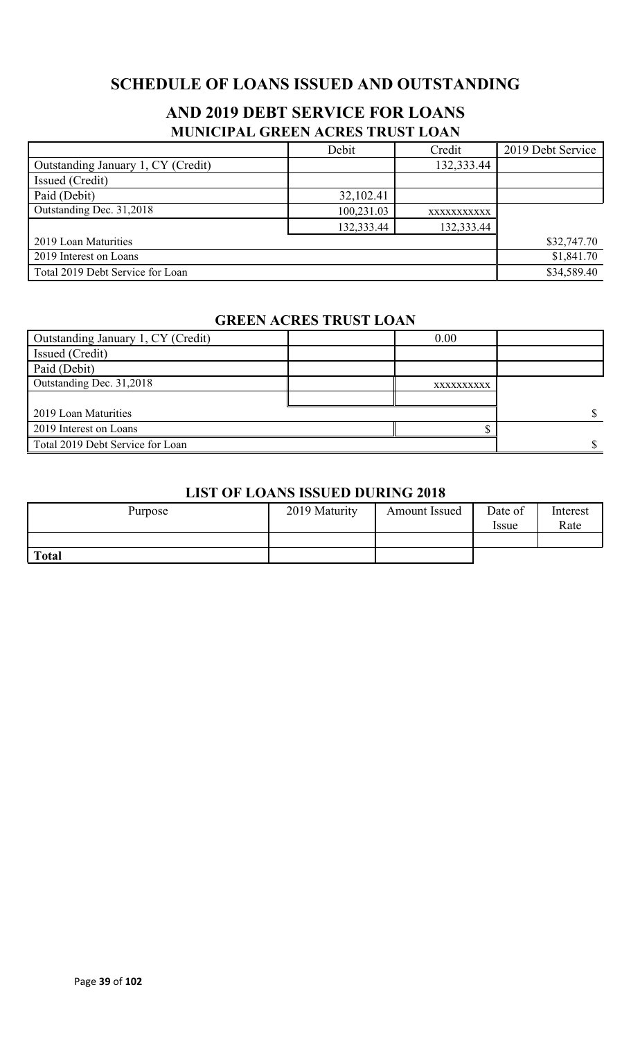# **SCHEDULE OF LOANS ISSUED AND OUTSTANDING**

# **AND 2019 DEBT SERVICE FOR LOANS MUNICIPAL GREEN ACRES TRUST LOAN**

|                                    | Debit      | Credit      | 2019 Debt Service |
|------------------------------------|------------|-------------|-------------------|
| Outstanding January 1, CY (Credit) |            | 132,333.44  |                   |
| Issued (Credit)                    |            |             |                   |
| Paid (Debit)                       | 32,102.41  |             |                   |
| Outstanding Dec. 31,2018           | 100,231.03 | XXXXXXXXXXX |                   |
|                                    | 132,333.44 | 132,333.44  |                   |
| 2019 Loan Maturities               |            |             | \$32,747.70       |
| 2019 Interest on Loans             |            |             | \$1,841.70        |
| Total 2019 Debt Service for Loan   |            |             | \$34,589.40       |

### **GREEN ACRES TRUST LOAN**

| Outstanding January 1, CY (Credit) | 0.00       |  |
|------------------------------------|------------|--|
| Issued (Credit)                    |            |  |
| Paid (Debit)                       |            |  |
| Outstanding Dec. 31,2018           | XXXXXXXXXX |  |
|                                    |            |  |
| 2019 Loan Maturities               |            |  |
| 2019 Interest on Loans             |            |  |
| Total 2019 Debt Service for Loan   |            |  |

### **LIST OF LOANS ISSUED DURING 2018**

| Purpose      | 2019 Maturity | <b>Amount Issued</b> | Date of<br><i>Issue</i> | Interest<br>Rate |
|--------------|---------------|----------------------|-------------------------|------------------|
|              |               |                      |                         |                  |
| <b>Total</b> |               |                      |                         |                  |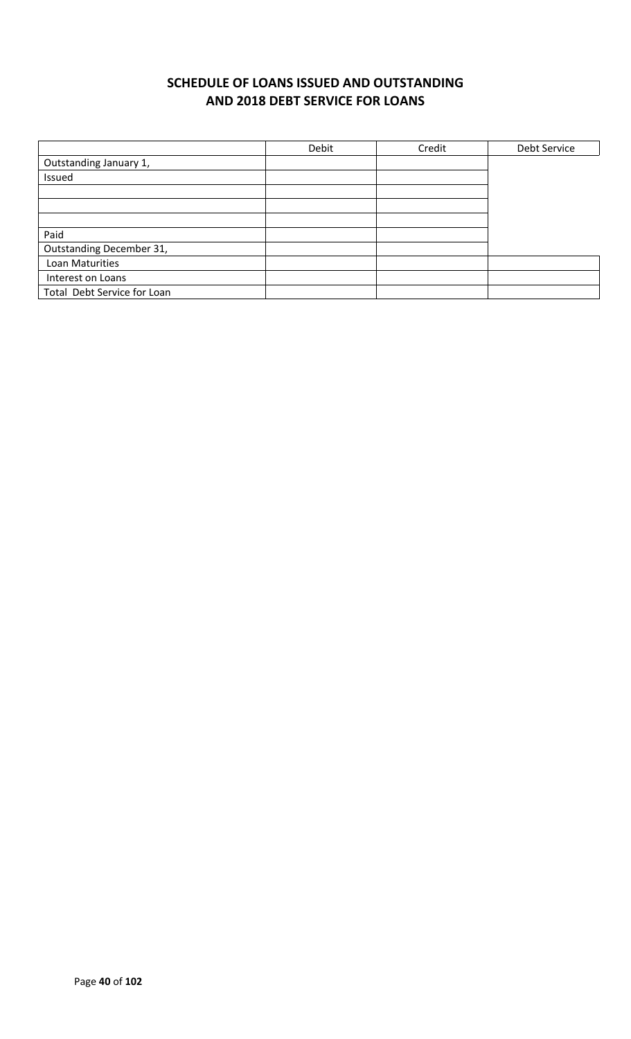# **SCHEDULE OF LOANS ISSUED AND OUTSTANDING AND 2018 DEBT SERVICE FOR LOANS**

|                             | Debit | Credit | Debt Service |
|-----------------------------|-------|--------|--------------|
| Outstanding January 1,      |       |        |              |
| Issued                      |       |        |              |
|                             |       |        |              |
|                             |       |        |              |
|                             |       |        |              |
| Paid                        |       |        |              |
| Outstanding December 31,    |       |        |              |
| Loan Maturities             |       |        |              |
| Interest on Loans           |       |        |              |
| Total Debt Service for Loan |       |        |              |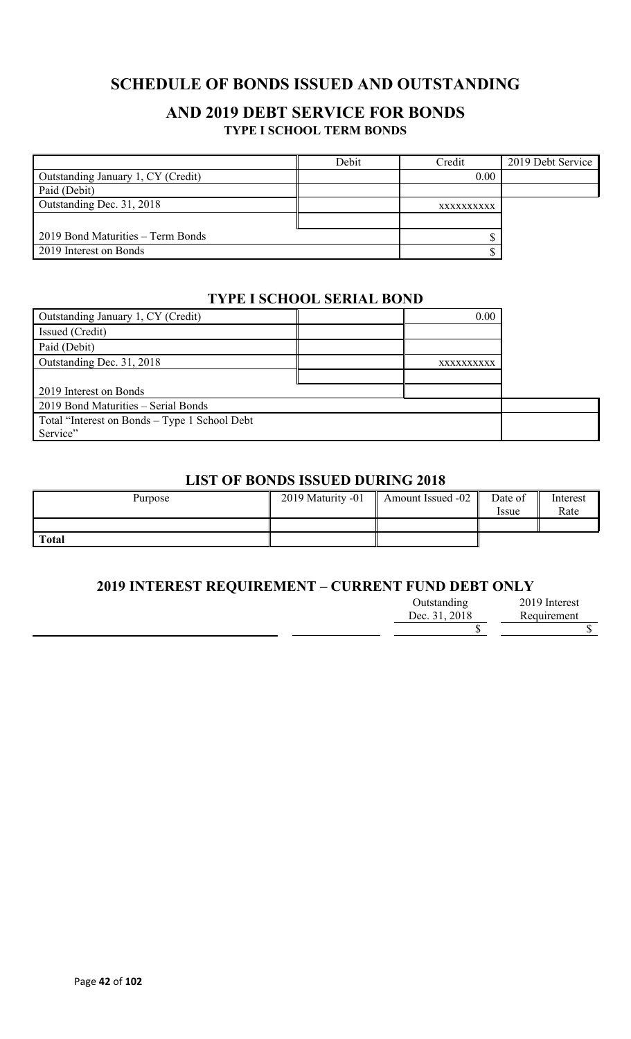# **SCHEDULE OF BONDS ISSUED AND OUTSTANDING**

### **AND 2019 DEBT SERVICE FOR BONDS TYPE I SCHOOL TERM BONDS**

|                                    | Debit | Credit     | 2019 Debt Service |
|------------------------------------|-------|------------|-------------------|
| Outstanding January 1, CY (Credit) |       | 0.00       |                   |
| Paid (Debit)                       |       |            |                   |
| Outstanding Dec. 31, 2018          |       | XXXXXXXXXX |                   |
|                                    |       |            |                   |
| 2019 Bond Maturities – Term Bonds  |       |            |                   |
| 2019 Interest on Bonds             |       |            |                   |

### **TYPE I SCHOOL SERIAL BOND**

| Outstanding January 1, CY (Credit)            | 0.00       |  |
|-----------------------------------------------|------------|--|
| Issued (Credit)                               |            |  |
| Paid (Debit)                                  |            |  |
| Outstanding Dec. 31, 2018                     | XXXXXXXXXX |  |
|                                               |            |  |
| 2019 Interest on Bonds                        |            |  |
| 2019 Bond Maturities - Serial Bonds           |            |  |
| Total "Interest on Bonds – Type 1 School Debt |            |  |
| Service"                                      |            |  |

### **LIST OF BONDS ISSUED DURING 2018**

| Purpose      | 2019 Maturity -01 | Amount Issued -02 | Date of<br><i>Issue</i> | Interest<br>Rate |
|--------------|-------------------|-------------------|-------------------------|------------------|
|              |                   |                   |                         |                  |
| <b>Total</b> |                   |                   |                         |                  |

### **2019 INTEREST REQUIREMENT – CURRENT FUND DEBT ONLY**

| Outstanding   | 2019 Interest |
|---------------|---------------|
| Dec. 31, 2018 | Requirement   |
|               |               |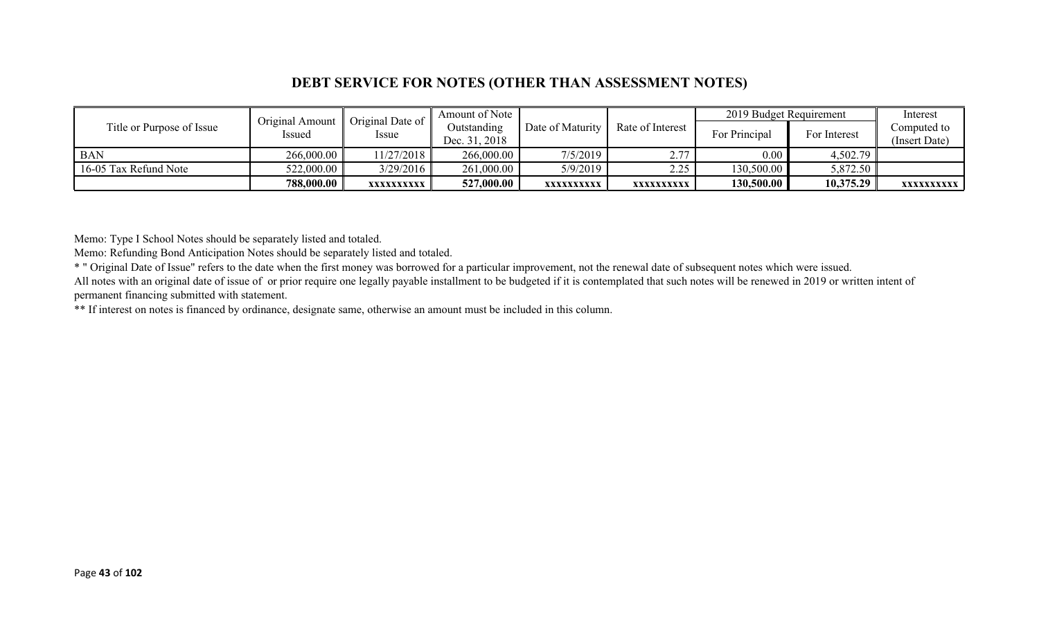### **DEBT SERVICE FOR NOTES (OTHER THAN ASSESSMENT NOTES)**

|                           | Original Amount | Original Date of | Amount of Note |                  |                  | 2019 Budget Requirement |              | Interest      |
|---------------------------|-----------------|------------------|----------------|------------------|------------------|-------------------------|--------------|---------------|
| Title or Purpose of Issue | Issued          |                  | Outstanding    | Date of Maturity | Rate of Interest | For Principal           | For Interest | Computed to   |
|                           |                 | Issue            | Dec. 31, 2018  |                  |                  |                         |              | (Insert Date) |
| <b>BAN</b>                | 266,000.00      | 11/27/2018       | 266,000.00     | $7/5/2019$       | 2 77             | $0.00\,$                | 4,502.79     |               |
| 16-05 Tax Refund Note     | 522,000.00      | 3/29/2016        | 261,000.00     | 5/9/2019         | 2.25             | 130,500.00              | 5,872.50     |               |
|                           | 788,000.00      | XXXXXXXXXX       | 527,000.00     | XXXXXXXXXX       | XXXXXXXXXX       | 130,500.00              | 10,375.29    | XXXXXXXXXX    |

Memo: Type I School Notes should be separately listed and totaled.

Memo: Refunding Bond Anticipation Notes should be separately listed and totaled.

\* " Original Date of Issue" refers to the date when the first money was borrowed for a particular improvement, not the renewal date of subsequent notes which were issued.

All notes with an original date of issue of or prior require one legally payable installment to be budgeted if it is contemplated that such notes will be renewed in 2019 or written intent of permanent financing submitted with statement.

\*\* If interest on notes is financed by ordinance, designate same, otherwise an amount must be included in this column.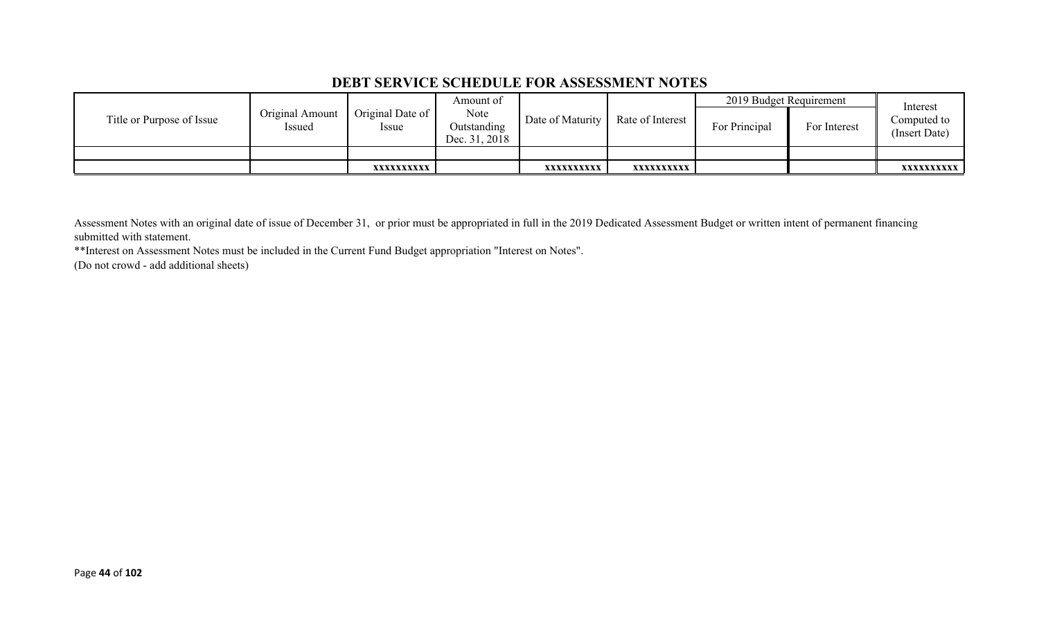### **DEBT SERVICE SCHEDULE FOR ASSESSMENT NOTES**

|                           |                           |                                 | Amount of                            |                  |                  | 2019 Budget Requirement |              | Interest                     |
|---------------------------|---------------------------|---------------------------------|--------------------------------------|------------------|------------------|-------------------------|--------------|------------------------------|
| Title or Purpose of Issue | Original Amount<br>Issued | Original Date of<br><i>ssue</i> | Note<br>Outstanding<br>Dec. 31, 2018 | Date of Maturity | Rate of Interest | For Principal           | For Interest | Computed to<br>(Insert Date) |
|                           |                           |                                 |                                      |                  |                  |                         |              |                              |
|                           |                           | XXXXXXXXXX                      |                                      | XXXXXXXXXX       | xxxxxxxxxx       |                         |              | <b>XXXXXXXXXX</b>            |

Assessment Notes with an original date of issue of December 31, or prior must be appropriated in full in the 2019 Dedicated Assessment Budget or written intent of permanent financing submitted with statement.

\*\*Interest on Assessment Notes must be included in the Current Fund Budget appropriation "Interest on Notes".

(Do not crowd - add additional sheets)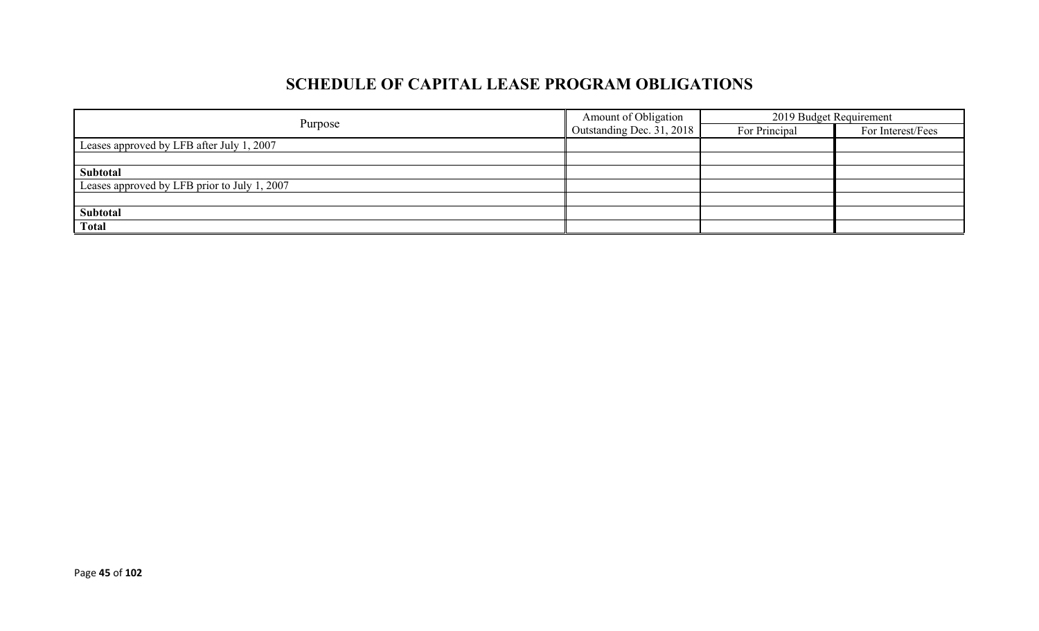# **SCHEDULE OF CAPITAL LEASE PROGRAM OBLIGATIONS**

|                                              | Amount of Obligation             | 2019 Budget Requirement |                   |  |
|----------------------------------------------|----------------------------------|-------------------------|-------------------|--|
| Purpose                                      | $\Box$ Outstanding Dec. 31, 2018 | For Principal           | For Interest/Fees |  |
| Leases approved by LFB after July 1, 2007    |                                  |                         |                   |  |
|                                              |                                  |                         |                   |  |
| Subtotal                                     |                                  |                         |                   |  |
| Leases approved by LFB prior to July 1, 2007 |                                  |                         |                   |  |
|                                              |                                  |                         |                   |  |
| Subtotal                                     |                                  |                         |                   |  |
| <b>Total</b>                                 |                                  |                         |                   |  |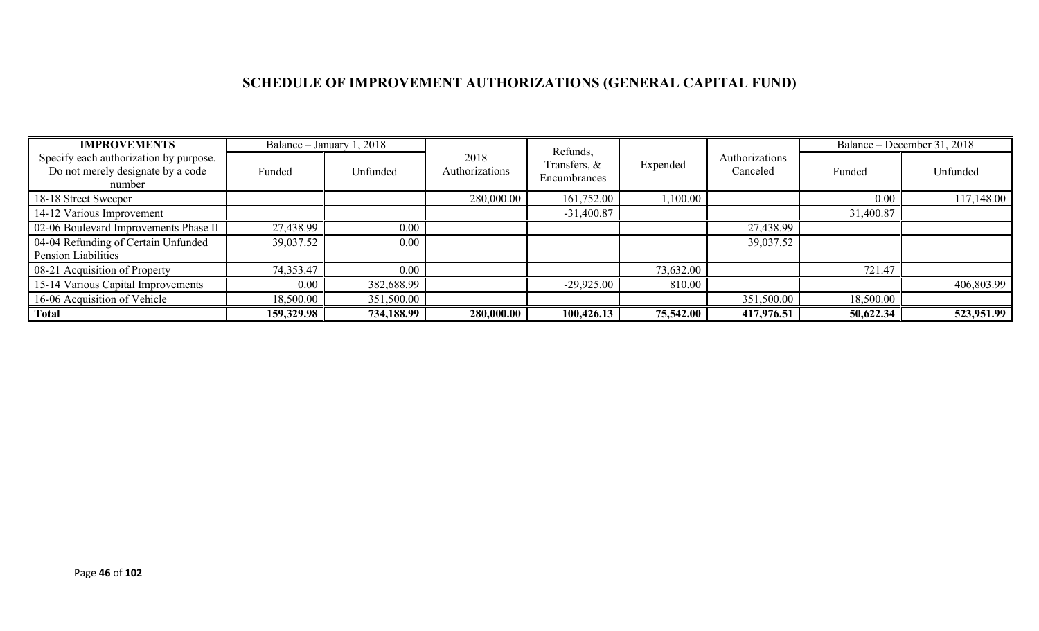# **SCHEDULE OF IMPROVEMENT AUTHORIZATIONS (GENERAL CAPITAL FUND)**

| <b>IMPROVEMENTS</b>                                                                   |            | Balance – January 1, 2018 |                        | Refunds,                     |           |                            |           | Balance – December 31, 2018 |
|---------------------------------------------------------------------------------------|------------|---------------------------|------------------------|------------------------------|-----------|----------------------------|-----------|-----------------------------|
| Specify each authorization by purpose.<br>Do not merely designate by a code<br>number | Funded     | Unfunded                  | 2018<br>Authorizations | Transfers, &<br>Encumbrances | Expended  | Authorizations<br>Canceled | Funded    | Unfunded                    |
| 18-18 Street Sweeper                                                                  |            |                           | 280,000.00             | 161,752.00                   | 1,100.00  |                            | 0.00      | 117,148.00                  |
| 14-12 Various Improvement                                                             |            |                           |                        | $-31,400.87$                 |           |                            | 31,400.87 |                             |
| 02-06 Boulevard Improvements Phase II                                                 | 27,438.99  | $0.00\,$                  |                        |                              |           | 27,438.99                  |           |                             |
| 04-04 Refunding of Certain Unfunded                                                   | 39,037.52  | $0.00\,$                  |                        |                              |           | 39,037.52                  |           |                             |
| <b>Pension Liabilities</b>                                                            |            |                           |                        |                              |           |                            |           |                             |
| 08-21 Acquisition of Property                                                         | 74,353.47  | $0.00\,$                  |                        |                              | 73,632.00 |                            | 721.47    |                             |
| 15-14 Various Capital Improvements                                                    | 0.00       | 382,688.99                |                        | $-29,925.00$                 | 810.00    |                            |           | 406,803.99                  |
| 16-06 Acquisition of Vehicle                                                          | 18,500.00  | 351,500.00                |                        |                              |           | 351,500.00                 | 18,500.00 |                             |
| <b>Total</b>                                                                          | 159,329.98 | 734,188.99                | 280,000.00             | 100,426.13                   | 75,542.00 | 417,976.51                 | 50,622.34 | 523,951.99                  |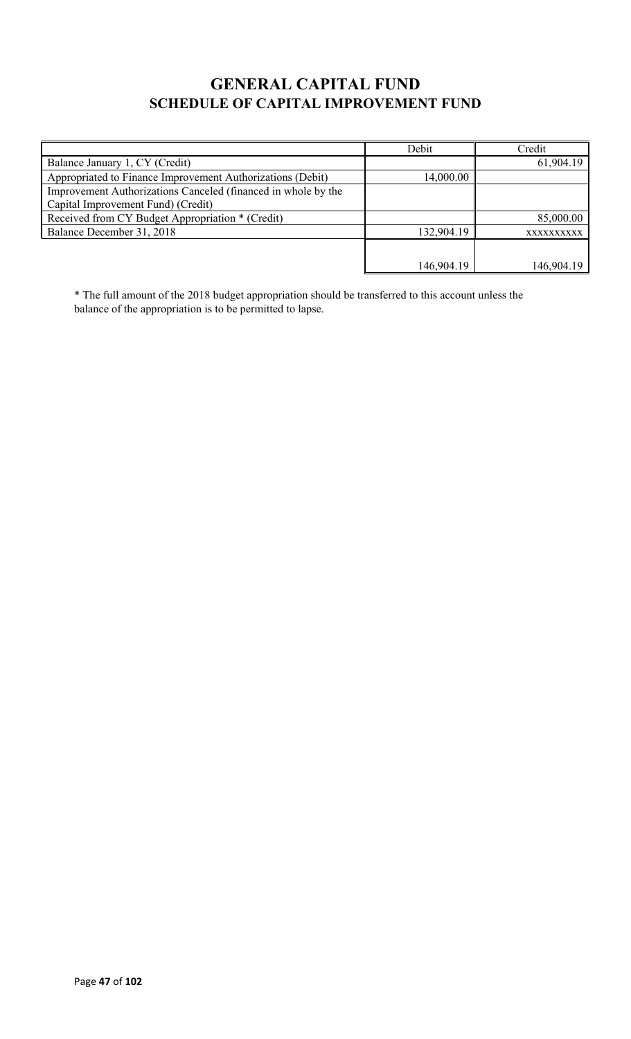# **GENERAL CAPITAL FUND SCHEDULE OF CAPITAL IMPROVEMENT FUND**

|                                                               | Debit      | Credit     |
|---------------------------------------------------------------|------------|------------|
| Balance January 1, CY (Credit)                                |            | 61,904.19  |
| Appropriated to Finance Improvement Authorizations (Debit)    | 14,000.00  |            |
| Improvement Authorizations Canceled (financed in whole by the |            |            |
| Capital Improvement Fund) (Credit)                            |            |            |
| Received from CY Budget Appropriation * (Credit)              |            | 85,000.00  |
| Balance December 31, 2018                                     | 132,904.19 | XXXXXXXXXX |
|                                                               |            |            |
|                                                               | 146,904.19 | 146,904.19 |

\* The full amount of the 2018 budget appropriation should be transferred to this account unless the balance of the appropriation is to be permitted to lapse.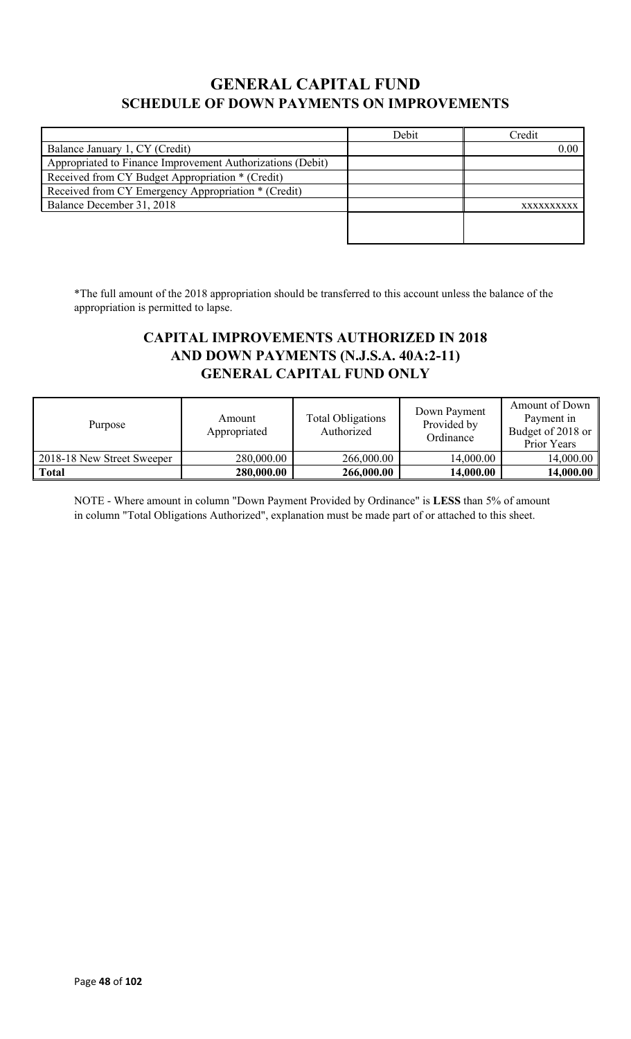# **GENERAL CAPITAL FUND SCHEDULE OF DOWN PAYMENTS ON IMPROVEMENTS**

|                                                            | Debit | Credit     |
|------------------------------------------------------------|-------|------------|
| Balance January 1, CY (Credit)                             |       | 0.00       |
| Appropriated to Finance Improvement Authorizations (Debit) |       |            |
| Received from CY Budget Appropriation * (Credit)           |       |            |
| Received from CY Emergency Appropriation * (Credit)        |       |            |
| Balance December 31, 2018                                  |       | XXXXXXXXXX |
|                                                            |       |            |
|                                                            |       |            |

\*The full amount of the 2018 appropriation should be transferred to this account unless the balance of the appropriation is permitted to lapse.

## **CAPITAL IMPROVEMENTS AUTHORIZED IN 2018 AND DOWN PAYMENTS (N.J.S.A. 40A:2-11) GENERAL CAPITAL FUND ONLY**

| Purpose                    | Amount<br>Appropriated | Total Obligations<br>Authorized | Down Payment<br>Provided by<br>Ordinance | Amount of Down<br>Payment in<br>Budget of 2018 or<br>Prior Years |
|----------------------------|------------------------|---------------------------------|------------------------------------------|------------------------------------------------------------------|
| 2018-18 New Street Sweeper | 280,000.00             | 266,000.00                      | 14,000.00                                | 14,000.00                                                        |
| <b>Total</b>               | 280,000.00             | 266,000.00                      | 14,000.00                                | 14,000.00                                                        |

NOTE - Where amount in column "Down Payment Provided by Ordinance" is **LESS** than 5% of amount in column "Total Obligations Authorized", explanation must be made part of or attached to this sheet.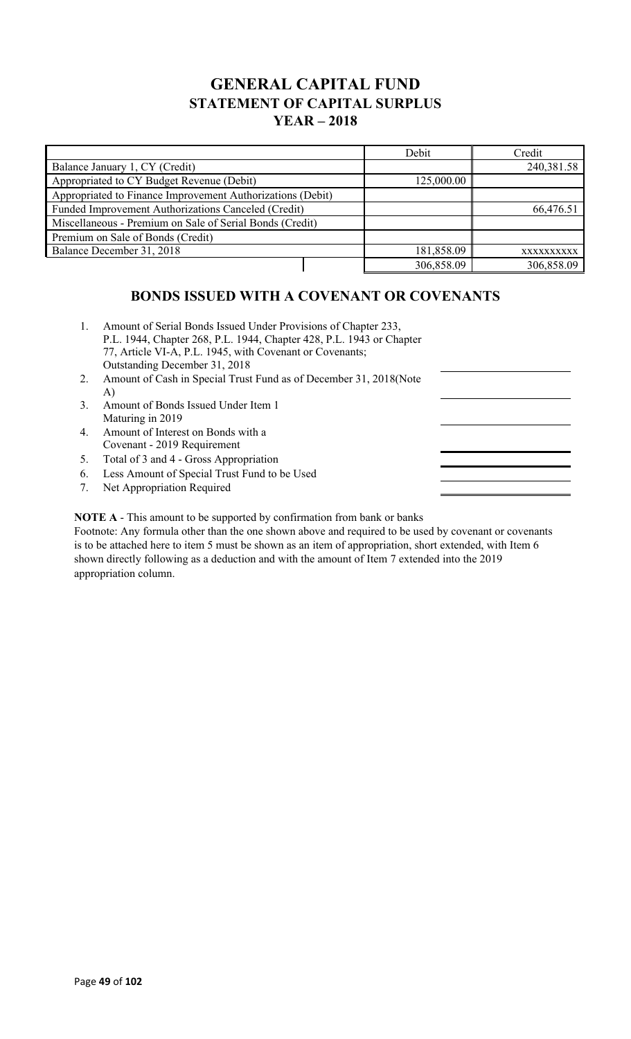## **GENERAL CAPITAL FUND STATEMENT OF CAPITAL SURPLUS YEAR – 2018**

|                                                            | Debit      | Credit     |
|------------------------------------------------------------|------------|------------|
| Balance January 1, CY (Credit)                             |            | 240,381.58 |
| Appropriated to CY Budget Revenue (Debit)                  | 125,000.00 |            |
| Appropriated to Finance Improvement Authorizations (Debit) |            |            |
| Funded Improvement Authorizations Canceled (Credit)        |            | 66,476.51  |
| Miscellaneous - Premium on Sale of Serial Bonds (Credit)   |            |            |
| Premium on Sale of Bonds (Credit)                          |            |            |
| Balance December 31, 2018                                  | 181,858.09 | XXXXXXXXXX |
|                                                            | 306,858.09 | 306,858.09 |

## **BONDS ISSUED WITH A COVENANT OR COVENANTS**

- 1. Amount of Serial Bonds Issued Under Provisions of Chapter 233, P.L. 1944, Chapter 268, P.L. 1944, Chapter 428, P.L. 1943 or Chapter 77, Article VI-A, P.L. 1945, with Covenant or Covenants; Outstanding December 31, 2018
- 2. Amount of Cash in Special Trust Fund as of December 31, 2018(Note A)
- 3. Amount of Bonds Issued Under Item 1 Maturing in 2019
- 4. Amount of Interest on Bonds with a Covenant - 2019 Requirement
- 5. Total of 3 and 4 Gross Appropriation
- 6. Less Amount of Special Trust Fund to be Used
- 7. Net Appropriation Required

**NOTE A** - This amount to be supported by confirmation from bank or banks

Footnote: Any formula other than the one shown above and required to be used by covenant or covenants is to be attached here to item 5 must be shown as an item of appropriation, short extended, with Item 6 shown directly following as a deduction and with the amount of Item 7 extended into the 2019 appropriation column.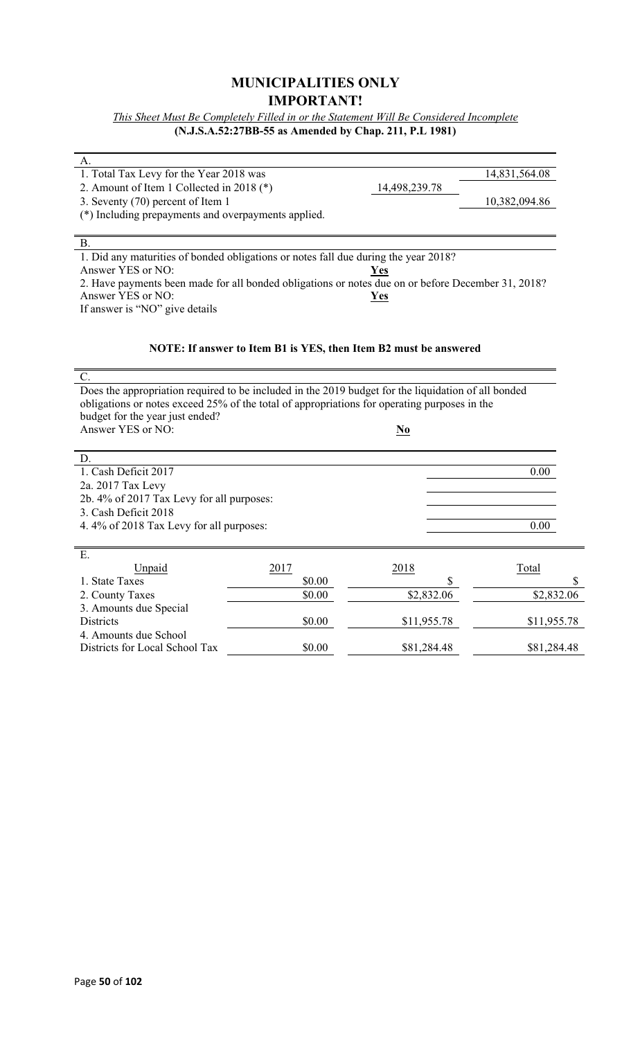### **MUNICIPALITIES ONLY IMPORTANT!**

*This Sheet Must Be Completely Filled in or the Statement Will Be Considered Incomplete* **(N.J.S.A.52:27BB-55 as Amended by Chap. 211, P.L 1981)**

| А.                                                                                                  |                                                                  |                           |               |
|-----------------------------------------------------------------------------------------------------|------------------------------------------------------------------|---------------------------|---------------|
| 1. Total Tax Levy for the Year 2018 was                                                             |                                                                  |                           | 14,831,564.08 |
| 2. Amount of Item 1 Collected in 2018 (*)                                                           |                                                                  | 14,498,239.78             |               |
| 3. Seventy (70) percent of Item 1                                                                   |                                                                  |                           | 10,382,094.86 |
| (*) Including prepayments and overpayments applied.                                                 |                                                                  |                           |               |
|                                                                                                     |                                                                  |                           |               |
| B.                                                                                                  |                                                                  |                           |               |
| 1. Did any maturities of bonded obligations or notes fall due during the year 2018?                 |                                                                  |                           |               |
| Answer YES or NO:                                                                                   |                                                                  | <u>Yes</u>                |               |
| 2. Have payments been made for all bonded obligations or notes due on or before December 31, 2018?  |                                                                  |                           |               |
| Answer YES or NO:                                                                                   |                                                                  | <b>Yes</b>                |               |
| If answer is "NO" give details                                                                      |                                                                  |                           |               |
|                                                                                                     |                                                                  |                           |               |
|                                                                                                     |                                                                  |                           |               |
|                                                                                                     | NOTE: If answer to Item B1 is YES, then Item B2 must be answered |                           |               |
| $C$ .                                                                                               |                                                                  |                           |               |
| Does the appropriation required to be included in the 2019 budget for the liquidation of all bonded |                                                                  |                           |               |
| obligations or notes exceed 25% of the total of appropriations for operating purposes in the        |                                                                  |                           |               |
| budget for the year just ended?                                                                     |                                                                  |                           |               |
| Answer YES or NO:                                                                                   |                                                                  | $\underline{\mathbf{No}}$ |               |
|                                                                                                     |                                                                  |                           |               |
| D.                                                                                                  |                                                                  |                           |               |
| 1. Cash Deficit 2017                                                                                |                                                                  |                           | 0.00          |
| 2a. 2017 Tax Levy                                                                                   |                                                                  |                           |               |
| 2b. 4% of 2017 Tax Levy for all purposes:                                                           |                                                                  |                           |               |
| 3. Cash Deficit 2018                                                                                |                                                                  |                           |               |
| 4.4% of 2018 Tax Levy for all purposes:                                                             |                                                                  |                           | 0.00          |
|                                                                                                     |                                                                  |                           |               |
| Ε.                                                                                                  |                                                                  |                           |               |
| Unpaid                                                                                              | 2017                                                             | 2018                      | Total         |
| 1. State Taxes                                                                                      | \$0.00                                                           | \$                        | \$            |
| 2. County Taxes                                                                                     | \$0.00                                                           | \$2,832.06                | \$2,832.06    |
| 3. Amounts due Special                                                                              |                                                                  |                           |               |
| Districts                                                                                           | \$0.00                                                           | \$11,955.78               | \$11,955.78   |
| 4. Amounts due School                                                                               |                                                                  |                           |               |
| Districts for Local School Tax                                                                      | \$0.00                                                           | \$81,284.48               | \$81,284.48   |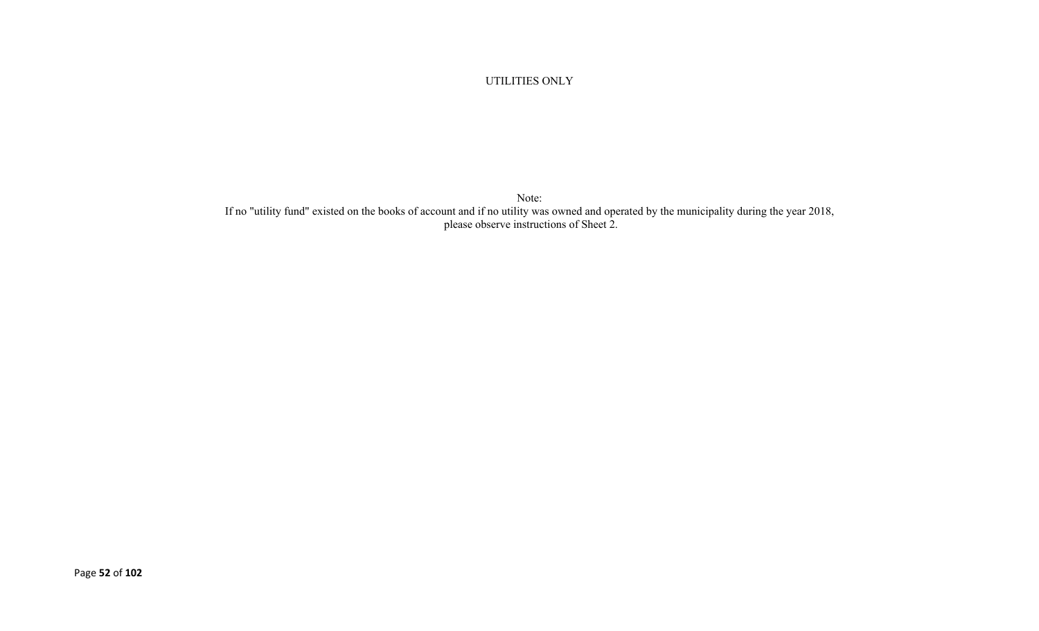UTILITIES ONLY

Note: If no "utility fund" existed on the books of account and if no utility was owned and operated by the municipality during the year 2018, please observe instructions of Sheet 2.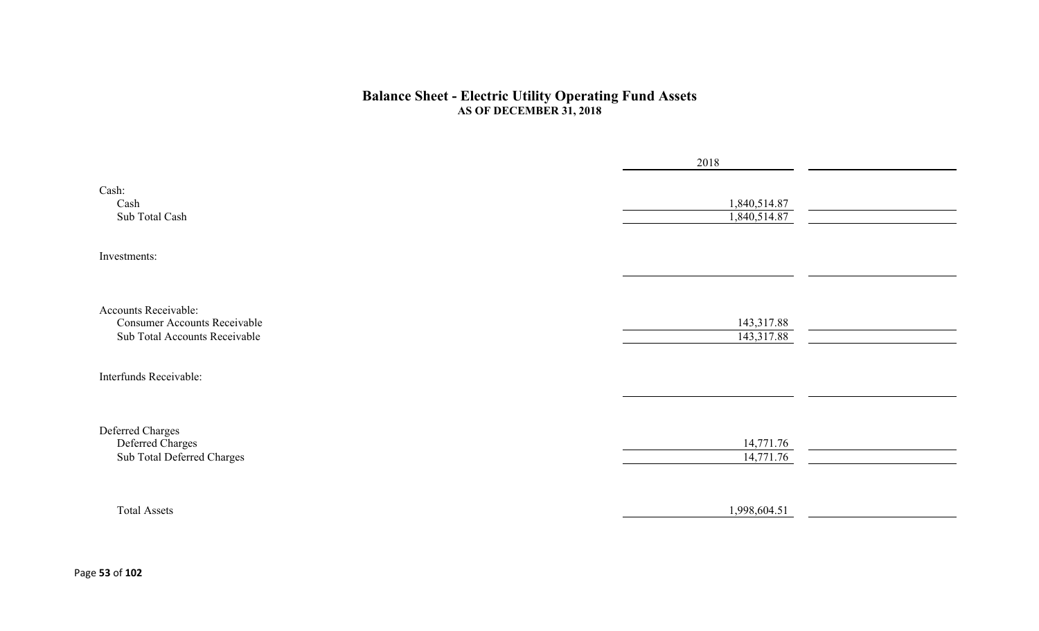#### **Balance Sheet - Electric Utility Operating Fund Assets AS OF DECEMBER 31, 2018**

|                                                                                              | 2018                         |  |
|----------------------------------------------------------------------------------------------|------------------------------|--|
| Cash:<br>Cash<br>Sub Total Cash                                                              | 1,840,514.87<br>1,840,514.87 |  |
| Investments:                                                                                 |                              |  |
|                                                                                              |                              |  |
| Accounts Receivable:<br><b>Consumer Accounts Receivable</b><br>Sub Total Accounts Receivable | 143,317.88<br>143,317.88     |  |
| Interfunds Receivable:                                                                       |                              |  |
|                                                                                              |                              |  |
| Deferred Charges<br>Deferred Charges                                                         | 14,771.76                    |  |
| Sub Total Deferred Charges                                                                   | 14,771.76                    |  |
|                                                                                              |                              |  |
| <b>Total Assets</b>                                                                          | 1,998,604.51                 |  |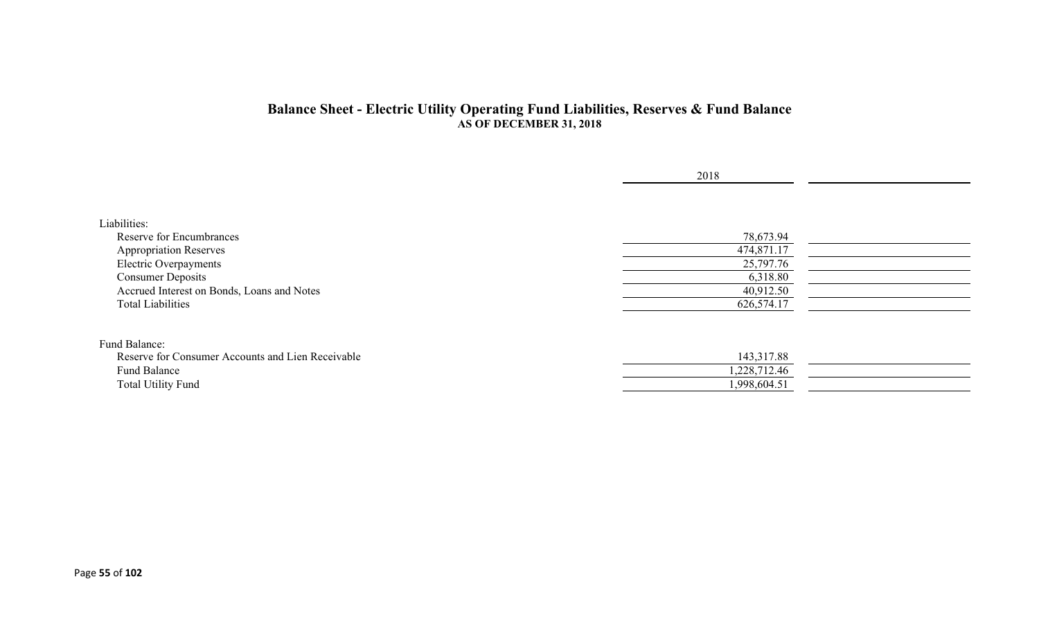#### **Balance Sheet - Electric Utility Operating Fund Liabilities, Reserves & Fund Balance AS OF DECEMBER 31, 2018**

|                                                   | 2018         |  |
|---------------------------------------------------|--------------|--|
|                                                   |              |  |
| Liabilities:                                      |              |  |
| Reserve for Encumbrances                          | 78,673.94    |  |
| <b>Appropriation Reserves</b>                     | 474,871.17   |  |
| Electric Overpayments                             | 25,797.76    |  |
| <b>Consumer Deposits</b>                          | 6,318.80     |  |
| Accrued Interest on Bonds, Loans and Notes        | 40,912.50    |  |
| <b>Total Liabilities</b>                          | 626,574.17   |  |
| Fund Balance:                                     |              |  |
| Reserve for Consumer Accounts and Lien Receivable | 143,317.88   |  |
| Fund Balance                                      | 1,228,712.46 |  |
| <b>Total Utility Fund</b>                         | 1,998,604.51 |  |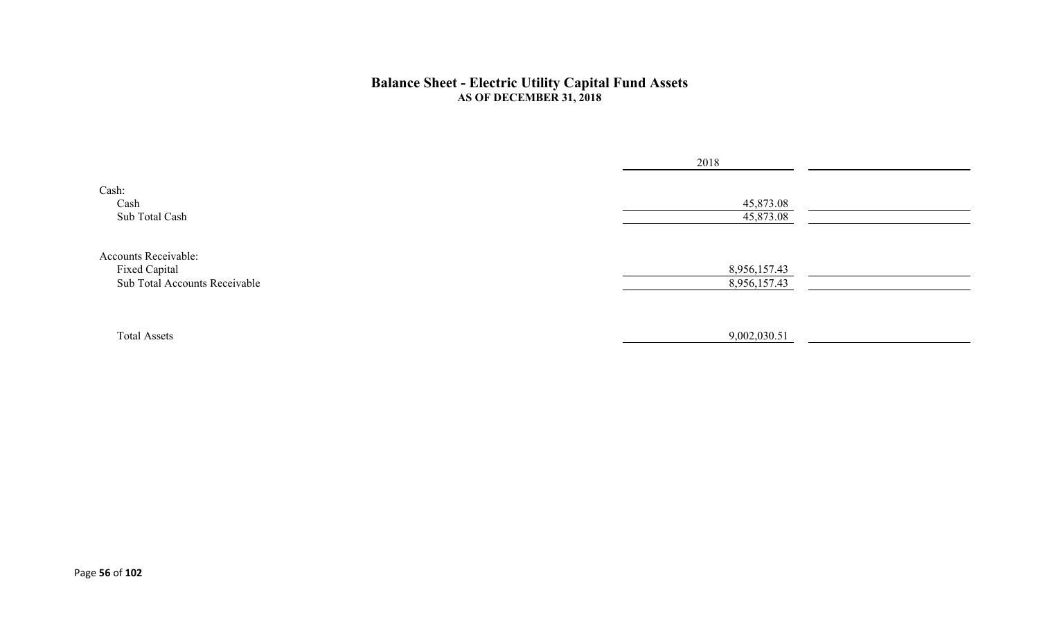#### **Balance Sheet - Electric Utility Capital Fund Assets AS OF DECEMBER 31, 2018**

|                                                                               | 2018                         |  |
|-------------------------------------------------------------------------------|------------------------------|--|
| Cash:<br>Cash<br>Sub Total Cash                                               | 45,873.08<br>45,873.08       |  |
| <b>Accounts Receivable:</b><br>Fixed Capital<br>Sub Total Accounts Receivable | 8,956,157.43<br>8,956,157.43 |  |
| <b>Total Assets</b>                                                           | 9,002,030.51                 |  |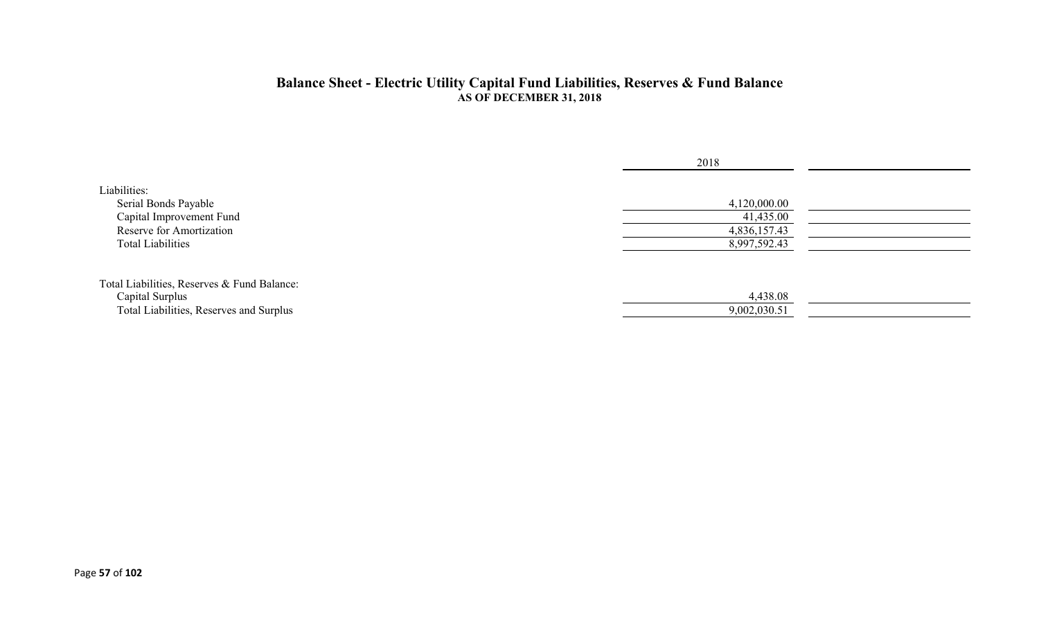#### **Balance Sheet - Electric Utility Capital Fund Liabilities, Reserves & Fund Balance AS OF DECEMBER 31, 2018**

|                                                                                                                          | 2018                                                      |  |
|--------------------------------------------------------------------------------------------------------------------------|-----------------------------------------------------------|--|
| Liabilities:<br>Serial Bonds Payable<br>Capital Improvement Fund<br>Reserve for Amortization<br><b>Total Liabilities</b> | 4,120,000.00<br>41,435.00<br>4,836,157.43<br>8,997,592.43 |  |
| Total Liabilities, Reserves & Fund Balance:<br>Capital Surplus<br>Total Liabilities, Reserves and Surplus                | 4,438.08<br>9,002,030.51                                  |  |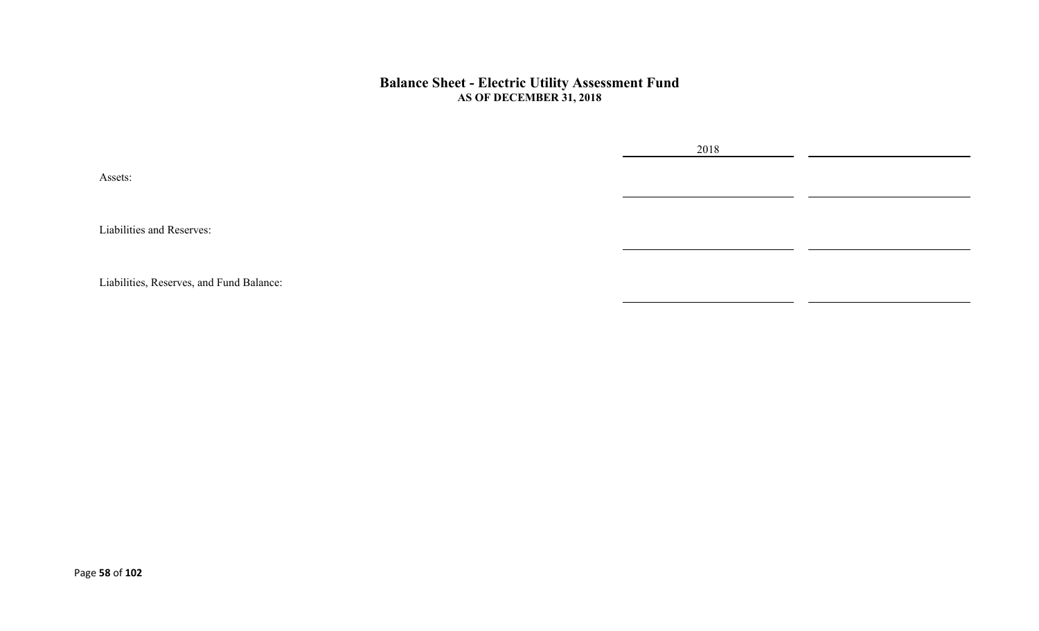#### **Balance Sheet - Electric Utility Assessment Fund AS OF DECEMBER 31, 2018**

Assets:

Liabilities and Reserves:

Liabilities, Reserves, and Fund Balance:

2018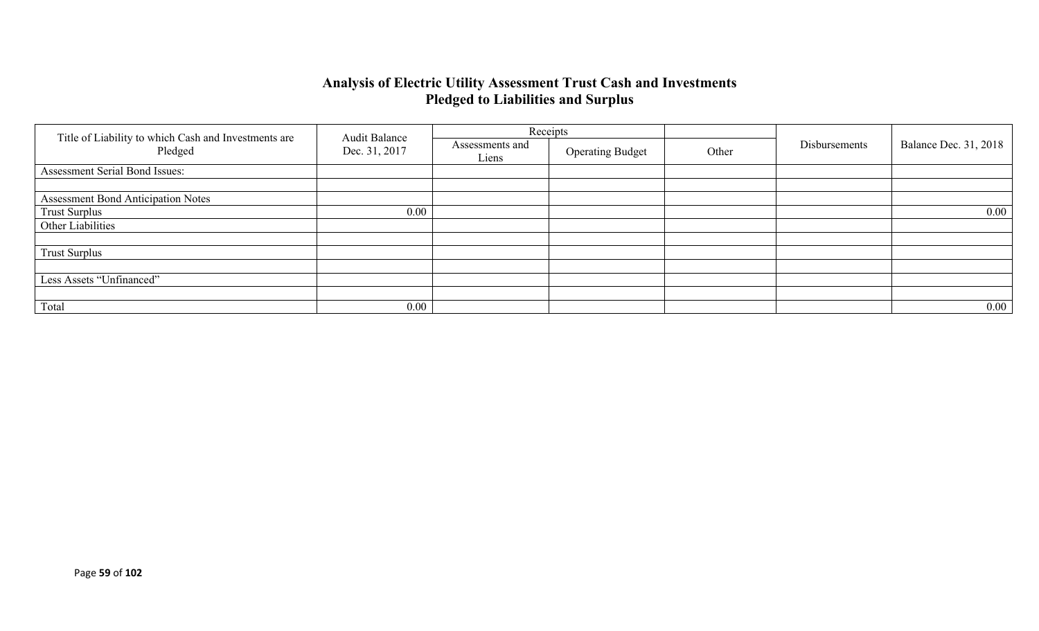### **Analysis of Electric Utility Assessment Trust Cash and Investments Pledged to Liabilities and Surplus**

|                                                                 | <b>Audit Balance</b> |                          | Receipts                |       |               |                              |
|-----------------------------------------------------------------|----------------------|--------------------------|-------------------------|-------|---------------|------------------------------|
| Title of Liability to which Cash and Investments are<br>Pledged | Dec. 31, 2017        | Assessments and<br>Liens | <b>Operating Budget</b> | Other | Disbursements | <b>Balance Dec. 31, 2018</b> |
| Assessment Serial Bond Issues:                                  |                      |                          |                         |       |               |                              |
|                                                                 |                      |                          |                         |       |               |                              |
| <b>Assessment Bond Anticipation Notes</b>                       |                      |                          |                         |       |               |                              |
| <b>Trust Surplus</b>                                            | 0.00                 |                          |                         |       |               | $0.00\,$                     |
| Other Liabilities                                               |                      |                          |                         |       |               |                              |
|                                                                 |                      |                          |                         |       |               |                              |
| <b>Trust Surplus</b>                                            |                      |                          |                         |       |               |                              |
|                                                                 |                      |                          |                         |       |               |                              |
| Less Assets "Unfinanced"                                        |                      |                          |                         |       |               |                              |
|                                                                 |                      |                          |                         |       |               |                              |
| Total                                                           | 0.00                 |                          |                         |       |               | $0.00\,$                     |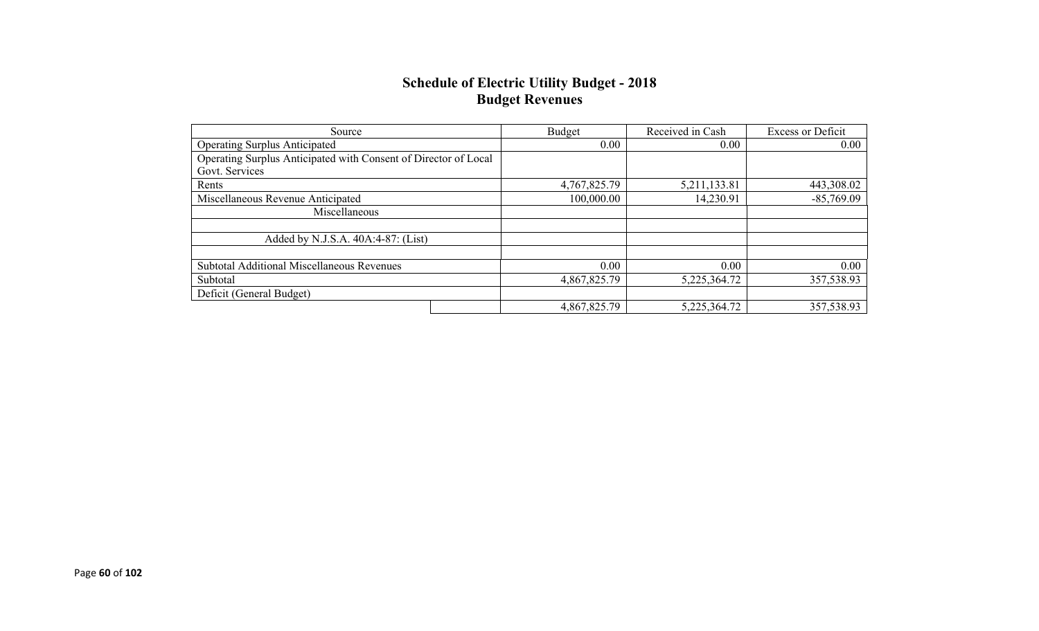### **Schedule of Electric Utility Budget - 2018 Budget Revenues**

| Source                                                          | Budget       | Received in Cash | <b>Excess or Deficit</b> |
|-----------------------------------------------------------------|--------------|------------------|--------------------------|
| <b>Operating Surplus Anticipated</b>                            | 0.00         | 0.00             | 0.00                     |
| Operating Surplus Anticipated with Consent of Director of Local |              |                  |                          |
| Govt. Services                                                  |              |                  |                          |
| Rents                                                           | 4,767,825.79 | 5,211,133.81     | 443,308.02               |
| Miscellaneous Revenue Anticipated                               | 100,000.00   | 14,230.91        | $-85,769.09$             |
| Miscellaneous                                                   |              |                  |                          |
|                                                                 |              |                  |                          |
| Added by N.J.S.A. 40A:4-87: (List)                              |              |                  |                          |
|                                                                 |              |                  |                          |
| <b>Subtotal Additional Miscellaneous Revenues</b>               | 0.00         | 0.00             | 0.00                     |
| Subtotal                                                        | 4,867,825.79 | 5,225,364.72     | 357,538.93               |
| Deficit (General Budget)                                        |              |                  |                          |
|                                                                 | 4,867,825.79 | 5,225,364.72     | 357,538.93               |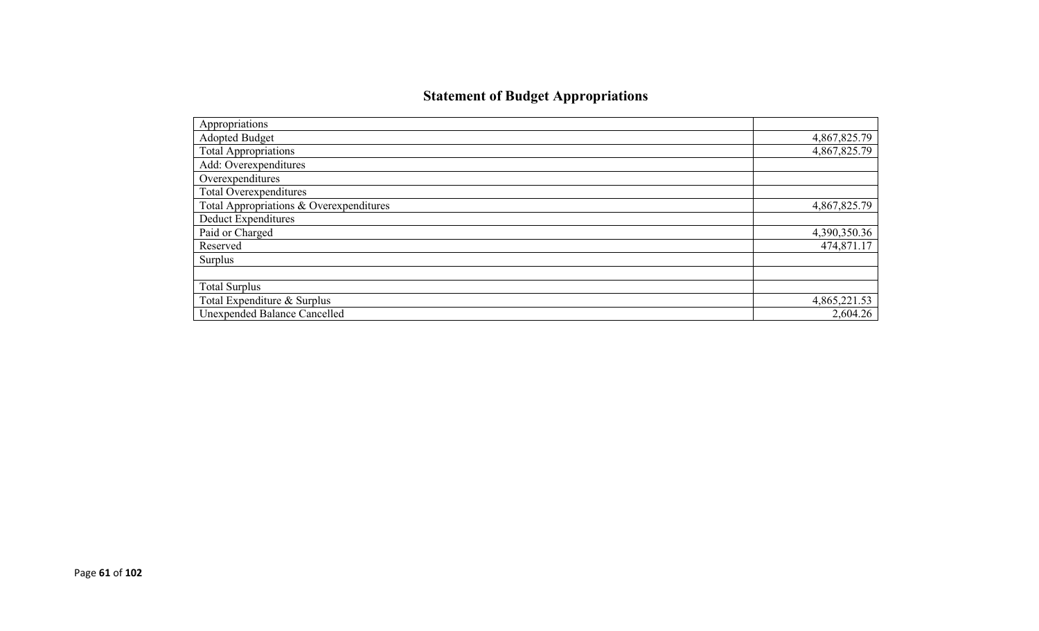# **Statement of Budget Appropriations**

| Appropriations                          |              |
|-----------------------------------------|--------------|
| Adopted Budget                          | 4,867,825.79 |
| <b>Total Appropriations</b>             | 4,867,825.79 |
| Add: Overexpenditures                   |              |
| Overexpenditures                        |              |
| Total Overexpenditures                  |              |
| Total Appropriations & Overexpenditures | 4,867,825.79 |
| Deduct Expenditures                     |              |
| Paid or Charged                         | 4,390,350.36 |
| Reserved                                | 474,871.17   |
| Surplus                                 |              |
|                                         |              |
| <b>Total Surplus</b>                    |              |
| Total Expenditure & Surplus             | 4,865,221.53 |
| <b>Unexpended Balance Cancelled</b>     | 2,604.26     |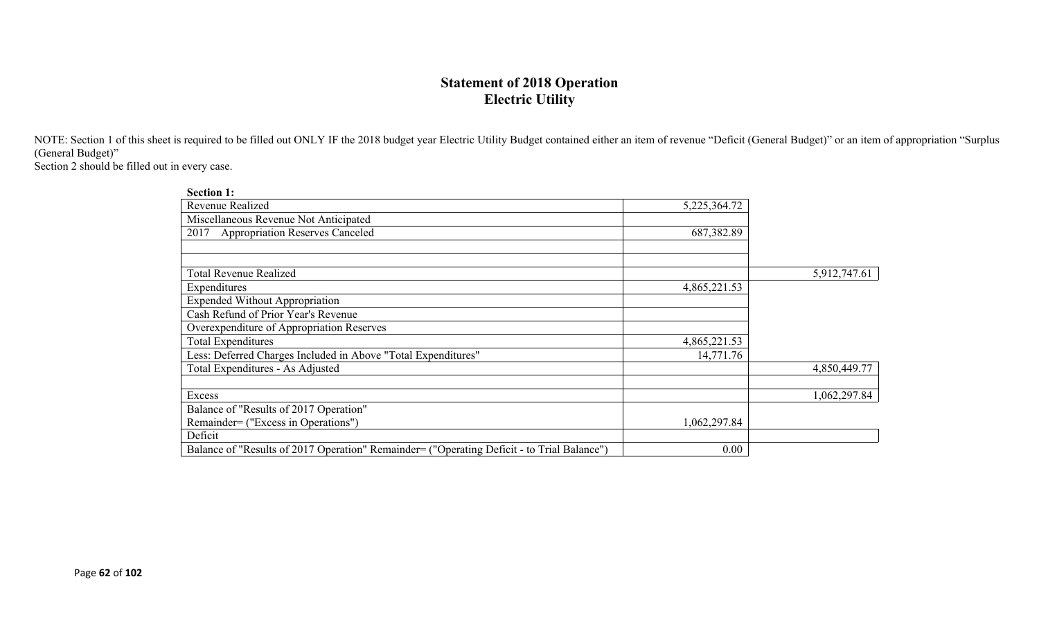## **Statement of 2018 Operation Electric Utility**

NOTE: Section 1 of this sheet is required to be filled out ONLY IF the 2018 budget year Electric Utility Budget contained either an item of revenue "Deficit (General Budget)" or an item of appropriation "Surplus (General Budget)"

Section 2 should be filled out in every case.

| <b>Section 1:</b>                                                                          |              |              |
|--------------------------------------------------------------------------------------------|--------------|--------------|
| Revenue Realized                                                                           | 5,225,364.72 |              |
| Miscellaneous Revenue Not Anticipated                                                      |              |              |
| <b>Appropriation Reserves Canceled</b><br>2017                                             | 687,382.89   |              |
|                                                                                            |              |              |
|                                                                                            |              |              |
| <b>Total Revenue Realized</b>                                                              |              | 5,912,747.61 |
| Expenditures                                                                               | 4,865,221.53 |              |
| <b>Expended Without Appropriation</b>                                                      |              |              |
| Cash Refund of Prior Year's Revenue                                                        |              |              |
| Overexpenditure of Appropriation Reserves                                                  |              |              |
| Total Expenditures                                                                         | 4,865,221.53 |              |
| Less: Deferred Charges Included in Above "Total Expenditures"                              | 14,771.76    |              |
| Total Expenditures - As Adjusted                                                           |              | 4,850,449.77 |
|                                                                                            |              |              |
| Excess                                                                                     |              | 1,062,297.84 |
| Balance of "Results of 2017 Operation"                                                     |              |              |
| Remainder= ("Excess in Operations")                                                        | 1,062,297.84 |              |
| Deficit                                                                                    |              |              |
| Balance of "Results of 2017 Operation" Remainder= ("Operating Deficit - to Trial Balance") | 0.00         |              |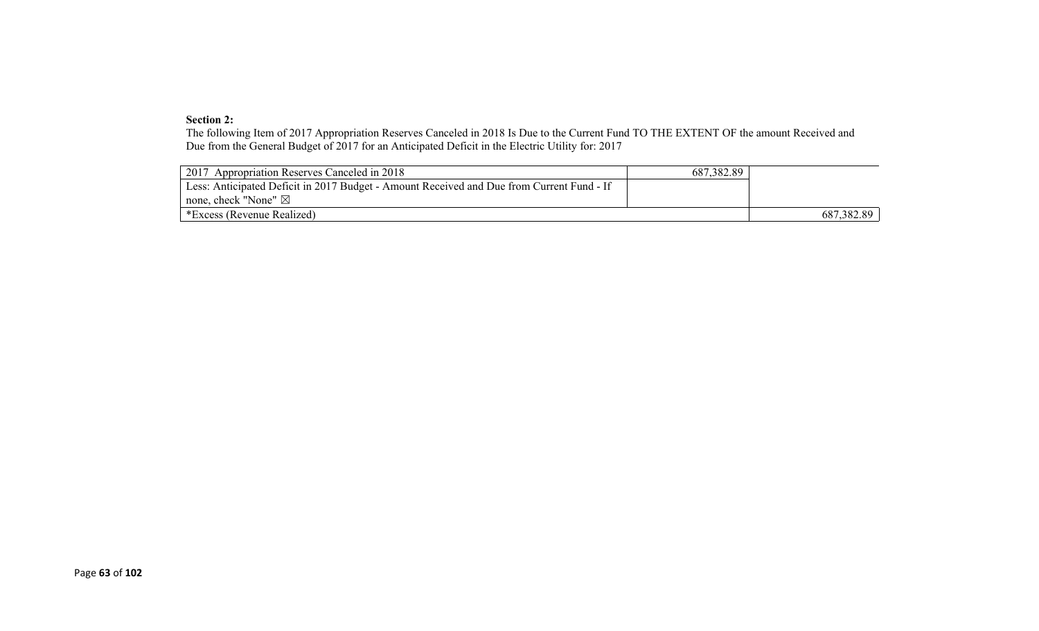#### **Section 2:**

The following Item of 2017 Appropriation Reserves Canceled in 2018 Is Due to the Current Fund TO THE EXTENT OF the amount Received and Due from the General Budget of 2017 for an Anticipated Deficit in the Electric Utility for: 2017

| 2017 Appropriation Reserves Canceled in 2018                                              | 687, 382.89 |            |
|-------------------------------------------------------------------------------------------|-------------|------------|
| Less: Anticipated Deficit in 2017 Budget - Amount Received and Due from Current Fund - If |             |            |
| none, check "None" $\boxtimes$                                                            |             |            |
| *Excess (Revenue Realized)                                                                |             | 687,382.89 |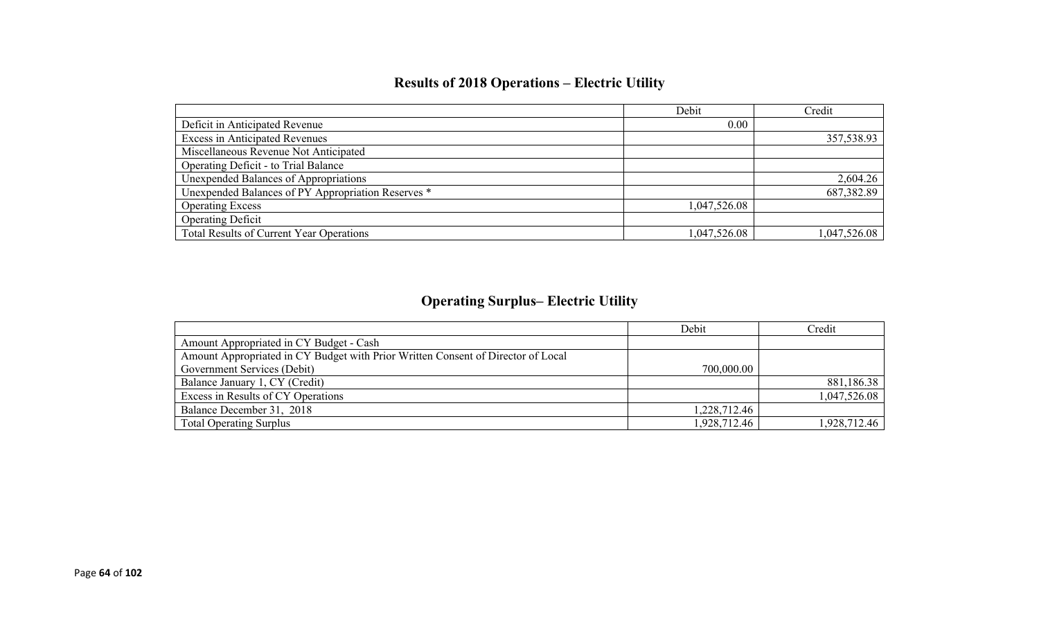# **Results of 2018 Operations – Electric Utility**

|                                                    | Debit        | Credit       |
|----------------------------------------------------|--------------|--------------|
| Deficit in Anticipated Revenue                     | 0.00         |              |
| <b>Excess in Anticipated Revenues</b>              |              | 357,538.93   |
| Miscellaneous Revenue Not Anticipated              |              |              |
| Operating Deficit - to Trial Balance               |              |              |
| Unexpended Balances of Appropriations              |              | 2,604.26     |
| Unexpended Balances of PY Appropriation Reserves * |              | 687,382.89   |
| <b>Operating Excess</b>                            | 1,047,526.08 |              |
| <b>Operating Deficit</b>                           |              |              |
| Total Results of Current Year Operations           | 1,047,526.08 | 1,047,526.08 |

# **Operating Surplus– Electric Utility**

|                                                                                  | Debit        | Credit       |
|----------------------------------------------------------------------------------|--------------|--------------|
| Amount Appropriated in CY Budget - Cash                                          |              |              |
| Amount Appropriated in CY Budget with Prior Written Consent of Director of Local |              |              |
| Government Services (Debit)                                                      | 700,000.00   |              |
| Balance January 1, CY (Credit)                                                   |              | 881,186.38   |
| Excess in Results of CY Operations                                               |              | 1,047,526.08 |
| Balance December 31, 2018                                                        | 1,228,712.46 |              |
| <b>Total Operating Surplus</b>                                                   | 1,928,712.46 | 1,928,712.46 |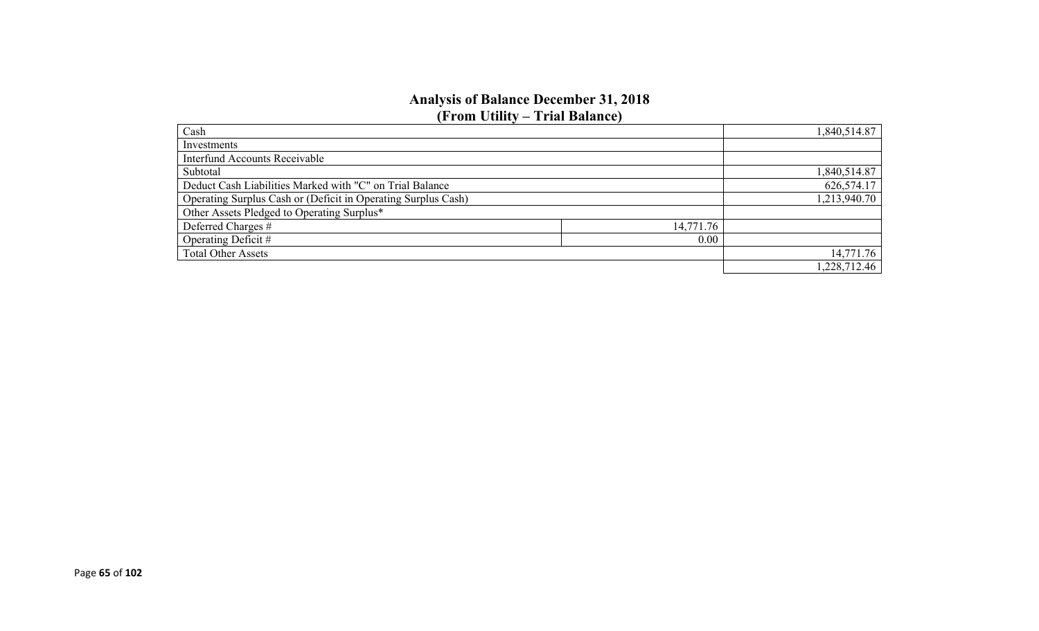### **Analysis of Balance December 31, 2018 (From Utility – Trial Balance)**

| Cash                                                          |           | 1,840,514.87 |
|---------------------------------------------------------------|-----------|--------------|
| Investments                                                   |           |              |
| <b>Interfund Accounts Receivable</b>                          |           |              |
| Subtotal                                                      |           | 1,840,514.87 |
| Deduct Cash Liabilities Marked with "C" on Trial Balance      |           | 626,574.17   |
| Operating Surplus Cash or (Deficit in Operating Surplus Cash) |           | 1,213,940.70 |
| Other Assets Pledged to Operating Surplus*                    |           |              |
| Deferred Charges #                                            | 14,771.76 |              |
| Operating Deficit #                                           | 0.00      |              |
| <b>Total Other Assets</b>                                     |           | 14,771.76    |
|                                                               |           | 1,228,712.46 |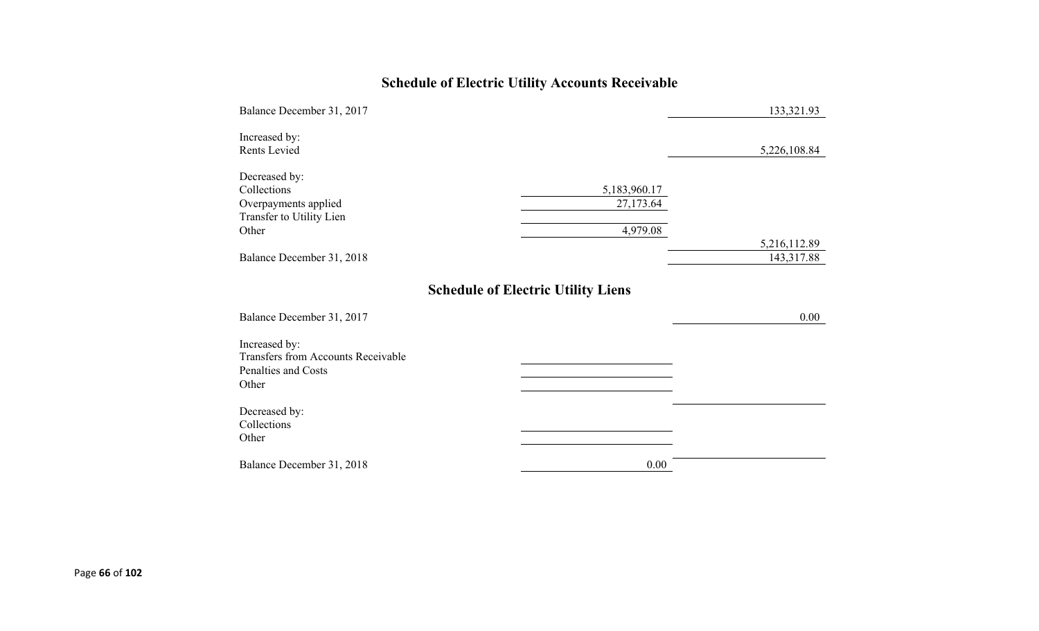# **Schedule of Electric Utility Accounts Receivable**

| Balance December 31, 2017                                                                  |                                           | 133,321.93   |
|--------------------------------------------------------------------------------------------|-------------------------------------------|--------------|
| Increased by:<br>Rents Levied                                                              |                                           | 5,226,108.84 |
| Decreased by:<br>Collections<br>Overpayments applied<br>Transfer to Utility Lien<br>Other  | 5,183,960.17<br>27,173.64<br>4,979.08     | 5,216,112.89 |
| Balance December 31, 2018                                                                  |                                           | 143,317.88   |
| Balance December 31, 2017                                                                  | <b>Schedule of Electric Utility Liens</b> | 0.00         |
| Increased by:<br><b>Transfers from Accounts Receivable</b><br>Penalties and Costs<br>Other |                                           |              |
| Decreased by:<br>Collections<br>Other                                                      |                                           |              |
| Balance December 31, 2018                                                                  | 0.00                                      |              |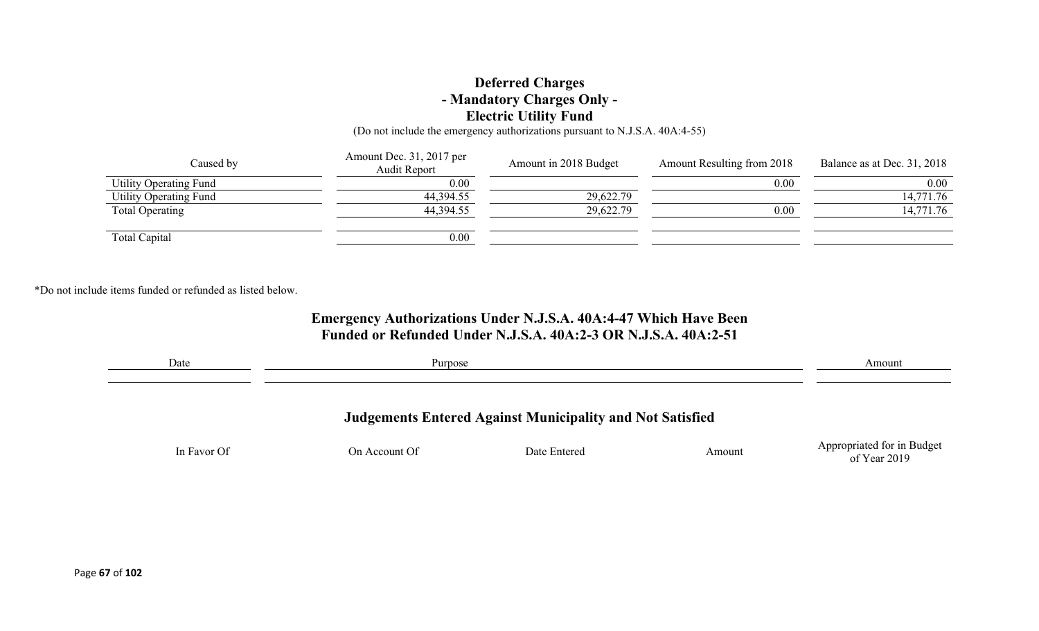### **Deferred Charges - Mandatory Charges Only - Electric Utility Fund**

(Do not include the emergency authorizations pursuant to N.J.S.A. 40A:4-55)

| Caused by                     | Amount Dec. 31, 2017 per<br>Audit Report | Amount in 2018 Budget | Amount Resulting from 2018 | Balance as at Dec. 31, 2018 |
|-------------------------------|------------------------------------------|-----------------------|----------------------------|-----------------------------|
| Utility Operating Fund        | 0.00                                     |                       | 0.00                       | $0.00\,$                    |
| <b>Utility Operating Fund</b> | 44,394.55                                | 29,622.79             |                            | 14,771.76                   |
| Total Operating               | 44,394.55                                | 29,622.79             | 0.00                       | 14,771.76                   |
|                               |                                          |                       |                            |                             |
| Total Capital                 | 0.00                                     |                       |                            |                             |

\*Do not include items funded or refunded as listed below.

### **Emergency Authorizations Under N.J.S.A. 40A:4-47 Which Have Been Funded or Refunded Under N.J.S.A. 40A:2-3 OR N.J.S.A. 40A:2-51**

| Date        | Purpose       |                                                                  |        | Amount                                     |
|-------------|---------------|------------------------------------------------------------------|--------|--------------------------------------------|
|             |               |                                                                  |        |                                            |
|             |               | <b>Judgements Entered Against Municipality and Not Satisfied</b> |        |                                            |
| In Favor Of | On Account Of | Date Entered                                                     | Amount | Appropriated for in Budget<br>of Year 2019 |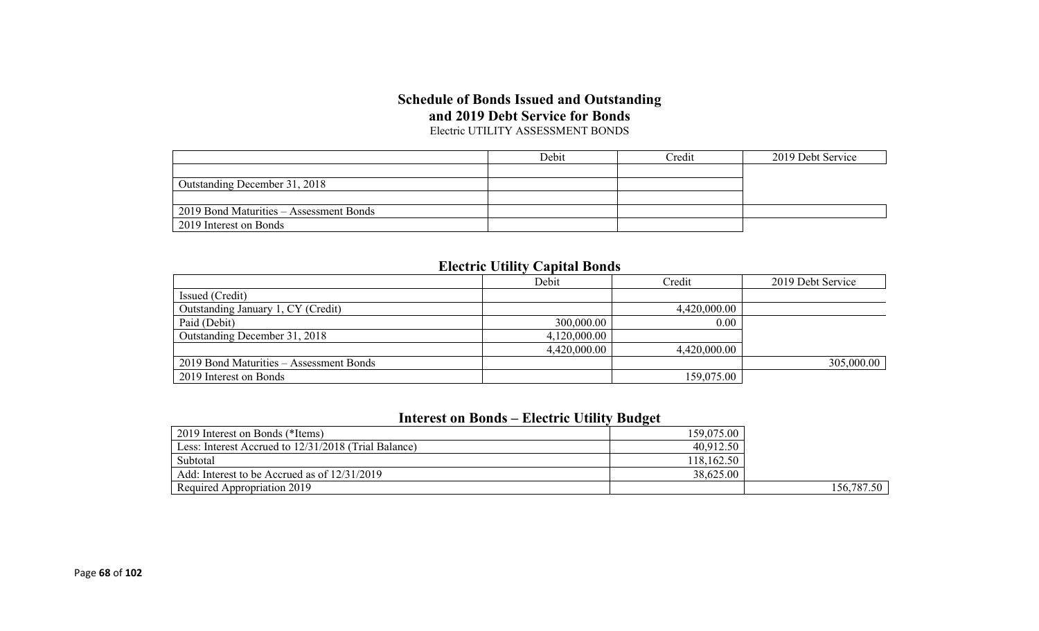### **Schedule of Bonds Issued and Outstanding and 2019 Debt Service for Bonds** Electric UTILITY ASSESSMENT BONDS

|                                         | Debit | Credit | 2019 Debt Service |
|-----------------------------------------|-------|--------|-------------------|
|                                         |       |        |                   |
| Outstanding December 31, 2018           |       |        |                   |
|                                         |       |        |                   |
| 2019 Bond Maturities – Assessment Bonds |       |        |                   |
| <sup>1</sup> 2019 Interest on Bonds     |       |        |                   |

### **Electric Utility Capital Bonds**

|                                         | Debit        | Credit       | 2019 Debt Service |
|-----------------------------------------|--------------|--------------|-------------------|
| Issued (Credit)                         |              |              |                   |
| Outstanding January 1, CY (Credit)      |              | 4,420,000.00 |                   |
| Paid (Debit)                            | 300,000.00   | 0.00         |                   |
| Outstanding December 31, 2018           | 4,120,000.00 |              |                   |
|                                         | 4,420,000.00 | 4,420,000.00 |                   |
| 2019 Bond Maturities – Assessment Bonds |              |              | 305,000.00        |
| 2019 Interest on Bonds                  |              | 159,075.00   |                   |

# **Interest on Bonds – Electric Utility Budget**

| $\frac{1}{2019}$ Interest on Bonds (*Items)          | 159,075.00 |            |
|------------------------------------------------------|------------|------------|
| Less: Interest Accrued to 12/31/2018 (Trial Balance) | 40,912.50  |            |
| Subtotal                                             | 118,162.50 |            |
| Add: Interest to be Accrued as of $12/31/2019$       | 38,625.00  |            |
| Required Appropriation 2019                          |            | 156,787.50 |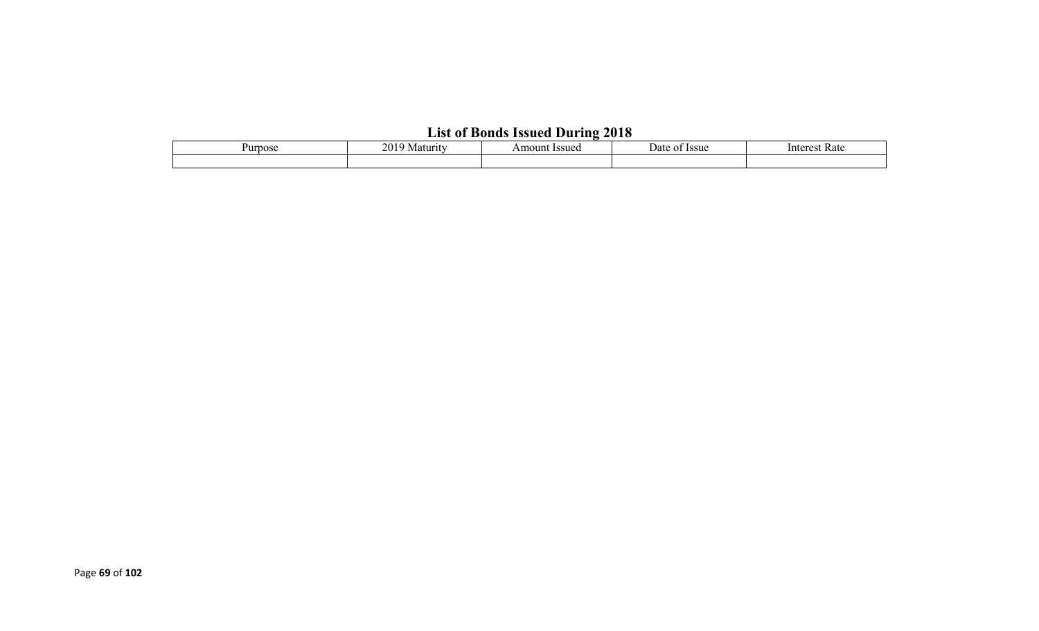# **List of Bonds Issued During 2018**

| пп<br>$\sim$ | nΛ.<br>⊆U | $E$ $C$ $E$ $D$ $C$<br>วบทt | 72 L<br>ou. | ۱nt<br>ate, |
|--------------|-----------|-----------------------------|-------------|-------------|
|              |           |                             |             |             |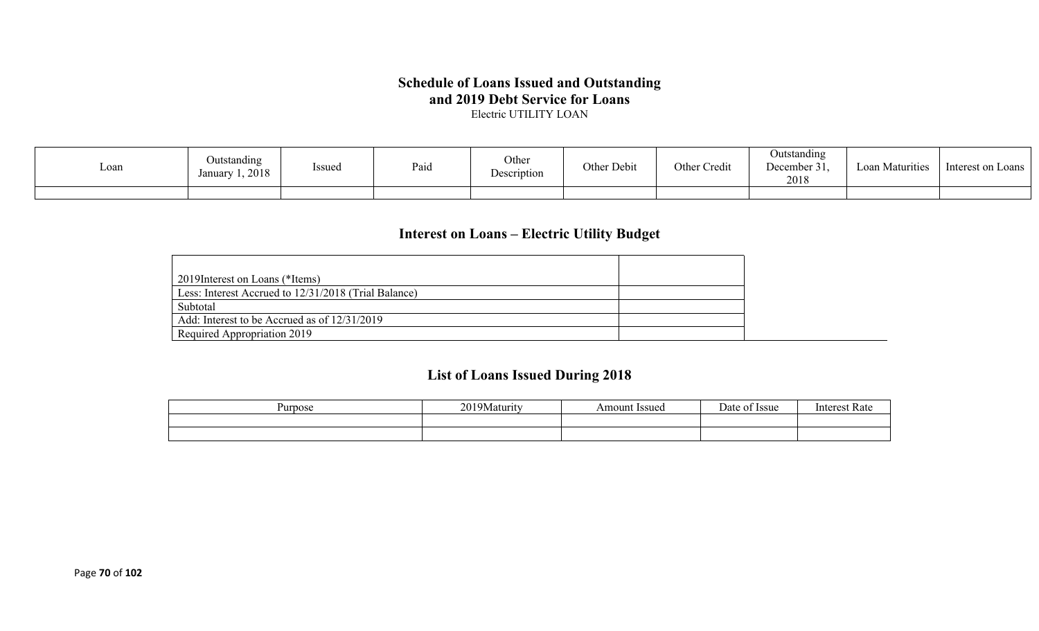# **Schedule of Loans Issued and Outstanding and 2019 Debt Service for Loans**

Electric UTILITY LOAN

| Loan | Outstanding<br>Issued<br>1,2018<br>Januarv | Paio | Other<br>Description | Other Debit | Other Credit | Jutstanding<br>December 31,<br>2018 | Loan Maturities | Interest on Loans |
|------|--------------------------------------------|------|----------------------|-------------|--------------|-------------------------------------|-----------------|-------------------|
|      |                                            |      |                      |             |              |                                     |                 |                   |

# **Interest on Loans – Electric Utility Budget**

| 2019 Interest on Loans (*Items)                      |  |
|------------------------------------------------------|--|
| Less: Interest Accrued to 12/31/2018 (Trial Balance) |  |
| Subtotal                                             |  |
| Add: Interest to be Accrued as of 12/31/2019         |  |
| Required Appropriation 2019                          |  |

# **List of Loans Issued During 2018**

| Purpose | 20103<br>  9Maturity<br>$\sim$ | <b>Issued</b><br>Amount | $\overline{\phantom{0}}$<br>)ate<br><b>Issue</b> | Intorc<br>vak |
|---------|--------------------------------|-------------------------|--------------------------------------------------|---------------|
|         |                                |                         |                                                  |               |
|         |                                |                         |                                                  |               |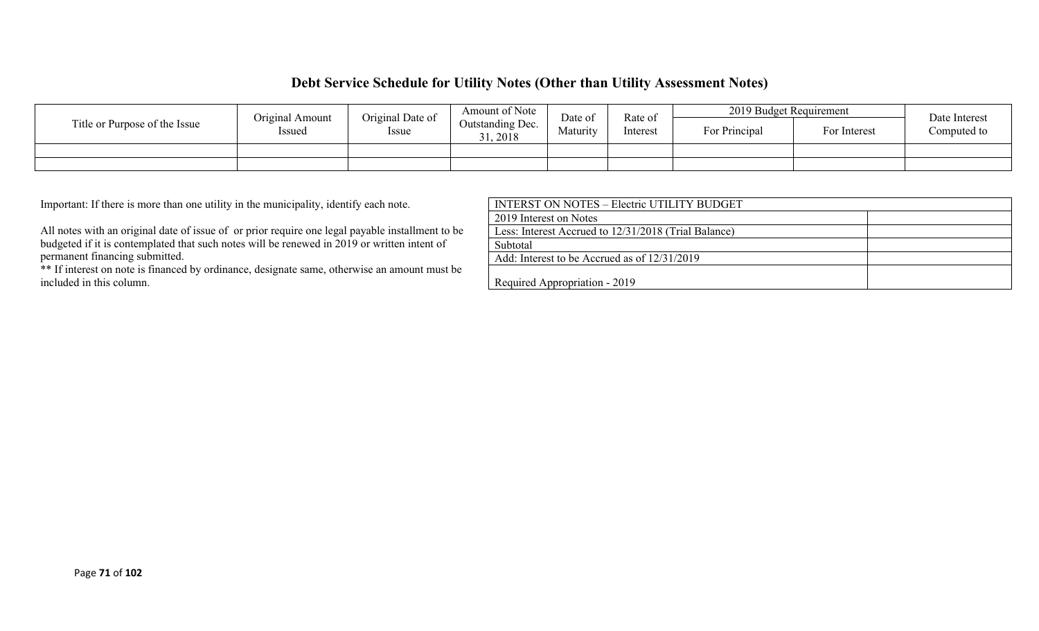### **Debt Service Schedule for Utility Notes (Other than Utility Assessment Notes)**

|                               | Original Amount | Original Date of | Amount of Note             | Date of  | Rate of  | 2019 Budget Requirement |              | Date Interest |
|-------------------------------|-----------------|------------------|----------------------------|----------|----------|-------------------------|--------------|---------------|
| Title or Purpose of the Issue | Issued          | <i>Issue</i>     | Outstanding Dec.<br>, 2018 | Maturity | Interest | For Principal           | For Interest | Computed to   |
|                               |                 |                  |                            |          |          |                         |              |               |
|                               |                 |                  |                            |          |          |                         |              |               |

Important: If there is more than one utility in the municipality, identify each note.

All notes with an original date of issue of or prior require one legal payable installment to be budgeted if it is contemplated that such notes will be renewed in 2019 or written intent of permanent financing submitted.

\*\* If interest on note is financed by ordinance, designate same, otherwise an amount must be included in this column.

| INTERST ON NOTES – Electric UTILITY BUDGET           |  |
|------------------------------------------------------|--|
| 2019 Interest on Notes                               |  |
| Less: Interest Accrued to 12/31/2018 (Trial Balance) |  |
| Subtotal                                             |  |
| Add: Interest to be Accrued as of $12/31/2019$       |  |
| Required Appropriation - 2019                        |  |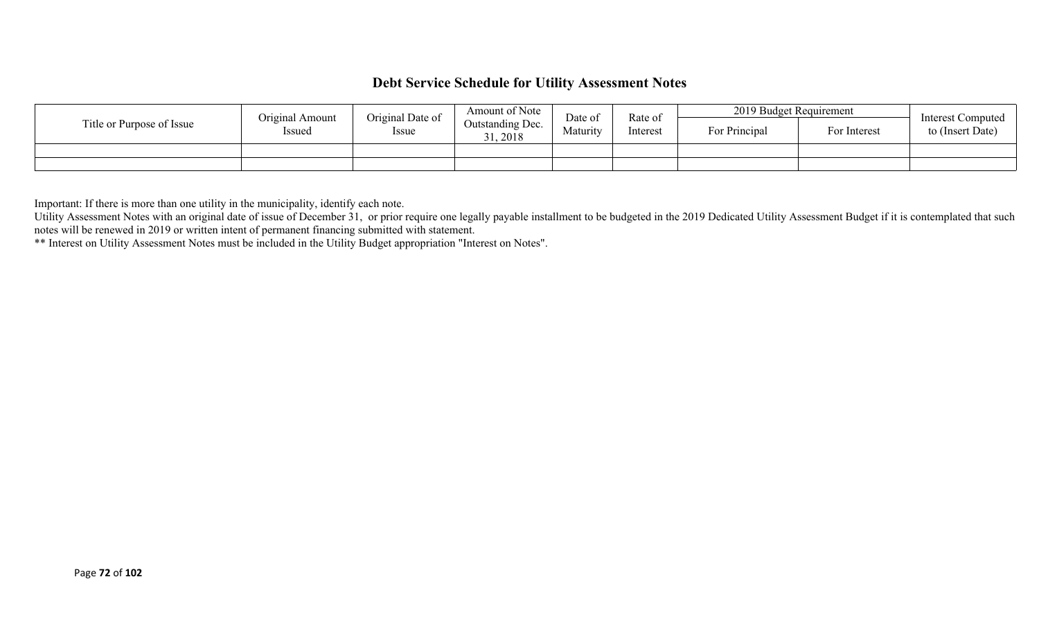# **Debt Service Schedule for Utility Assessment Notes**

|                           | Original Amount | Original Date of | Amount of Note               | Date of  | Rate of<br>Interest | 2019 Budget Requirement |              | <b>Interest Computed</b> |
|---------------------------|-----------------|------------------|------------------------------|----------|---------------------|-------------------------|--------------|--------------------------|
| Title or Purpose of Issue | Issued          | Issue            | Outstanding Dec.<br>31, 2018 | Maturity |                     | For Principal           | For Interest | to (Insert Date)         |
|                           |                 |                  |                              |          |                     |                         |              |                          |
|                           |                 |                  |                              |          |                     |                         |              |                          |

Important: If there is more than one utility in the municipality, identify each note.

Utility Assessment Notes with an original date of issue of December 31, or prior require one legally payable installment to be budgeted in the 2019 Dedicated Utility Assessment Budget if it is contemplated that such notes will be renewed in 2019 or written intent of permanent financing submitted with statement.

\*\* Interest on Utility Assessment Notes must be included in the Utility Budget appropriation "Interest on Notes".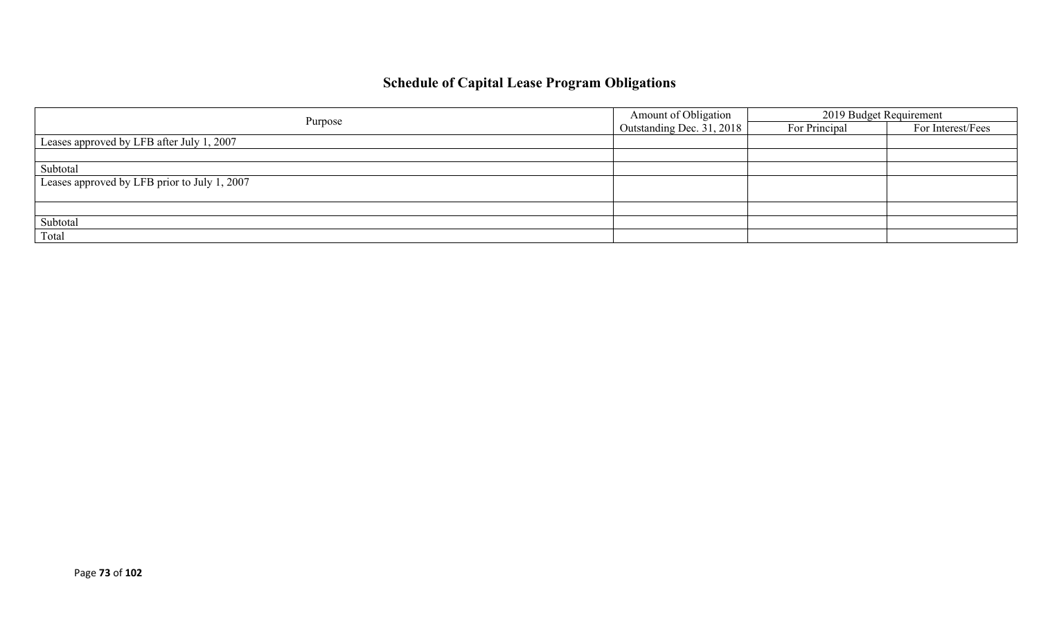## **Schedule of Capital Lease Program Obligations**

|                                              | Amount of Obligation      | 2019 Budget Requirement |                   |
|----------------------------------------------|---------------------------|-------------------------|-------------------|
| Purpose                                      | Outstanding Dec. 31, 2018 | For Principal           | For Interest/Fees |
| Leases approved by LFB after July 1, 2007    |                           |                         |                   |
|                                              |                           |                         |                   |
| Subtotal                                     |                           |                         |                   |
| Leases approved by LFB prior to July 1, 2007 |                           |                         |                   |
|                                              |                           |                         |                   |
|                                              |                           |                         |                   |
| Subtotal                                     |                           |                         |                   |
| Total                                        |                           |                         |                   |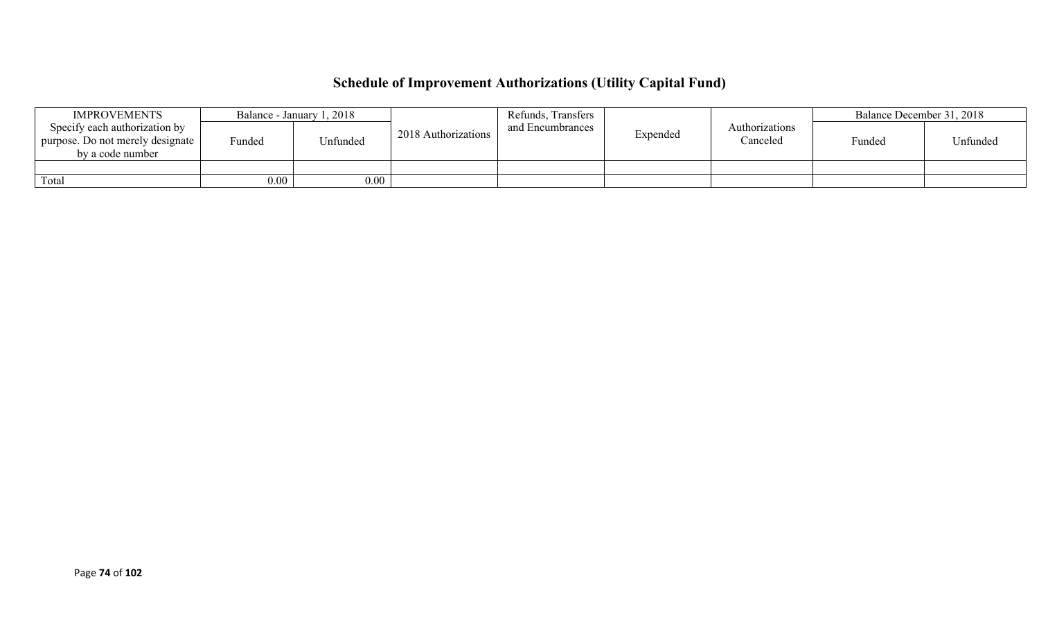# **Schedule of Improvement Authorizations (Utility Capital Fund)**

| <b>IMPROVEMENTS</b>                                                                     |                   | Balance - January 1, 2018 |                     | Refunds, Transfers |          |                            | Balance December 31, 2018 |          |
|-----------------------------------------------------------------------------------------|-------------------|---------------------------|---------------------|--------------------|----------|----------------------------|---------------------------|----------|
| Specify each authorization by<br>purpose. Do not merely designate  <br>by a code number | Funded            | Unfunded                  | 2018 Authorizations | and Encumbrances   | Expended | Authorizations<br>Canceled | Funded                    | Unfunded |
|                                                                                         |                   |                           |                     |                    |          |                            |                           |          |
| Total                                                                                   | 0.00 <sub>1</sub> | $0.00\,$                  |                     |                    |          |                            |                           |          |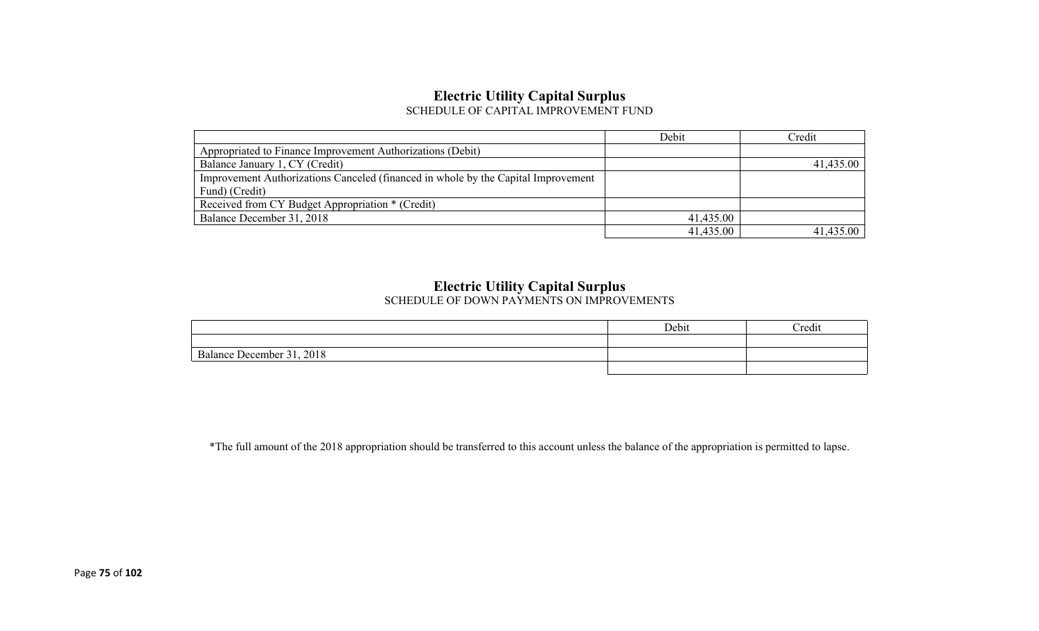#### **Electric Utility Capital Surplus** SCHEDULE OF CAPITAL IMPROVEMENT FUND

|                                                                                   | Debit     | Credit    |
|-----------------------------------------------------------------------------------|-----------|-----------|
| Appropriated to Finance Improvement Authorizations (Debit)                        |           |           |
| Balance January 1, CY (Credit)                                                    |           | 41,435.00 |
| Improvement Authorizations Canceled (financed in whole by the Capital Improvement |           |           |
| Fund) (Credit)                                                                    |           |           |
| Received from CY Budget Appropriation * (Credit)                                  |           |           |
| Balance December 31, 2018                                                         | 41,435.00 |           |
|                                                                                   | 41,435.00 | 41,435.00 |

#### **Electric Utility Capital Surplus**

SCHEDULE OF DOWN PAYMENTS ON IMPROVEMENTS

|                           | Debit | Credit |
|---------------------------|-------|--------|
|                           |       |        |
| Balance December 31, 2018 |       |        |
|                           |       |        |

\*The full amount of the 2018 appropriation should be transferred to this account unless the balance of the appropriation is permitted to lapse.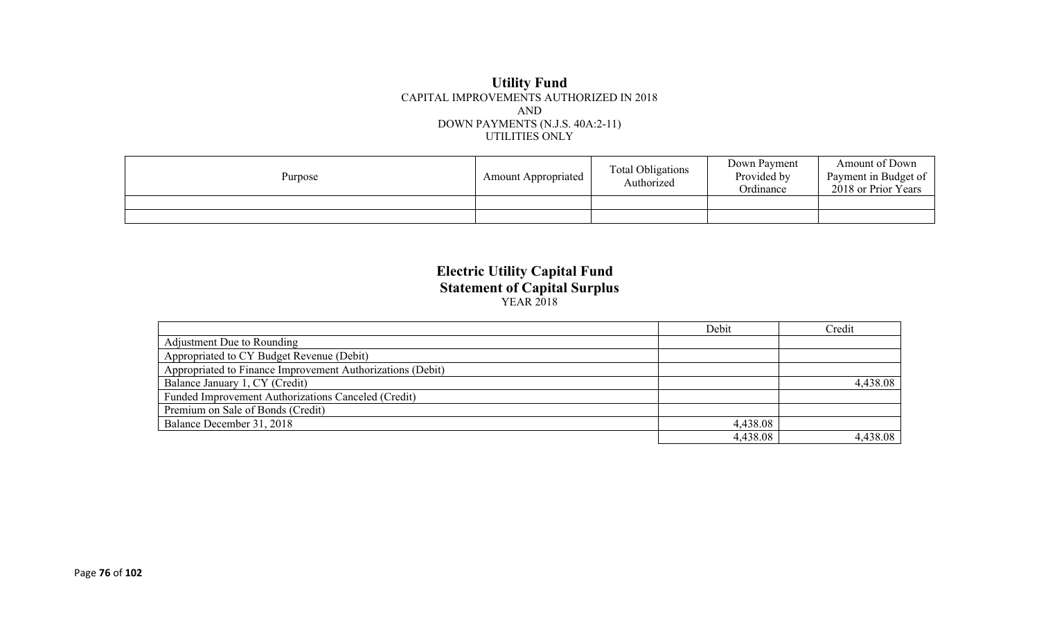#### **Utility Fund** CAPITAL IMPROVEMENTS AUTHORIZED IN 2018 AND DOWN PAYMENTS (N.J.S. 40A:2-11) UTILITIES ONLY

| Purpose | <b>Amount Appropriated</b> | <b>Total Obligations</b><br>Authorized | Down Payment<br>Provided by<br>Ordinance | Amount of Down<br>Payment in Budget of<br>2018 or Prior Years |
|---------|----------------------------|----------------------------------------|------------------------------------------|---------------------------------------------------------------|
|         |                            |                                        |                                          |                                                               |
|         |                            |                                        |                                          |                                                               |

#### **Electric Utility Capital Fund Statement of Capital Surplus** YEAR 2018

|                                                            | Debit    | Credit   |
|------------------------------------------------------------|----------|----------|
| Adjustment Due to Rounding                                 |          |          |
| Appropriated to CY Budget Revenue (Debit)                  |          |          |
| Appropriated to Finance Improvement Authorizations (Debit) |          |          |
| Balance January 1, CY (Credit)                             |          | 4,438.08 |
| Funded Improvement Authorizations Canceled (Credit)        |          |          |
| Premium on Sale of Bonds (Credit)                          |          |          |
| Balance December 31, 2018                                  | 4,438.08 |          |
|                                                            | 4,438.08 | 4,438.08 |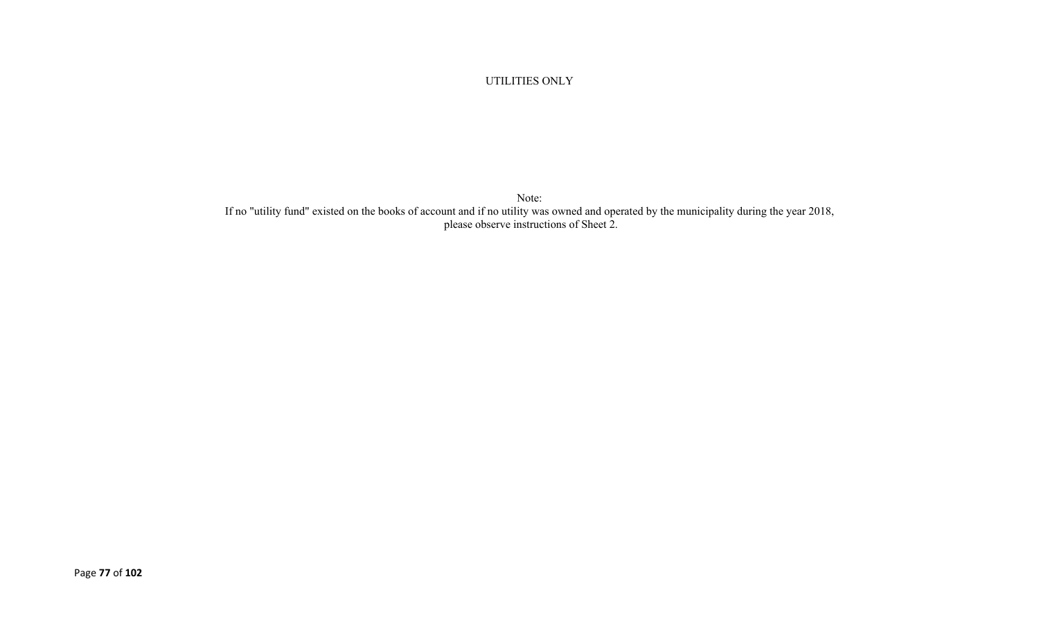UTILITIES ONLY

Note: If no "utility fund" existed on the books of account and if no utility was owned and operated by the municipality during the year 2018, please observe instructions of Sheet 2.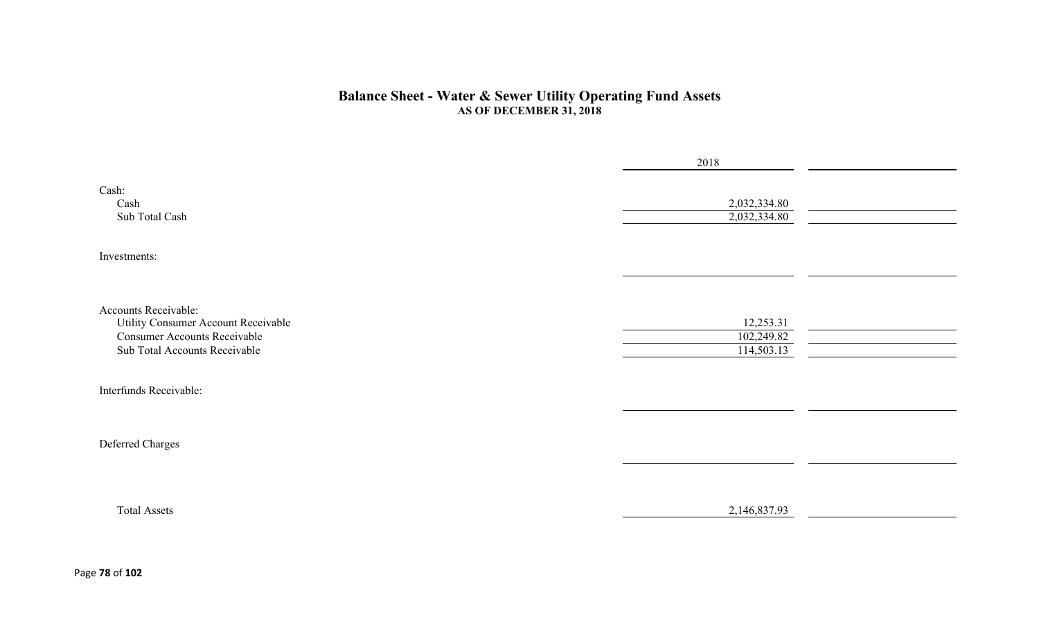#### **Balance Sheet - Water & Sewer Utility Operating Fund Assets AS OF DECEMBER 31, 2018**

|                                                                                                                                     | 2018                                  |  |
|-------------------------------------------------------------------------------------------------------------------------------------|---------------------------------------|--|
| Cash:<br>Cash<br>Sub Total Cash                                                                                                     | 2,032,334.80<br>2,032,334.80          |  |
| Investments:                                                                                                                        |                                       |  |
|                                                                                                                                     |                                       |  |
| Accounts Receivable:<br>Utility Consumer Account Receivable<br><b>Consumer Accounts Receivable</b><br>Sub Total Accounts Receivable | 12,253.31<br>102,249.82<br>114,503.13 |  |
| Interfunds Receivable:                                                                                                              |                                       |  |
| Deferred Charges                                                                                                                    |                                       |  |
| <b>Total Assets</b>                                                                                                                 | 2,146,837.93                          |  |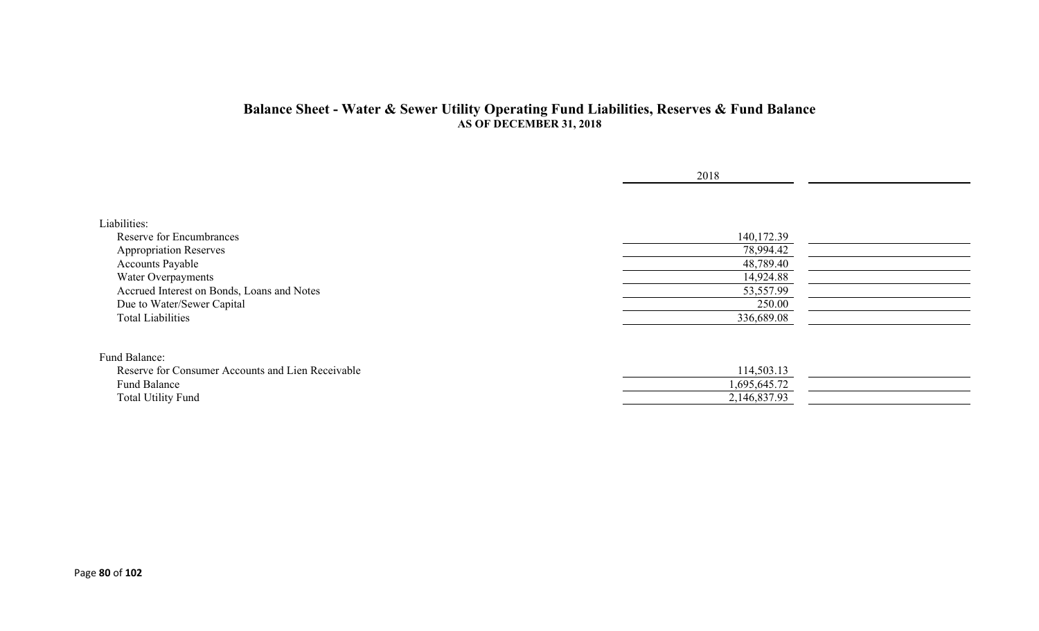#### **Balance Sheet - Water & Sewer Utility Operating Fund Liabilities, Reserves & Fund Balance AS OF DECEMBER 31, 2018**

|                                                   | 2018         |  |
|---------------------------------------------------|--------------|--|
|                                                   |              |  |
| Liabilities:                                      |              |  |
| Reserve for Encumbrances                          | 140,172.39   |  |
| <b>Appropriation Reserves</b>                     | 78,994.42    |  |
| <b>Accounts Payable</b>                           | 48,789.40    |  |
| Water Overpayments                                | 14,924.88    |  |
| Accrued Interest on Bonds, Loans and Notes        | 53,557.99    |  |
| Due to Water/Sewer Capital                        | 250.00       |  |
| <b>Total Liabilities</b>                          | 336,689.08   |  |
| Fund Balance:                                     |              |  |
| Reserve for Consumer Accounts and Lien Receivable | 114,503.13   |  |
| Fund Balance                                      | 1,695,645.72 |  |
| <b>Total Utility Fund</b>                         | 2,146,837.93 |  |
|                                                   |              |  |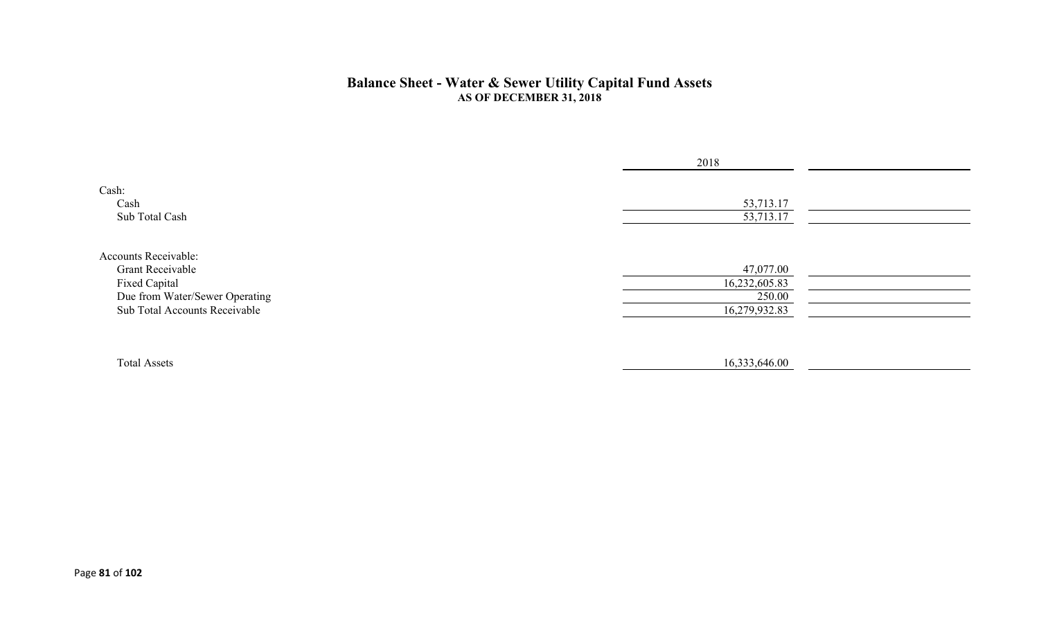#### **Balance Sheet - Water & Sewer Utility Capital Fund Assets AS OF DECEMBER 31, 2018**

|                                                                                                                                     | 2018                                                  |  |
|-------------------------------------------------------------------------------------------------------------------------------------|-------------------------------------------------------|--|
| Cash:<br>Cash<br>Sub Total Cash                                                                                                     | 53,713.17<br>53,713.17                                |  |
| Accounts Receivable:<br><b>Grant Receivable</b><br>Fixed Capital<br>Due from Water/Sewer Operating<br>Sub Total Accounts Receivable | 47,077.00<br>16,232,605.83<br>250.00<br>16,279,932.83 |  |
| <b>Total Assets</b>                                                                                                                 | 16,333,646.00                                         |  |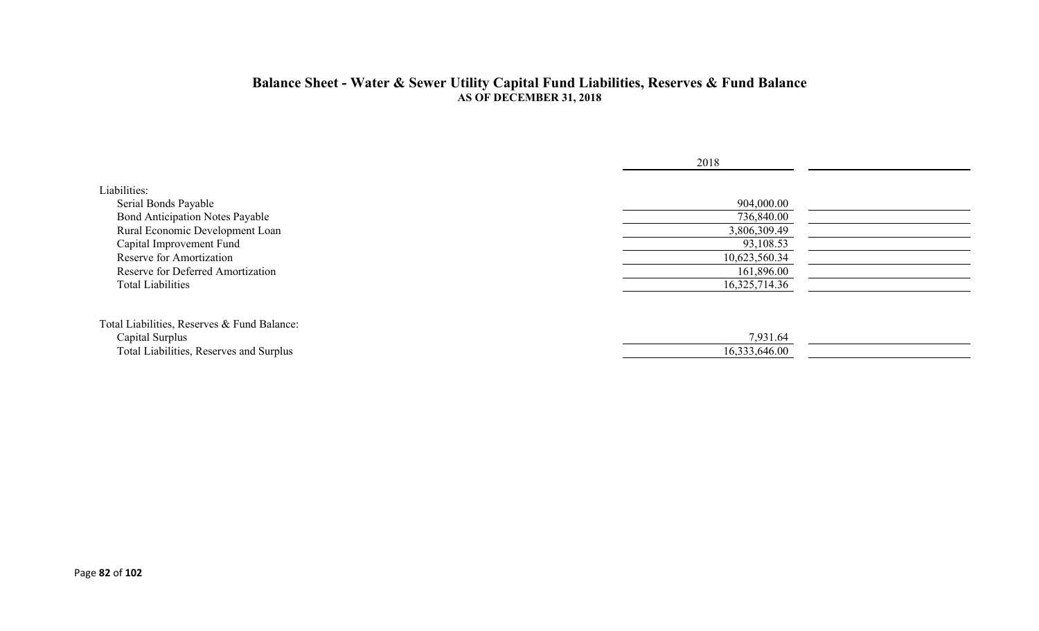#### **Balance Sheet - Water & Sewer Utility Capital Fund Liabilities, Reserves & Fund Balance AS OF DECEMBER 31, 2018**

|                                             | 2018          |  |
|---------------------------------------------|---------------|--|
| Liabilities:                                |               |  |
| Serial Bonds Payable                        | 904,000.00    |  |
| <b>Bond Anticipation Notes Payable</b>      | 736,840.00    |  |
| Rural Economic Development Loan             | 3,806,309.49  |  |
| Capital Improvement Fund                    | 93,108.53     |  |
| Reserve for Amortization                    | 10,623,560.34 |  |
| <b>Reserve for Deferred Amortization</b>    | 161,896.00    |  |
| <b>Total Liabilities</b>                    | 16,325,714.36 |  |
| Total Liabilities, Reserves & Fund Balance: |               |  |
| Capital Surplus                             | 7,931.64      |  |
| Total Liabilities, Reserves and Surplus     | 16,333,646.00 |  |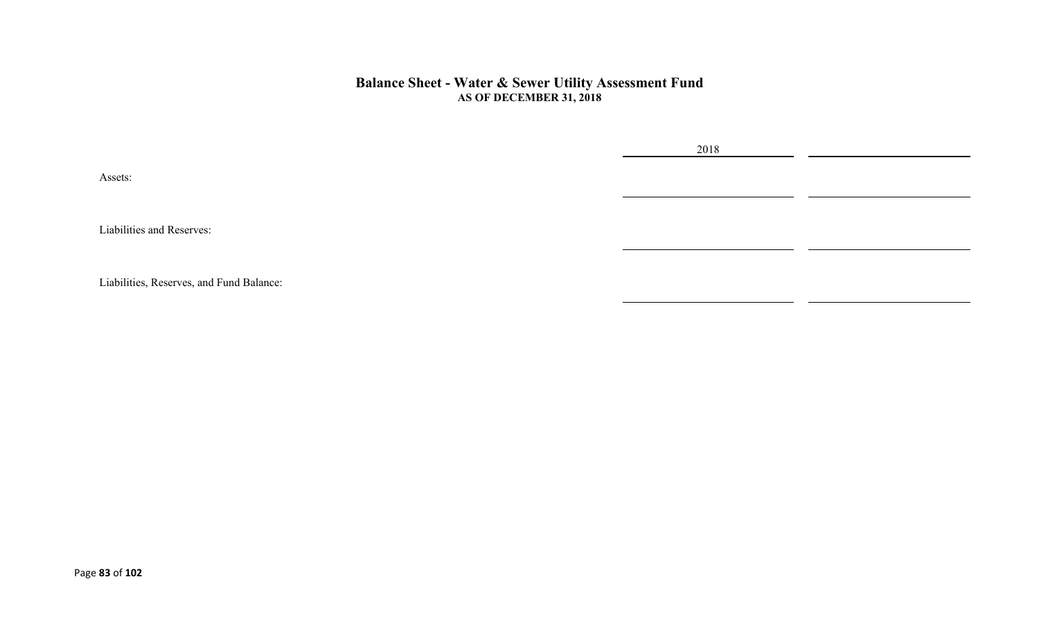#### **Balance Sheet - Water & Sewer Utility Assessment Fund AS OF DECEMBER 31, 2018**

2018

Assets:

Liabilities and Reserves:

Liabilities, Reserves, and Fund Balance: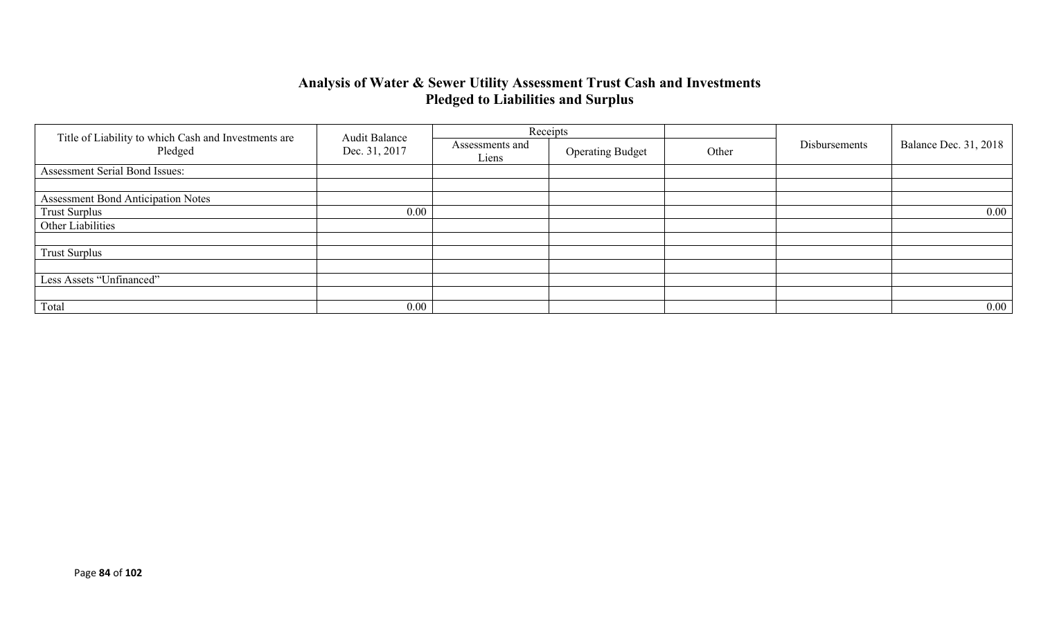### **Analysis of Water & Sewer Utility Assessment Trust Cash and Investments Pledged to Liabilities and Surplus**

|                                                                 | <b>Audit Balance</b> |                          | Receipts                |       |               |                              |
|-----------------------------------------------------------------|----------------------|--------------------------|-------------------------|-------|---------------|------------------------------|
| Title of Liability to which Cash and Investments are<br>Pledged | Dec. 31, 2017        | Assessments and<br>Liens | <b>Operating Budget</b> | Other | Disbursements | <b>Balance Dec. 31, 2018</b> |
| Assessment Serial Bond Issues:                                  |                      |                          |                         |       |               |                              |
|                                                                 |                      |                          |                         |       |               |                              |
| <b>Assessment Bond Anticipation Notes</b>                       |                      |                          |                         |       |               |                              |
| <b>Trust Surplus</b>                                            | 0.00                 |                          |                         |       |               | $0.00\,$                     |
| Other Liabilities                                               |                      |                          |                         |       |               |                              |
|                                                                 |                      |                          |                         |       |               |                              |
| <b>Trust Surplus</b>                                            |                      |                          |                         |       |               |                              |
|                                                                 |                      |                          |                         |       |               |                              |
| Less Assets "Unfinanced"                                        |                      |                          |                         |       |               |                              |
|                                                                 |                      |                          |                         |       |               |                              |
| Total                                                           | 0.00                 |                          |                         |       |               | $0.00\,$                     |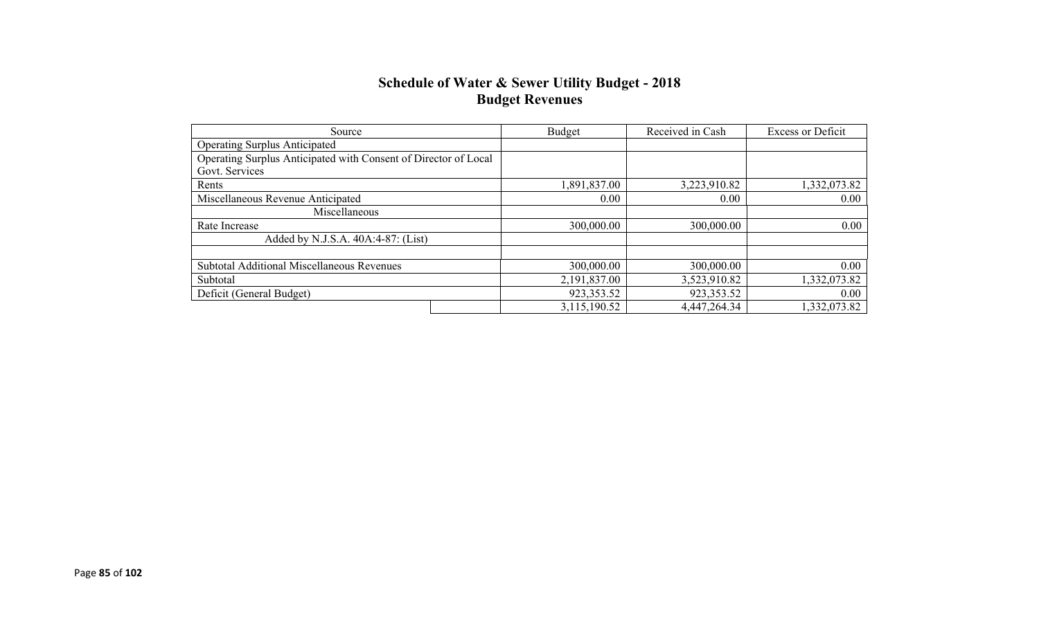#### **Schedule of Water & Sewer Utility Budget - 2018 Budget Revenues**

| Source                                                          | Budget       | Received in Cash | <b>Excess or Deficit</b> |
|-----------------------------------------------------------------|--------------|------------------|--------------------------|
| <b>Operating Surplus Anticipated</b>                            |              |                  |                          |
| Operating Surplus Anticipated with Consent of Director of Local |              |                  |                          |
| Govt. Services                                                  |              |                  |                          |
| Rents                                                           | 1,891,837.00 | 3,223,910.82     | 1,332,073.82             |
| Miscellaneous Revenue Anticipated                               | 0.00         | 0.00             | $0.00\,$                 |
| Miscellaneous                                                   |              |                  |                          |
| Rate Increase                                                   | 300,000.00   | 300,000.00       | 0.00                     |
| Added by N.J.S.A. 40A:4-87: (List)                              |              |                  |                          |
|                                                                 |              |                  |                          |
| Subtotal Additional Miscellaneous Revenues                      | 300,000.00   | 300,000.00       | 0.00                     |
| Subtotal                                                        | 2,191,837.00 | 3,523,910.82     | 1,332,073.82             |
| Deficit (General Budget)                                        | 923, 353.52  | 923,353.52       | 0.00                     |
|                                                                 | 3,115,190.52 | 4,447,264.34     | 1,332,073.82             |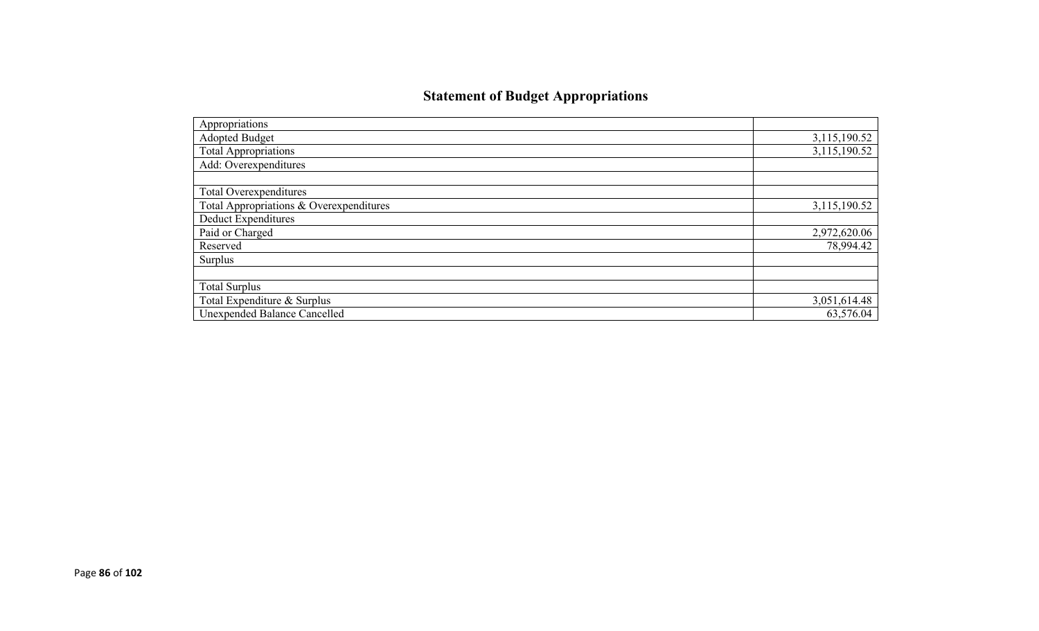## **Statement of Budget Appropriations**

| Appropriations                          |              |
|-----------------------------------------|--------------|
| Adopted Budget                          | 3,115,190.52 |
| <b>Total Appropriations</b>             | 3,115,190.52 |
| Add: Overexpenditures                   |              |
|                                         |              |
| Total Overexpenditures                  |              |
| Total Appropriations & Overexpenditures | 3,115,190.52 |
| Deduct Expenditures                     |              |
| Paid or Charged                         | 2,972,620.06 |
| Reserved                                | 78,994.42    |
| Surplus                                 |              |
|                                         |              |
| <b>Total Surplus</b>                    |              |
| Total Expenditure & Surplus             | 3,051,614.48 |
| <b>Unexpended Balance Cancelled</b>     | 63,576.04    |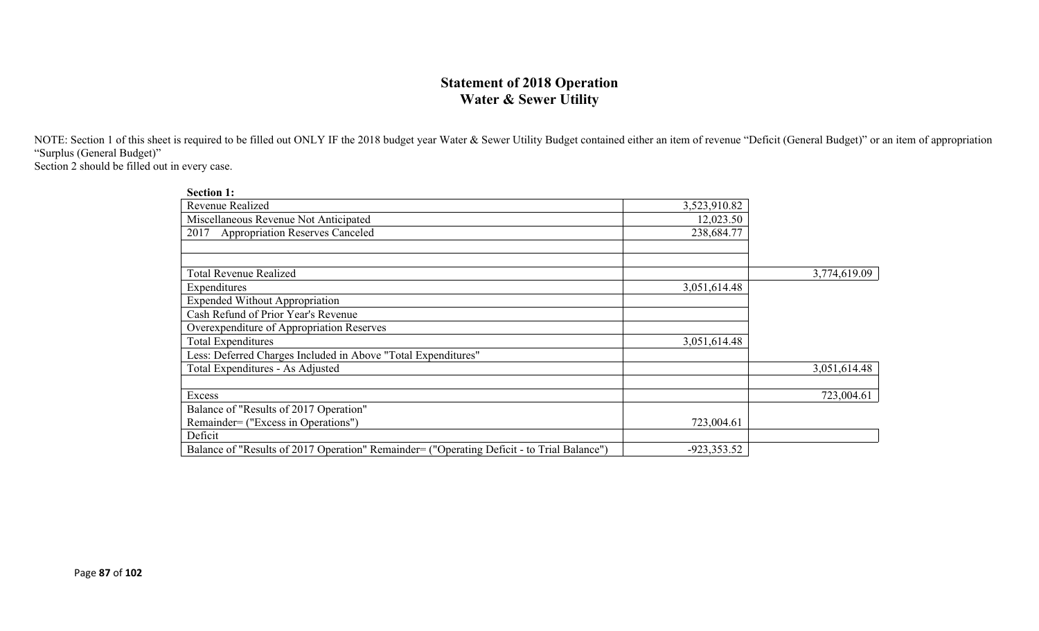### **Statement of 2018 Operation Water & Sewer Utility**

NOTE: Section 1 of this sheet is required to be filled out ONLY IF the 2018 budget year Water & Sewer Utility Budget contained either an item of revenue "Deficit (General Budget)" or an item of appropriation "Surplus (General Budget)"

Section 2 should be filled out in every case.

| <b>Section 1:</b>                                                                          |               |              |
|--------------------------------------------------------------------------------------------|---------------|--------------|
| Revenue Realized                                                                           | 3,523,910.82  |              |
| Miscellaneous Revenue Not Anticipated                                                      | 12,023.50     |              |
| <b>Appropriation Reserves Canceled</b><br>2017                                             | 238,684.77    |              |
|                                                                                            |               |              |
|                                                                                            |               |              |
| <b>Total Revenue Realized</b>                                                              |               | 3,774,619.09 |
| Expenditures                                                                               | 3,051,614.48  |              |
| <b>Expended Without Appropriation</b>                                                      |               |              |
| Cash Refund of Prior Year's Revenue                                                        |               |              |
| Overexpenditure of Appropriation Reserves                                                  |               |              |
| <b>Total Expenditures</b>                                                                  | 3,051,614.48  |              |
| Less: Deferred Charges Included in Above "Total Expenditures"                              |               |              |
| Total Expenditures - As Adjusted                                                           |               | 3,051,614.48 |
|                                                                                            |               |              |
| Excess                                                                                     |               | 723,004.61   |
| Balance of "Results of 2017 Operation"                                                     |               |              |
| Remainder= ("Excess in Operations")                                                        | 723,004.61    |              |
| Deficit                                                                                    |               |              |
| Balance of "Results of 2017 Operation" Remainder= ("Operating Deficit - to Trial Balance") | $-923,353.52$ |              |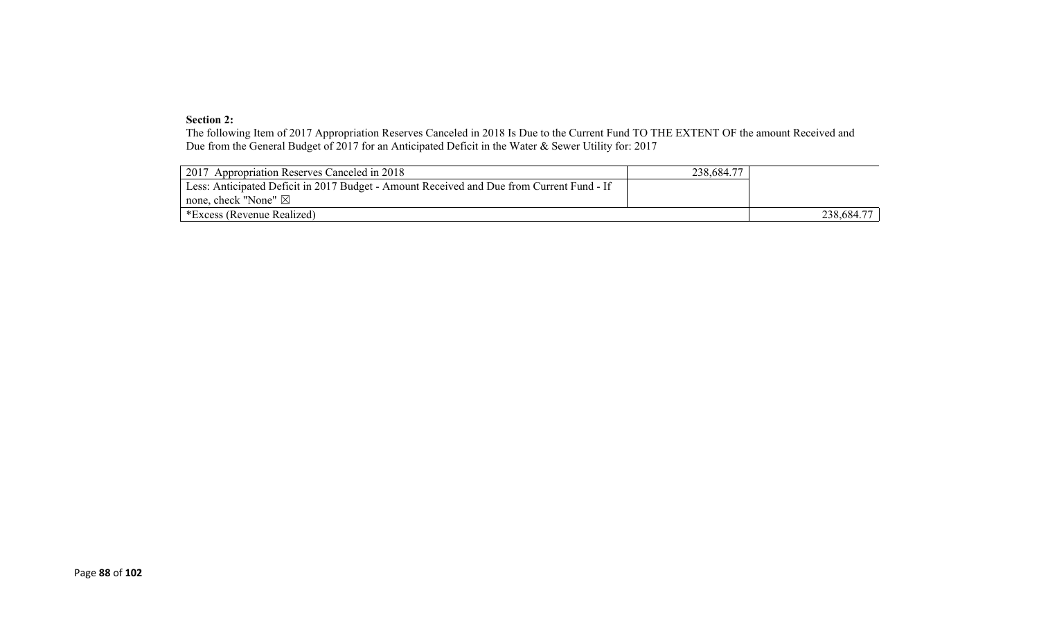#### **Section 2:**

The following Item of 2017 Appropriation Reserves Canceled in 2018 Is Due to the Current Fund TO THE EXTENT OF the amount Received and Due from the General Budget of 2017 for an Anticipated Deficit in the Water & Sewer Utility for: 2017

| 2017 Appropriation Reserves Canceled in 2018                                              | 238,684.77 |            |
|-------------------------------------------------------------------------------------------|------------|------------|
| Less: Anticipated Deficit in 2017 Budget - Amount Received and Due from Current Fund - If |            |            |
| none, check "None" $\boxtimes$                                                            |            |            |
| *Excess (Revenue Realized)                                                                |            | 238,684.77 |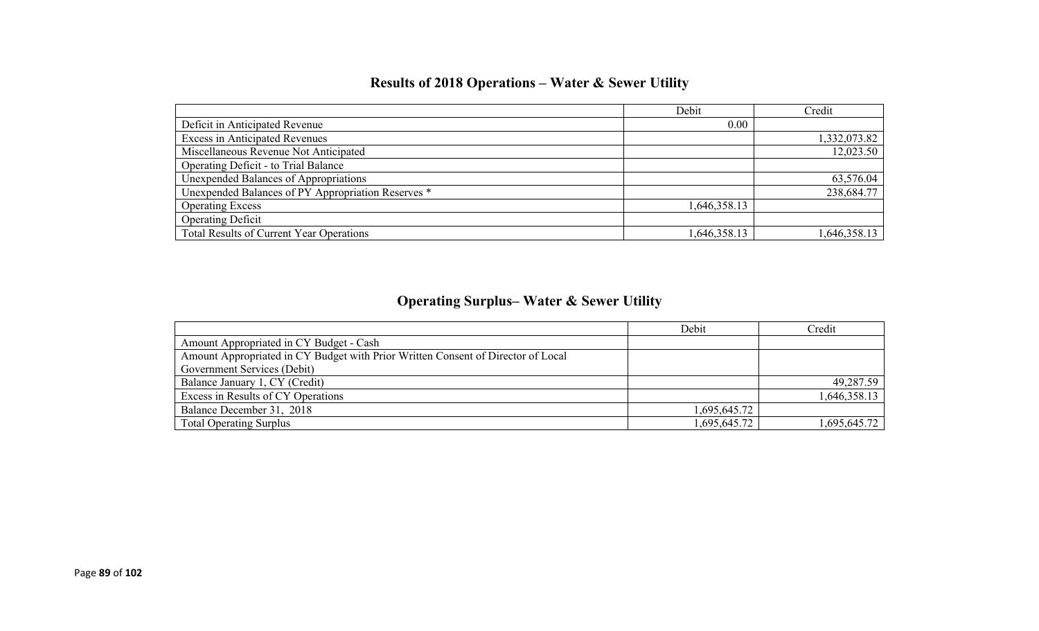## **Results of 2018 Operations – Water & Sewer Utility**

|                                                    | Debit        | Credit       |
|----------------------------------------------------|--------------|--------------|
| Deficit in Anticipated Revenue                     | 0.00         |              |
| <b>Excess in Anticipated Revenues</b>              |              | 1,332,073.82 |
| Miscellaneous Revenue Not Anticipated              |              | 12,023.50    |
| Operating Deficit - to Trial Balance               |              |              |
| Unexpended Balances of Appropriations              |              | 63,576.04    |
| Unexpended Balances of PY Appropriation Reserves * |              | 238,684.77   |
| <b>Operating Excess</b>                            | 1,646,358.13 |              |
| <b>Operating Deficit</b>                           |              |              |
| <b>Total Results of Current Year Operations</b>    | 1,646,358.13 | 1,646,358.13 |

## **Operating Surplus– Water & Sewer Utility**

|                                                                                  | Debit        | Credit       |
|----------------------------------------------------------------------------------|--------------|--------------|
| Amount Appropriated in CY Budget - Cash                                          |              |              |
| Amount Appropriated in CY Budget with Prior Written Consent of Director of Local |              |              |
| Government Services (Debit)                                                      |              |              |
| Balance January 1, CY (Credit)                                                   |              | 49,287.59    |
| Excess in Results of CY Operations                                               |              | 1,646,358.13 |
| Balance December 31, 2018                                                        | 1,695,645.72 |              |
| <b>Total Operating Surplus</b>                                                   | 1,695,645.72 | 1,695,645.72 |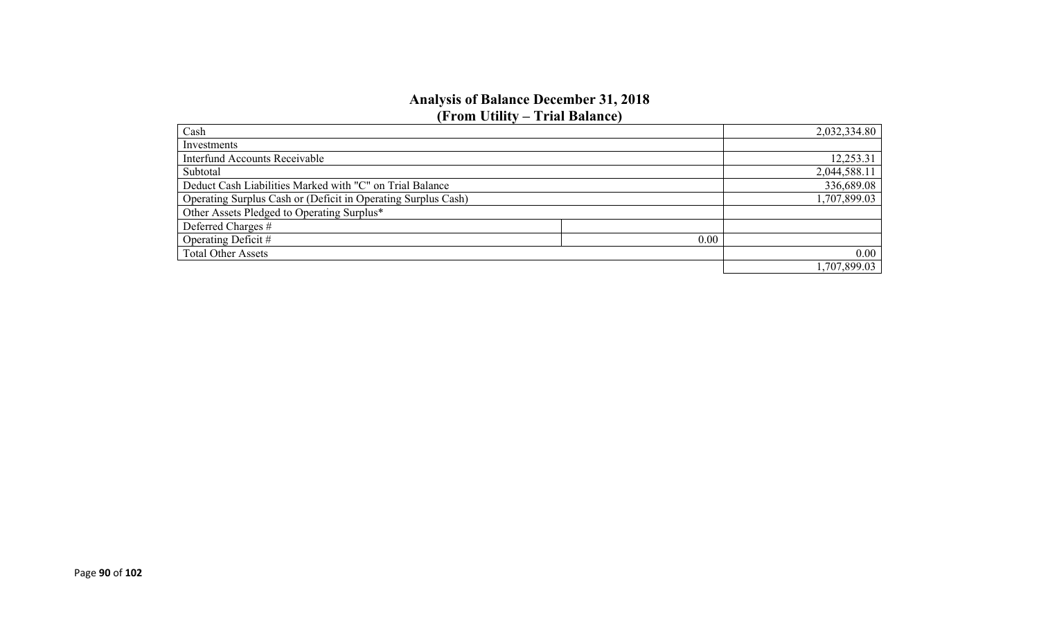#### **Analysis of Balance December 31, 2018 (From Utility – Trial Balance)**

| Cash                                                          | 2,032,334.80 |
|---------------------------------------------------------------|--------------|
| Investments                                                   |              |
| <b>Interfund Accounts Receivable</b>                          | 12,253.31    |
| Subtotal                                                      | 2,044,588.11 |
| Deduct Cash Liabilities Marked with "C" on Trial Balance      | 336,689.08   |
| Operating Surplus Cash or (Deficit in Operating Surplus Cash) | 1,707,899.03 |
| Other Assets Pledged to Operating Surplus*                    |              |
| Deferred Charges #                                            |              |
| Operating Deficit #<br>0.00                                   |              |
| <b>Total Other Assets</b>                                     | 0.00         |
|                                                               | 1,707,899.03 |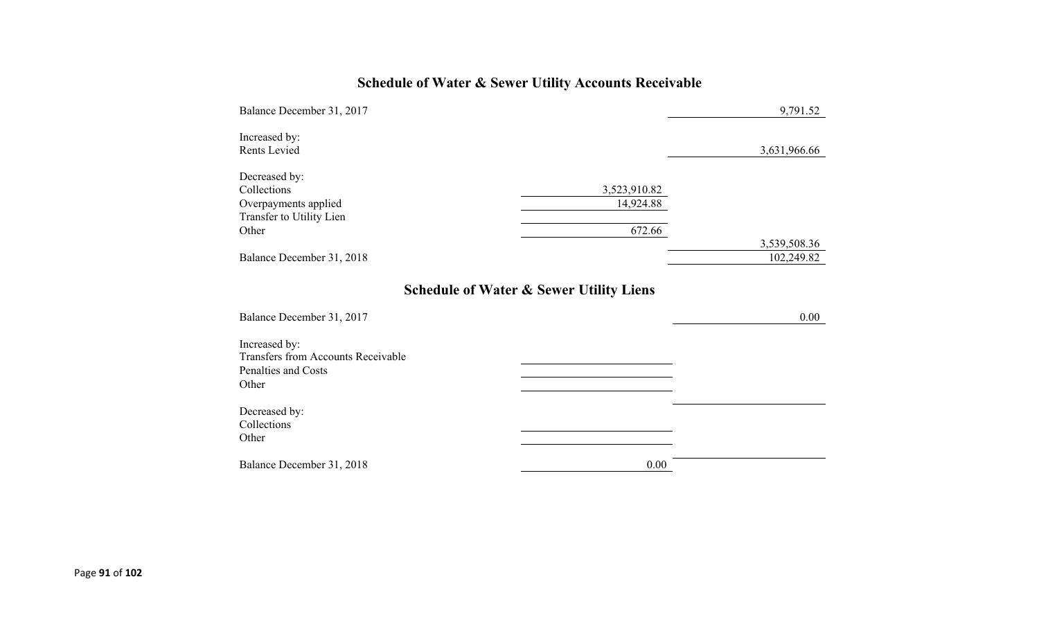## **Schedule of Water & Sewer Utility Accounts Receivable**

| Balance December 31, 2017                                                                  |                                                    | 9,791.52                   |
|--------------------------------------------------------------------------------------------|----------------------------------------------------|----------------------------|
| Increased by:<br>Rents Levied                                                              |                                                    | 3,631,966.66               |
| Decreased by:<br>Collections<br>Overpayments applied<br>Transfer to Utility Lien<br>Other  | 3,523,910.82<br>14,924.88<br>672.66                |                            |
| Balance December 31, 2018                                                                  |                                                    | 3,539,508.36<br>102,249.82 |
| Balance December 31, 2017                                                                  | <b>Schedule of Water &amp; Sewer Utility Liens</b> | 0.00                       |
| Increased by:<br><b>Transfers from Accounts Receivable</b><br>Penalties and Costs<br>Other |                                                    |                            |
| Decreased by:<br>Collections<br>Other                                                      |                                                    |                            |
| Balance December 31, 2018                                                                  | 0.00                                               |                            |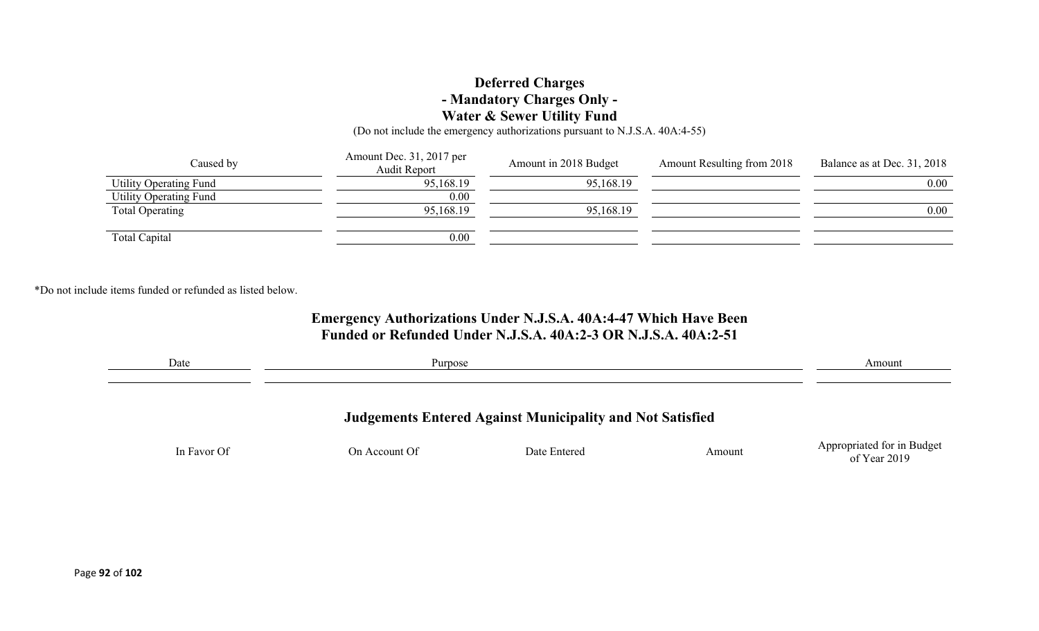### **Deferred Charges - Mandatory Charges Only - Water & Sewer Utility Fund**

(Do not include the emergency authorizations pursuant to N.J.S.A. 40A:4-55)

| Caused by              | Amount Dec. 31, 2017 per<br><b>Audit Report</b> | Amount in 2018 Budget | Amount Resulting from 2018 | Balance as at Dec. 31, 2018 |
|------------------------|-------------------------------------------------|-----------------------|----------------------------|-----------------------------|
| Utility Operating Fund | 95,168.19                                       | 95,168.19             |                            | $0.00\,$                    |
| Utility Operating Fund | 0.00                                            |                       |                            |                             |
| <b>Total Operating</b> | 95,168.19                                       | 95,168.19             |                            | $0.00\,$                    |
|                        |                                                 |                       |                            |                             |
| Total Capital          | 0.00                                            |                       |                            |                             |

\*Do not include items funded or refunded as listed below.

### **Emergency Authorizations Under N.J.S.A. 40A:4-47 Which Have Been Funded or Refunded Under N.J.S.A. 40A:2-3 OR N.J.S.A. 40A:2-51**

| Date                                                             | Purpose       |              |        | Amount                                       |
|------------------------------------------------------------------|---------------|--------------|--------|----------------------------------------------|
|                                                                  |               |              |        |                                              |
| <b>Judgements Entered Against Municipality and Not Satisfied</b> |               |              |        |                                              |
| In Favor Of                                                      | On Account Of | Date Entered | Amount | Appropriated for in Budget<br>of Year $2019$ |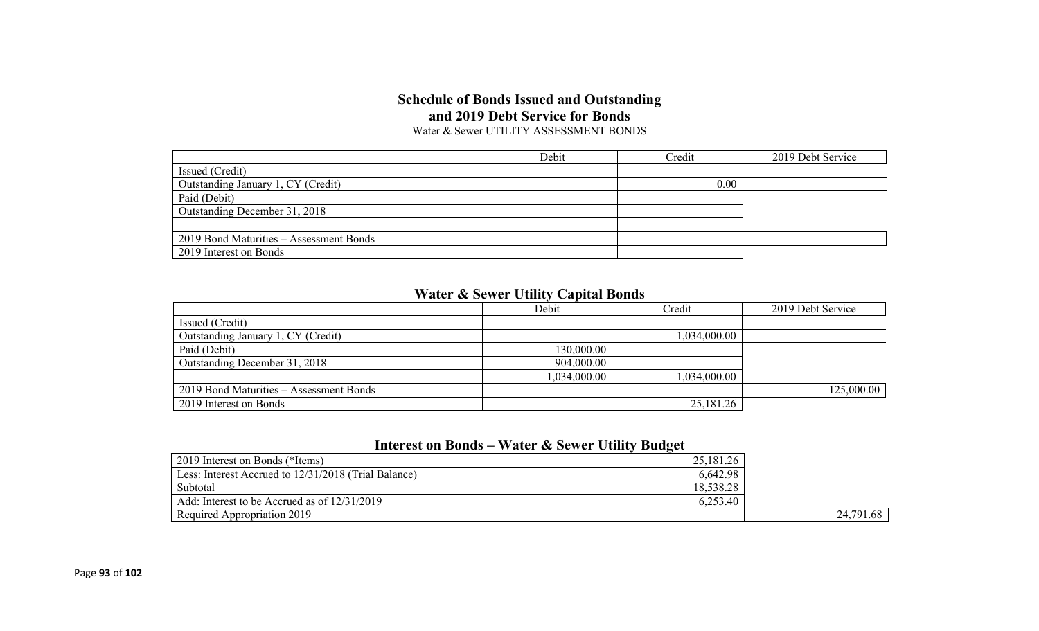## **Schedule of Bonds Issued and Outstanding and 2019 Debt Service for Bonds**

Water & Sewer UTILITY ASSESSMENT BONDS

|                                         | Debit | Credit | 2019 Debt Service |
|-----------------------------------------|-------|--------|-------------------|
| Issued (Credit)                         |       |        |                   |
| Outstanding January 1, CY (Credit)      |       | 0.00   |                   |
| Paid (Debit)                            |       |        |                   |
| Outstanding December 31, 2018           |       |        |                   |
|                                         |       |        |                   |
| 2019 Bond Maturities - Assessment Bonds |       |        |                   |
| 2019 Interest on Bonds                  |       |        |                   |

### **Water & Sewer Utility Capital Bonds**

|                                         | Debit        | Credit       | 2019 Debt Service |
|-----------------------------------------|--------------|--------------|-------------------|
| Issued (Credit)                         |              |              |                   |
| Outstanding January 1, CY (Credit)      |              | 1,034,000.00 |                   |
| Paid (Debit)                            | 130,000.00   |              |                   |
| Outstanding December 31, 2018           | 904,000.00   |              |                   |
|                                         | 1,034,000.00 | 1,034,000.00 |                   |
| 2019 Bond Maturities – Assessment Bonds |              |              | 125,000.00        |
| 2019 Interest on Bonds                  |              | 25,181.26    |                   |

## **Interest on Bonds – Water & Sewer Utility Budget**

| 2019 Interest on Bonds (*Items)                      | 25,181.26 |           |
|------------------------------------------------------|-----------|-----------|
| Less: Interest Accrued to 12/31/2018 (Trial Balance) | 6,642.98  |           |
| Subtotal                                             | 18,538.28 |           |
| Add: Interest to be Accrued as of 12/31/2019         | 6,253.40  |           |
| Required Appropriation 2019                          |           | 24,791.68 |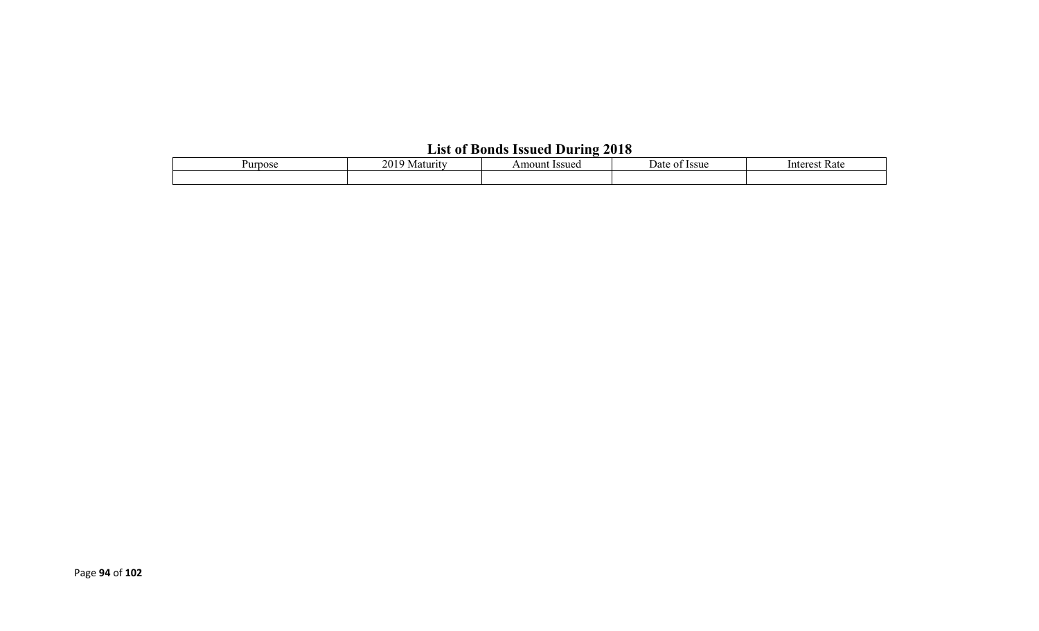## **List of Bonds Issued During 2018**

| Purpose | 201<br>Amount Issued<br>Maturity |  | <b>Issue</b><br>Date<br>ΩT | Rate<br>Interest |  |  |  |  |
|---------|----------------------------------|--|----------------------------|------------------|--|--|--|--|
|         |                                  |  |                            |                  |  |  |  |  |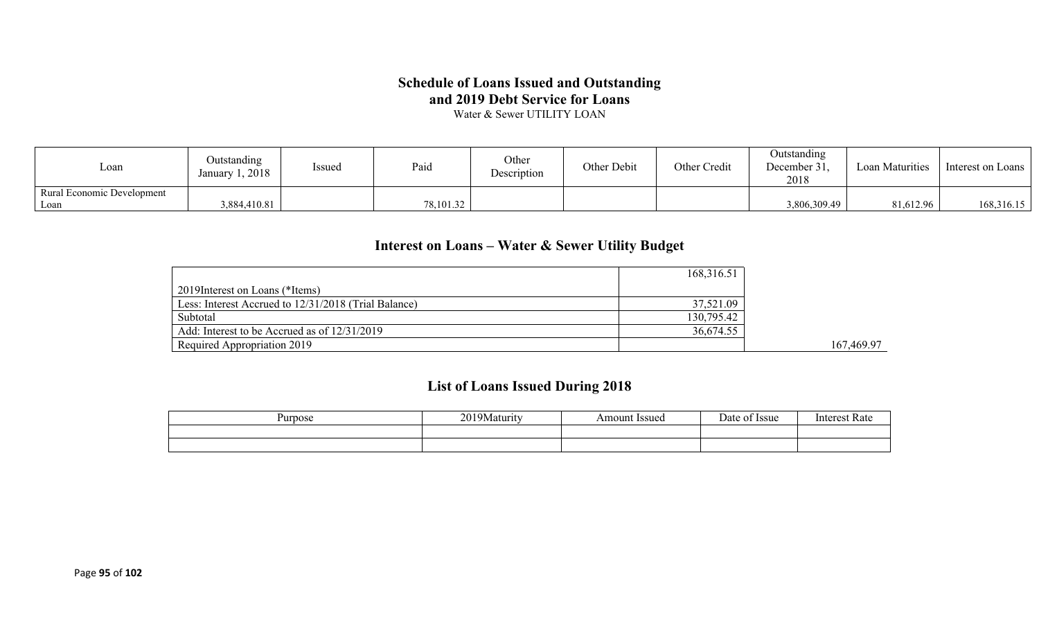### **Schedule of Loans Issued and Outstanding and 2019 Debt Service for Loans**

Water & Sewer UTILITY LOAN

| Loan                                      | Outstanding<br>January 1, 2018 | Issued | Paid      | Other<br>Description | Other Debit | Other Credit | Outstanding<br>December 31.<br>2018 | <b>Loan Maturities</b> | Interest on Loans |
|-------------------------------------------|--------------------------------|--------|-----------|----------------------|-------------|--------------|-------------------------------------|------------------------|-------------------|
| <b>Rural Economic Development</b><br>Loan | 3,884,410.81                   |        | 78,101.32 |                      |             |              | 3,806,309.49                        | 81,612.96              | 168,316.15        |

## **Interest on Loans – Water & Sewer Utility Budget**

|                                                      | 168,316.51 |            |
|------------------------------------------------------|------------|------------|
| 2019 Interest on Loans (*Items)                      |            |            |
| Less: Interest Accrued to 12/31/2018 (Trial Balance) | 37,521.09  |            |
| Subtotal                                             | 130,795.42 |            |
| Add: Interest to be Accrued as of 12/31/2019         | 36,674.55  |            |
| Required Appropriation 2019                          |            | 167,469.97 |

## **List of Loans Issued During 2018**

| Purpose | 20101<br>/Maturity<br>$\angle U$ | Issued<br>Amount | <i>ssue</i><br>Jate | Interes<br>катє |
|---------|----------------------------------|------------------|---------------------|-----------------|
|         |                                  |                  |                     |                 |
|         |                                  |                  |                     |                 |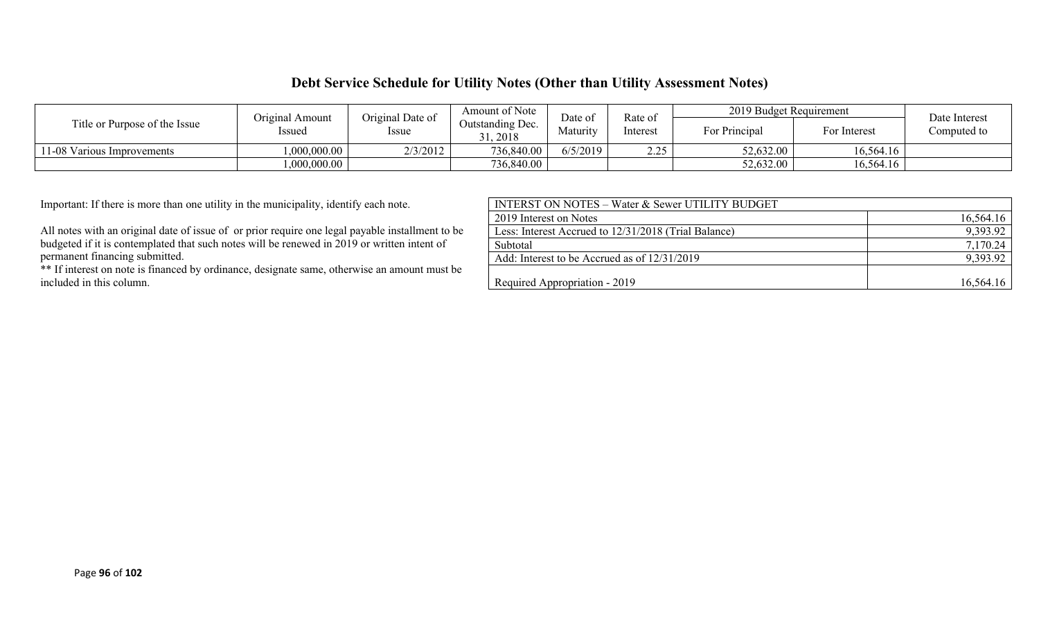### **Debt Service Schedule for Utility Notes (Other than Utility Assessment Notes)**

| Title or Purpose of the Issue | Original Amount | Original Date of | Amount of Note<br>Date of    |          | Rate of           | 2019 Budget Requirement |              | Date Interest |
|-------------------------------|-----------------|------------------|------------------------------|----------|-------------------|-------------------------|--------------|---------------|
|                               | Issued          | <i>Issue</i>     | Outstanding Dec.<br>31, 2018 | Maturity | Interest          | For Principal           | For Interest | Computed to   |
| 11-08 Various Improvements    | 000,000.00      | 2/3/2012         | 736,840.00                   | 6/5/2019 | າ າ ເ<br><u>.</u> | 52,632.00               | 16,564.16    |               |
|                               | 1,000,000.00    |                  | 736,840.00                   |          |                   | 52,632.00               | 16,564.16    |               |

| <b>INTERST ON NOTES – Water &amp; Sewer UTILITY BUDGET</b> |           |
|------------------------------------------------------------|-----------|
| 2019 Interest on Notes                                     | 16,564.16 |
| Less: Interest Accrued to 12/31/2018 (Trial Balance)       | 9,393.92  |
| Subtotal                                                   | 7,170.24  |
| Add: Interest to be Accrued as of 12/31/2019               | 9,393.92  |
|                                                            |           |
| Required Appropriation - 2019                              | 16,564.16 |
|                                                            |           |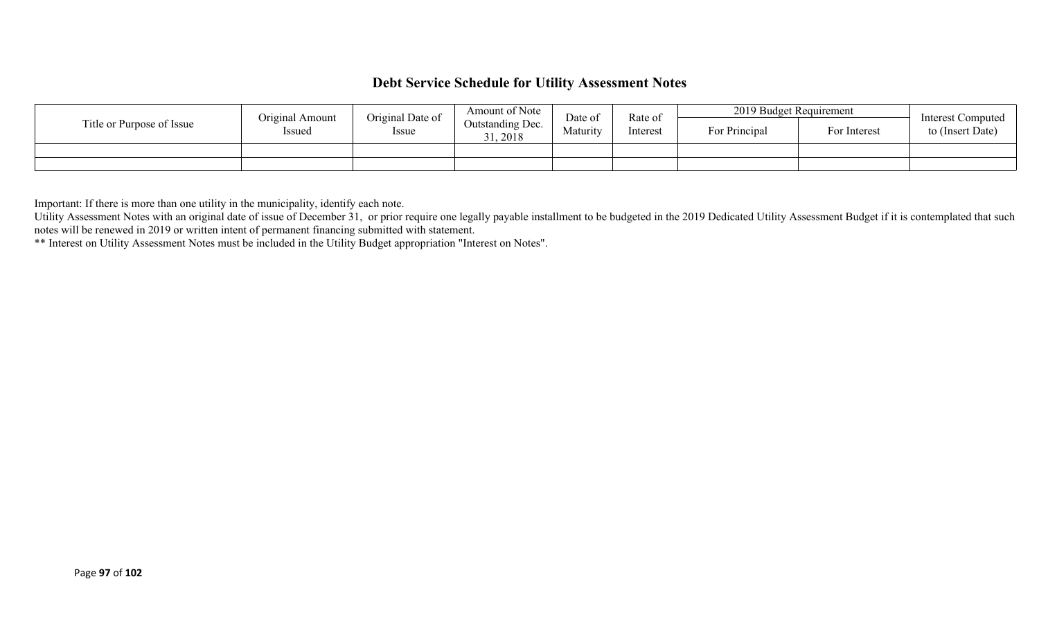## **Debt Service Schedule for Utility Assessment Notes**

|                           | Original Amount | Original Date of | Amount of Note               | Date of  | Rate of<br>Interest | 2019 Budget Requirement |              | Interest Computed |
|---------------------------|-----------------|------------------|------------------------------|----------|---------------------|-------------------------|--------------|-------------------|
| Title or Purpose of Issue | Issued          | Issue            | Outstanding Dec.<br>31, 2018 | Maturity |                     | For Principal           | For Interest | to (Insert Date)  |
|                           |                 |                  |                              |          |                     |                         |              |                   |
|                           |                 |                  |                              |          |                     |                         |              |                   |

Important: If there is more than one utility in the municipality, identify each note.

Utility Assessment Notes with an original date of issue of December 31, or prior require one legally payable installment to be budgeted in the 2019 Dedicated Utility Assessment Budget if it is contemplated that such notes will be renewed in 2019 or written intent of permanent financing submitted with statement.

\*\* Interest on Utility Assessment Notes must be included in the Utility Budget appropriation "Interest on Notes".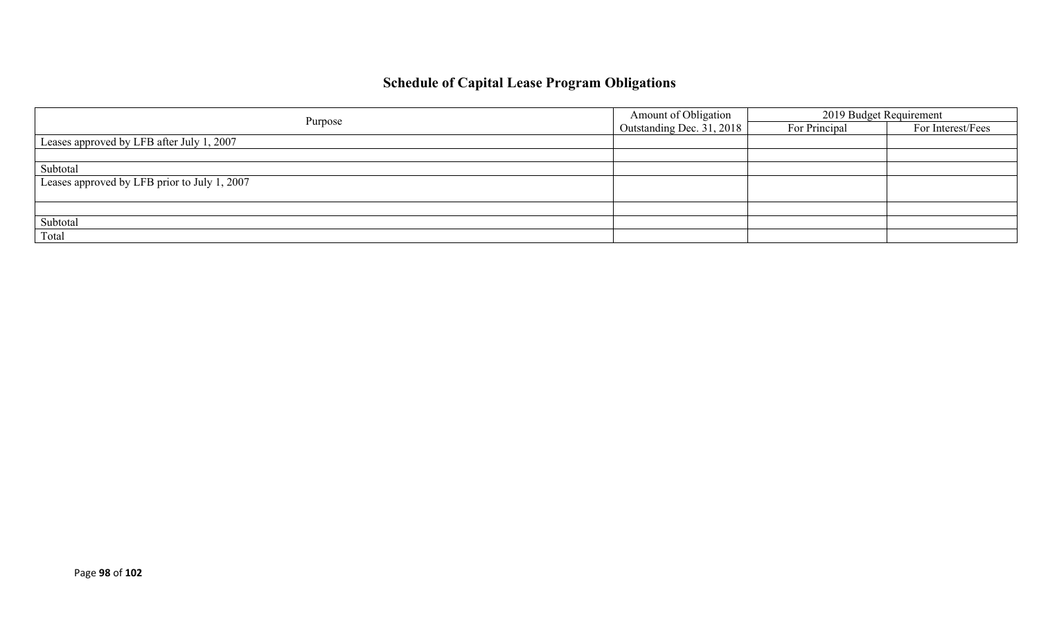## **Schedule of Capital Lease Program Obligations**

|                                              | Amount of Obligation      | 2019 Budget Requirement |                   |  |
|----------------------------------------------|---------------------------|-------------------------|-------------------|--|
| Purpose                                      | Outstanding Dec. 31, 2018 | For Principal           | For Interest/Fees |  |
| Leases approved by LFB after July 1, 2007    |                           |                         |                   |  |
|                                              |                           |                         |                   |  |
| Subtotal                                     |                           |                         |                   |  |
| Leases approved by LFB prior to July 1, 2007 |                           |                         |                   |  |
|                                              |                           |                         |                   |  |
|                                              |                           |                         |                   |  |
| Subtotal                                     |                           |                         |                   |  |
| Total                                        |                           |                         |                   |  |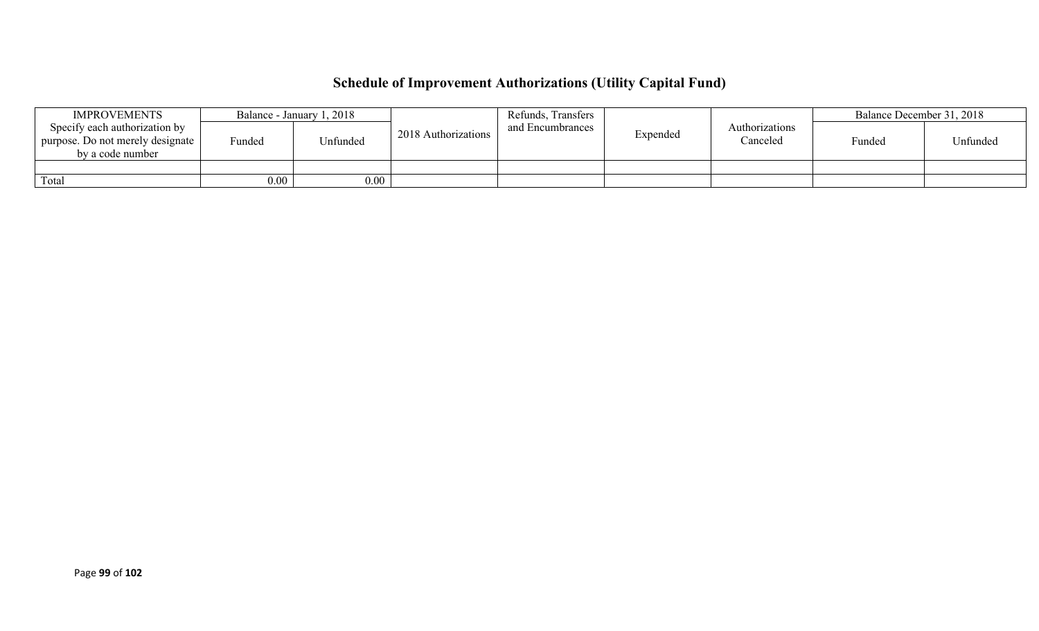# **Schedule of Improvement Authorizations (Utility Capital Fund)**

| <b>IMPROVEMENTS</b>                                                                     |                   | Balance - January 1, 2018 |                     | Refunds, Transfers |          |                            | Balance December 31, 2018 |          |
|-----------------------------------------------------------------------------------------|-------------------|---------------------------|---------------------|--------------------|----------|----------------------------|---------------------------|----------|
| Specify each authorization by<br>purpose. Do not merely designate  <br>by a code number | Funded            | Unfunded                  | 2018 Authorizations | and Encumbrances   | Expended | Authorizations<br>Canceled | Funded                    | Unfunded |
|                                                                                         |                   |                           |                     |                    |          |                            |                           |          |
| Total                                                                                   | 0.00 <sub>1</sub> | $0.00\,$                  |                     |                    |          |                            |                           |          |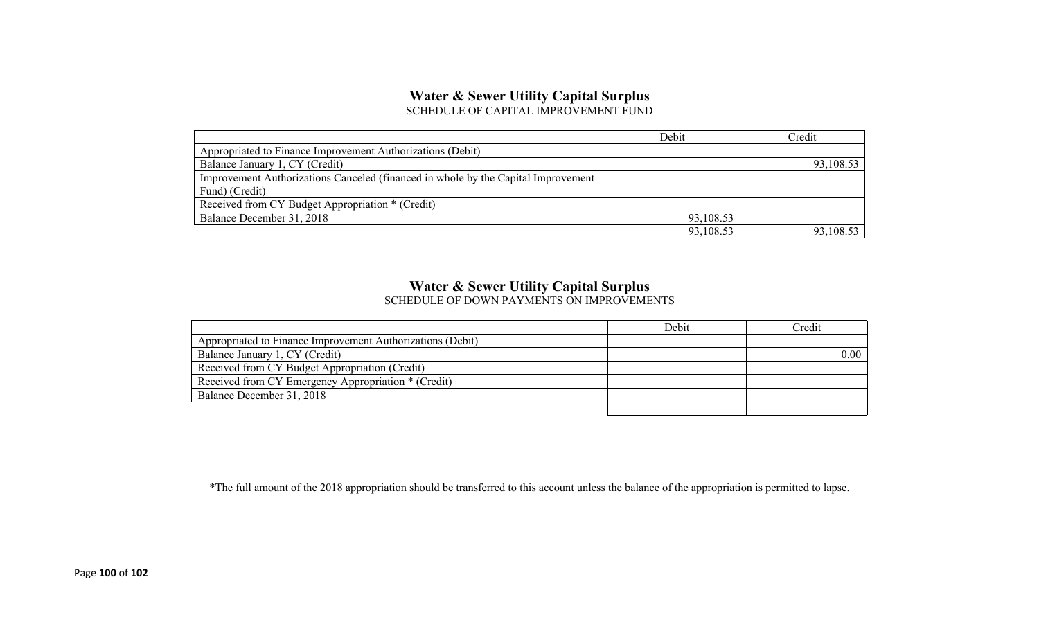#### **Water & Sewer Utility Capital Surplus** SCHEDULE OF CAPITAL IMPROVEMENT FUND

|                                                                                   | Debit     | Credit    |
|-----------------------------------------------------------------------------------|-----------|-----------|
| Appropriated to Finance Improvement Authorizations (Debit)                        |           |           |
| Balance January 1, CY (Credit)                                                    |           | 93,108.53 |
| Improvement Authorizations Canceled (financed in whole by the Capital Improvement |           |           |
| Fund) (Credit)                                                                    |           |           |
| Received from CY Budget Appropriation * (Credit)                                  |           |           |
| Balance December 31, 2018                                                         | 93,108.53 |           |
|                                                                                   | 93,108.53 | 93,108.53 |

# **Water & Sewer Utility Capital Surplus**

SCHEDULE OF DOWN PAYMENTS ON IMPROVEMENTS

|                                                            | Debit | Credit |
|------------------------------------------------------------|-------|--------|
| Appropriated to Finance Improvement Authorizations (Debit) |       |        |
| Balance January 1, CY (Credit)                             |       | 0.00   |
| Received from CY Budget Appropriation (Credit)             |       |        |
| Received from CY Emergency Appropriation * (Credit)        |       |        |
| Balance December 31, 2018                                  |       |        |
|                                                            |       |        |

\*The full amount of the 2018 appropriation should be transferred to this account unless the balance of the appropriation is permitted to lapse.